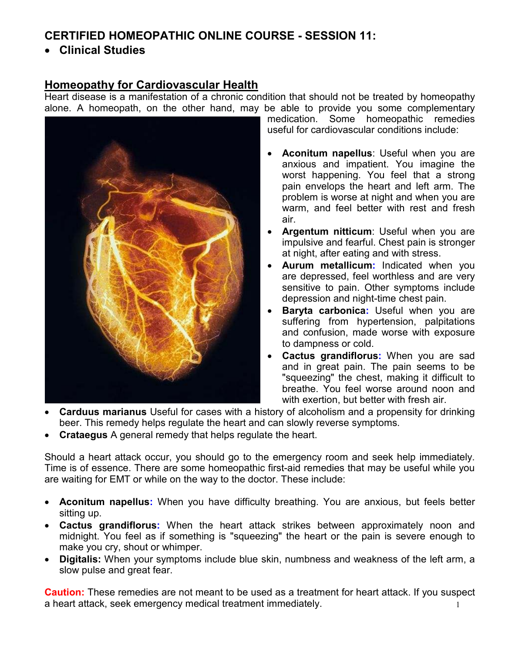# **CERTIFIED HOMEOPATHIC ONLINE COURSE - SESSION 11:**

• **Clinical Studies** 

## **Homeopathy for Cardiovascular Health**

Heart disease is a manifestation of a chronic condition that should not be treated by homeopathy alone. A homeopath, on the other hand, may be able to provide you some complementary



medication. Some homeopathic remedies useful for cardiovascular conditions include:

- **Aconitum napellus**: Useful when you are anxious and impatient. You imagine the worst happening. You feel that a strong pain envelops the heart and left arm. The problem is worse at night and when you are warm, and feel better with rest and fresh air.
- **Argentum nitticum**: Useful when you are impulsive and fearful. Chest pain is stronger at night, after eating and with stress.
- **Aurum metallicum:** Indicated when you are depressed, feel worthless and are very sensitive to pain. Other symptoms include depression and night-time chest pain.
- **Baryta carbonica:** Useful when you are suffering from hypertension, palpitations and confusion, made worse with exposure to dampness or cold.
- **Cactus grandiflorus:** When you are sad and in great pain. The pain seems to be "squeezing" the chest, making it difficult to breathe. You feel worse around noon and with exertion, but better with fresh air.
- **Carduus marianus** Useful for cases with a history of alcoholism and a propensity for drinking beer. This remedy helps regulate the heart and can slowly reverse symptoms.
- **Crataegus** A general remedy that helps regulate the heart.

Should a heart attack occur, you should go to the emergency room and seek help immediately. Time is of essence. There are some homeopathic first-aid remedies that may be useful while you are waiting for EMT or while on the way to the doctor. These include:

- **Aconitum napellus:** When you have difficulty breathing. You are anxious, but feels better sitting up.
- **Cactus grandiflorus:** When the heart attack strikes between approximately noon and midnight. You feel as if something is "squeezing" the heart or the pain is severe enough to make you cry, shout or whimper.
- **Digitalis:** When your symptoms include blue skin, numbness and weakness of the left arm, a slow pulse and great fear.

1 **Caution:** These remedies are not meant to be used as a treatment for heart attack. If you suspect a heart attack, seek emergency medical treatment immediately.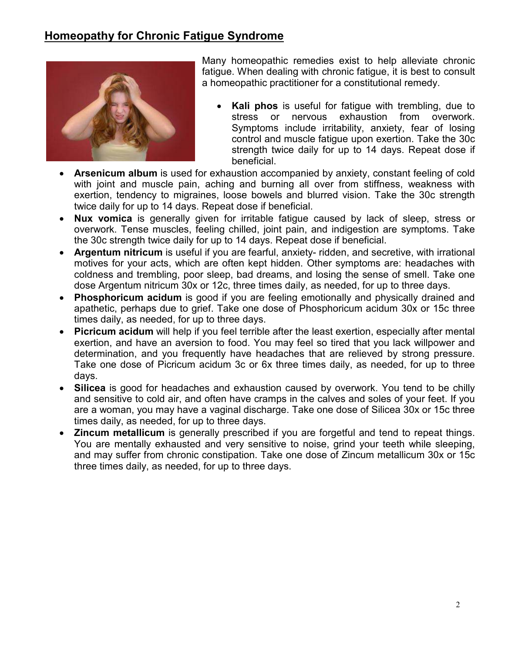# **Homeopathy for Chronic Fatigue Syndrome**



Many homeopathic remedies exist to help alleviate chronic fatigue. When dealing with chronic fatigue, it is best to consult a homeopathic practitioner for a constitutional remedy.

- **Kali phos** is useful for fatigue with trembling, due to stress or nervous exhaustion from overwork. Symptoms include irritability, anxiety, fear of losing control and muscle fatigue upon exertion. Take the 30c strength twice daily for up to 14 days. Repeat dose if beneficial.
- **Arsenicum album** is used for exhaustion accompanied by anxiety, constant feeling of cold with joint and muscle pain, aching and burning all over from stiffness, weakness with exertion, tendency to migraines, loose bowels and blurred vision. Take the 30c strength twice daily for up to 14 days. Repeat dose if beneficial.
- **Nux vomica** is generally given for irritable fatigue caused by lack of sleep, stress or overwork. Tense muscles, feeling chilled, joint pain, and indigestion are symptoms. Take the 30c strength twice daily for up to 14 days. Repeat dose if beneficial.
- **Argentum nitricum** is useful if you are fearful, anxiety- ridden, and secretive, with irrational motives for your acts, which are often kept hidden. Other symptoms are: headaches with coldness and trembling, poor sleep, bad dreams, and losing the sense of smell. Take one dose Argentum nitricum 30x or 12c, three times daily, as needed, for up to three days.
- **Phosphoricum acidum** is good if you are feeling emotionally and physically drained and apathetic, perhaps due to grief. Take one dose of Phosphoricum acidum 30x or 15c three times daily, as needed, for up to three days.
- **Picricum acidum** will help if you feel terrible after the least exertion, especially after mental exertion, and have an aversion to food. You may feel so tired that you lack willpower and determination, and you frequently have headaches that are relieved by strong pressure. Take one dose of Picricum acidum 3c or 6x three times daily, as needed, for up to three days.
- **Silicea** is good for headaches and exhaustion caused by overwork. You tend to be chilly and sensitive to cold air, and often have cramps in the calves and soles of your feet. If you are a woman, you may have a vaginal discharge. Take one dose of Silicea 30x or 15c three times daily, as needed, for up to three days.
- **Zincum metallicum** is generally prescribed if you are forgetful and tend to repeat things. You are mentally exhausted and very sensitive to noise, grind your teeth while sleeping, and may suffer from chronic constipation. Take one dose of Zincum metallicum 30x or 15c three times daily, as needed, for up to three days.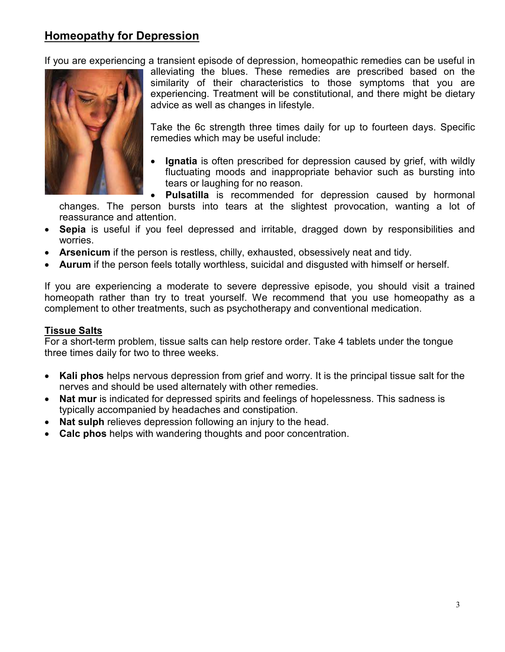# **Homeopathy for Depression**

If you are experiencing a transient episode of depression, homeopathic remedies can be useful in



alleviating the blues. These remedies are prescribed based on the similarity of their characteristics to those symptoms that you are experiencing. Treatment will be constitutional, and there might be dietary advice as well as changes in lifestyle.

Take the 6c strength three times daily for up to fourteen days. Specific remedies which may be useful include:

• **Ignatia** is often prescribed for depression caused by grief, with wildly fluctuating moods and inappropriate behavior such as bursting into tears or laughing for no reason.

• **Pulsatilla** is recommended for depression caused by hormonal changes. The person bursts into tears at the slightest provocation, wanting a lot of reassurance and attention.

- **Sepia** is useful if you feel depressed and irritable, dragged down by responsibilities and worries.
- **Arsenicum** if the person is restless, chilly, exhausted, obsessively neat and tidy.
- **Aurum** if the person feels totally worthless, suicidal and disgusted with himself or herself.

If you are experiencing a moderate to severe depressive episode, you should visit a trained homeopath rather than try to treat yourself. We recommend that you use homeopathy as a complement to other treatments, such as psychotherapy and conventional medication.

#### **Tissue Salts**

For a short-term problem, tissue salts can help restore order. Take 4 tablets under the tongue three times daily for two to three weeks.

- **Kali phos** helps nervous depression from grief and worry. It is the principal tissue salt for the nerves and should be used alternately with other remedies.
- **Nat mur** is indicated for depressed spirits and feelings of hopelessness. This sadness is typically accompanied by headaches and constipation.
- **Nat sulph** relieves depression following an injury to the head.
- **Calc phos** helps with wandering thoughts and poor concentration.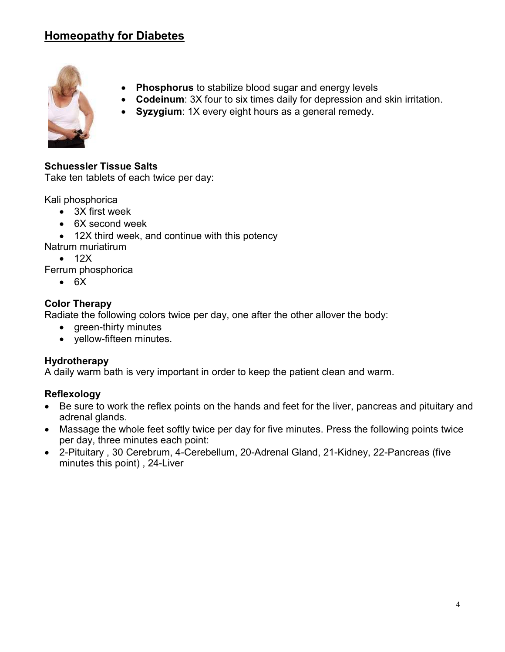# **Homeopathy for Diabetes**



- **Phosphorus** to stabilize blood sugar and energy levels
- **Codeinum**: 3X four to six times daily for depression and skin irritation.
- **Syzygium**: 1X every eight hours as a general remedy.

## **Schuessler Tissue Salts**

Take ten tablets of each twice per day:

Kali phosphorica

- 3X first week
- 6X second week
- 12X third week, and continue with this potency
- Natrum muriatirum
	- $\bullet$  12X
- Ferrum phosphorica
	- 6X

## **Color Therapy**

Radiate the following colors twice per day, one after the other allover the body:

- green-thirty minutes
- yellow-fifteen minutes.

## **Hydrotherapy**

A daily warm bath is very important in order to keep the patient clean and warm.

#### **Reflexology**

- Be sure to work the reflex points on the hands and feet for the liver, pancreas and pituitary and adrenal glands.
- Massage the whole feet softly twice per day for five minutes. Press the following points twice per day, three minutes each point:
- 2-Pituitary , 30 Cerebrum, 4-Cerebellum, 20-Adrenal Gland, 21-Kidney, 22-Pancreas (five minutes this point) , 24-Liver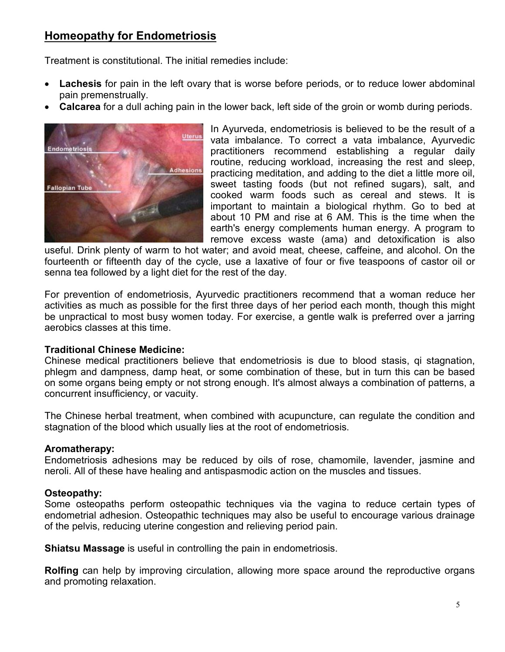# **Homeopathy for Endometriosis**

Treatment is constitutional. The initial remedies include:

- **Lachesis** for pain in the left ovary that is worse before periods, or to reduce lower abdominal pain premenstrually.
- **Calcarea** for a dull aching pain in the lower back, left side of the groin or womb during periods.



In Ayurveda, endometriosis is believed to be the result of a vata imbalance. To correct a vata imbalance, Ayurvedic practitioners recommend establishing a regular daily routine, reducing workload, increasing the rest and sleep, practicing meditation, and adding to the diet a little more oil, sweet tasting foods (but not refined sugars), salt, and cooked warm foods such as cereal and stews. It is important to maintain a biological rhythm. Go to bed at about 10 PM and rise at 6 AM. This is the time when the earth's energy complements human energy. A program to remove excess waste (ama) and detoxification is also

useful. Drink plenty of warm to hot water; and avoid meat, cheese, caffeine, and alcohol. On the fourteenth or fifteenth day of the cycle, use a laxative of four or five teaspoons of castor oil or senna tea followed by a light diet for the rest of the day.

For prevention of endometriosis, Ayurvedic practitioners recommend that a woman reduce her activities as much as possible for the first three days of her period each month, though this might be unpractical to most busy women today. For exercise, a gentle walk is preferred over a jarring aerobics classes at this time.

#### **Traditional Chinese Medicine:**

Chinese medical practitioners believe that endometriosis is due to blood stasis, qi stagnation, phlegm and dampness, damp heat, or some combination of these, but in turn this can be based on some organs being empty or not strong enough. It's almost always a combination of patterns, a concurrent insufficiency, or vacuity.

The Chinese herbal treatment, when combined with acupuncture, can regulate the condition and stagnation of the blood which usually lies at the root of endometriosis.

#### **Aromatherapy:**

Endometriosis adhesions may be reduced by oils of rose, chamomile, lavender, jasmine and neroli. All of these have healing and antispasmodic action on the muscles and tissues.

## **Osteopathy:**

Some osteopaths perform osteopathic techniques via the vagina to reduce certain types of endometrial adhesion. Osteopathic techniques may also be useful to encourage various drainage of the pelvis, reducing uterine congestion and relieving period pain.

**Shiatsu Massage** is useful in controlling the pain in endometriosis.

**Rolfing** can help by improving circulation, allowing more space around the reproductive organs and promoting relaxation.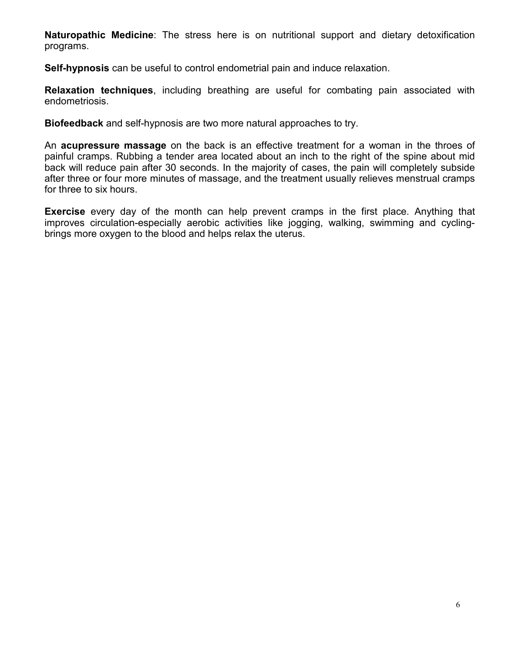**Naturopathic Medicine**: The stress here is on nutritional support and dietary detoxification programs.

**Self-hypnosis** can be useful to control endometrial pain and induce relaxation.

**Relaxation techniques**, including breathing are useful for combating pain associated with endometriosis.

**Biofeedback** and self-hypnosis are two more natural approaches to try.

An **acupressure massage** on the back is an effective treatment for a woman in the throes of painful cramps. Rubbing a tender area located about an inch to the right of the spine about mid back will reduce pain after 30 seconds. In the majority of cases, the pain will completely subside after three or four more minutes of massage, and the treatment usually relieves menstrual cramps for three to six hours.

**Exercise** every day of the month can help prevent cramps in the first place. Anything that improves circulation-especially aerobic activities like jogging, walking, swimming and cyclingbrings more oxygen to the blood and helps relax the uterus.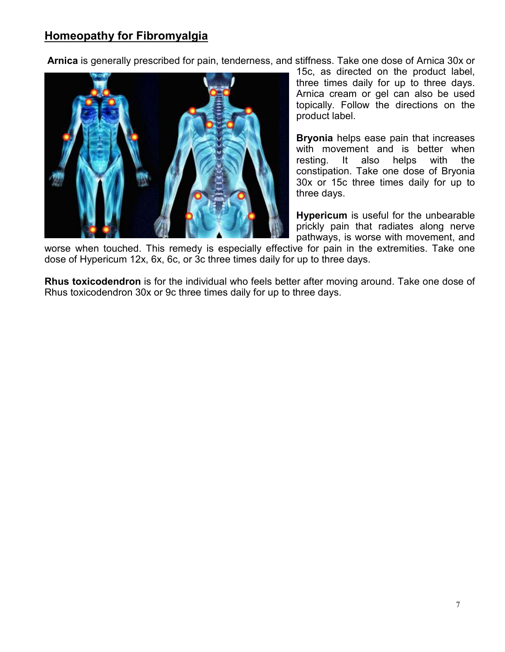# **Homeopathy for Fibromyalgia**

**Arnica** is generally prescribed for pain, tenderness, and stiffness. Take one dose of Arnica 30x or



15c, as directed on the product label, three times daily for up to three days. Arnica cream or gel can also be used topically. Follow the directions on the product label.

**Bryonia** helps ease pain that increases with movement and is better when resting. It also helps with the constipation. Take one dose of Bryonia 30x or 15c three times daily for up to three days.

**Hypericum** is useful for the unbearable prickly pain that radiates along nerve pathways, is worse with movement, and

worse when touched. This remedy is especially effective for pain in the extremities. Take one dose of Hypericum 12x, 6x, 6c, or 3c three times daily for up to three days.

**Rhus toxicodendron** is for the individual who feels better after moving around. Take one dose of Rhus toxicodendron 30x or 9c three times daily for up to three days.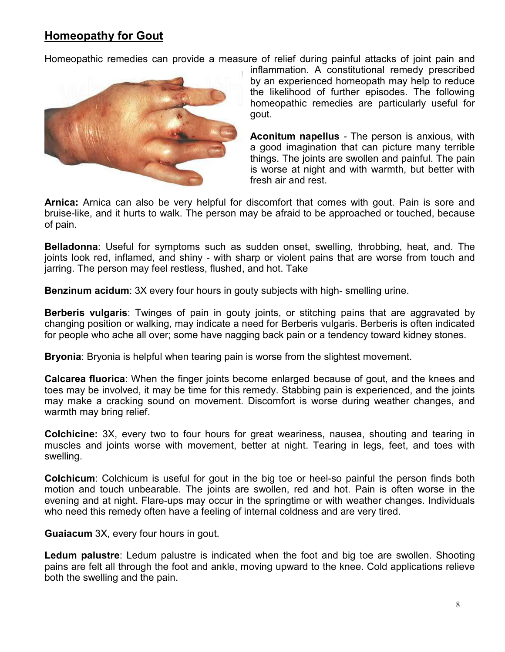# **Homeopathy for Gout**

Homeopathic remedies can provide a measure of relief during painful attacks of joint pain and



inflammation. A constitutional remedy prescribed by an experienced homeopath may help to reduce the likelihood of further episodes. The following homeopathic remedies are particularly useful for gout.

**Aconitum napellus** - The person is anxious, with a good imagination that can picture many terrible things. The joints are swollen and painful. The pain is worse at night and with warmth, but better with fresh air and rest.

**Arnica:** Arnica can also be very helpful for discomfort that comes with gout. Pain is sore and bruise-like, and it hurts to walk. The person may be afraid to be approached or touched, because of pain.

**Belladonna**: Useful for symptoms such as sudden onset, swelling, throbbing, heat, and. The joints look red, inflamed, and shiny - with sharp or violent pains that are worse from touch and jarring. The person may feel restless, flushed, and hot. Take

**Benzinum acidum**: 3X every four hours in gouty subjects with high- smelling urine.

**Berberis vulgaris**: Twinges of pain in gouty joints, or stitching pains that are aggravated by changing position or walking, may indicate a need for Berberis vulgaris. Berberis is often indicated for people who ache all over; some have nagging back pain or a tendency toward kidney stones.

**Bryonia**: Bryonia is helpful when tearing pain is worse from the slightest movement.

**Calcarea fluorica**: When the finger joints become enlarged because of gout, and the knees and toes may be involved, it may be time for this remedy. Stabbing pain is experienced, and the joints may make a cracking sound on movement. Discomfort is worse during weather changes, and warmth may bring relief.

**Colchicine:** 3X, every two to four hours for great weariness, nausea, shouting and tearing in muscles and joints worse with movement, better at night. Tearing in legs, feet, and toes with swelling.

**Colchicum**: Colchicum is useful for gout in the big toe or heel-so painful the person finds both motion and touch unbearable. The joints are swollen, red and hot. Pain is often worse in the evening and at night. Flare-ups may occur in the springtime or with weather changes. Individuals who need this remedy often have a feeling of internal coldness and are very tired.

**Guaiacum** 3X, every four hours in gout.

**Ledum palustre**: Ledum palustre is indicated when the foot and big toe are swollen. Shooting pains are felt all through the foot and ankle, moving upward to the knee. Cold applications relieve both the swelling and the pain.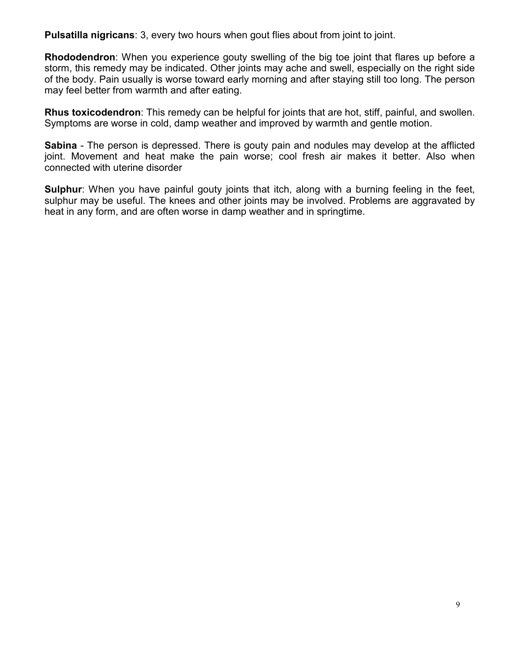**Pulsatilla nigricans**: 3, every two hours when gout flies about from joint to joint.

**Rhododendron**: When you experience gouty swelling of the big toe joint that flares up before a storm, this remedy may be indicated. Other joints may ache and swell, especially on the right side of the body. Pain usually is worse toward early morning and after staying still too long. The person may feel better from warmth and after eating.

**Rhus toxicodendron**: This remedy can be helpful for joints that are hot, stiff, painful, and swollen. Symptoms are worse in cold, damp weather and improved by warmth and gentle motion.

**Sabina** - The person is depressed. There is gouty pain and nodules may develop at the afflicted joint. Movement and heat make the pain worse; cool fresh air makes it better. Also when connected with uterine disorder

**Sulphur**: When you have painful gouty joints that itch, along with a burning feeling in the feet, sulphur may be useful. The knees and other joints may be involved. Problems are aggravated by heat in any form, and are often worse in damp weather and in springtime.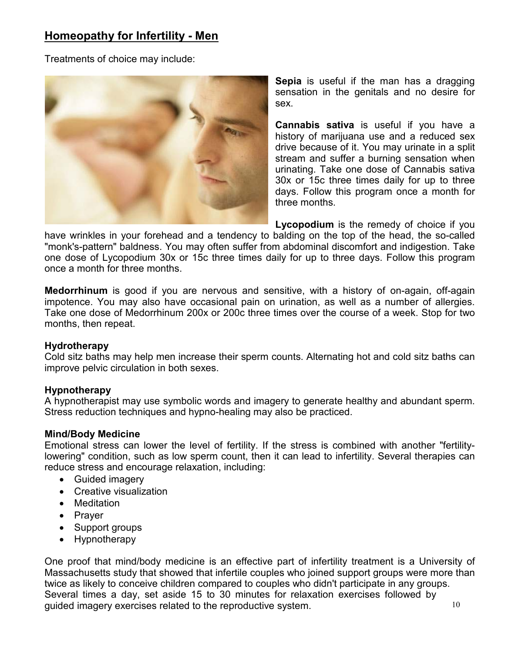# **Homeopathy for Infertility - Men**

Treatments of choice may include:



**Sepia** is useful if the man has a dragging sensation in the genitals and no desire for sex.

**Cannabis sativa** is useful if you have a history of marijuana use and a reduced sex drive because of it. You may urinate in a split stream and suffer a burning sensation when urinating. Take one dose of Cannabis sativa 30x or 15c three times daily for up to three days. Follow this program once a month for three months.

**Lycopodium** is the remedy of choice if you have wrinkles in your forehead and a tendency to balding on the top of the head, the so-called "monk's-pattern" baldness. You may often suffer from abdominal discomfort and indigestion. Take one dose of Lycopodium 30x or 15c three times daily for up to three days. Follow this program once a month for three months.

**Medorrhinum** is good if you are nervous and sensitive, with a history of on-again, off-again impotence. You may also have occasional pain on urination, as well as a number of allergies. Take one dose of Medorrhinum 200x or 200c three times over the course of a week. Stop for two months, then repeat.

#### **Hydrotherapy**

Cold sitz baths may help men increase their sperm counts. Alternating hot and cold sitz baths can improve pelvic circulation in both sexes.

#### **Hypnotherapy**

A hypnotherapist may use symbolic words and imagery to generate healthy and abundant sperm. Stress reduction techniques and hypno-healing may also be practiced.

#### **Mind/Body Medicine**

Emotional stress can lower the level of fertility. If the stress is combined with another "fertilitylowering" condition, such as low sperm count, then it can lead to infertility. Several therapies can reduce stress and encourage relaxation, including:

- Guided imagery
- Creative visualization
- Meditation
- Prayer
- Support groups
- Hypnotherapy

10 One proof that mind/body medicine is an effective part of infertility treatment is a University of Massachusetts study that showed that infertile couples who joined support groups were more than twice as likely to conceive children compared to couples who didn't participate in any groups. Several times a day, set aside 15 to 30 minutes for relaxation exercises followed by guided imagery exercises related to the reproductive system.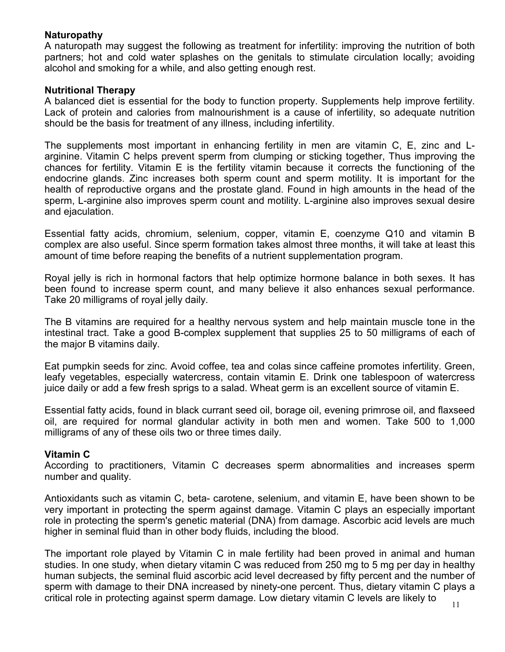#### **Naturopathy**

A naturopath may suggest the following as treatment for infertility: improving the nutrition of both partners; hot and cold water splashes on the genitals to stimulate circulation locally; avoiding alcohol and smoking for a while, and also getting enough rest.

### **Nutritional Therapy**

A balanced diet is essential for the body to function property. Supplements help improve fertility. Lack of protein and calories from malnourishment is a cause of infertility, so adequate nutrition should be the basis for treatment of any illness, including infertility.

The supplements most important in enhancing fertility in men are vitamin C, E, zinc and Larginine. Vitamin C helps prevent sperm from clumping or sticking together, Thus improving the chances for fertility. Vitamin E is the fertility vitamin because it corrects the functioning of the endocrine glands. Zinc increases both sperm count and sperm motility. It is important for the health of reproductive organs and the prostate gland. Found in high amounts in the head of the sperm, L-arginine also improves sperm count and motility. L-arginine also improves sexual desire and ejaculation.

Essential fatty acids, chromium, selenium, copper, vitamin E, coenzyme Q10 and vitamin B complex are also useful. Since sperm formation takes almost three months, it will take at least this amount of time before reaping the benefits of a nutrient supplementation program.

Royal jelly is rich in hormonal factors that help optimize hormone balance in both sexes. It has been found to increase sperm count, and many believe it also enhances sexual performance. Take 20 milligrams of royal jelly daily.

The B vitamins are required for a healthy nervous system and help maintain muscle tone in the intestinal tract. Take a good B-complex supplement that supplies 25 to 50 milligrams of each of the major B vitamins daily.

Eat pumpkin seeds for zinc. Avoid coffee, tea and colas since caffeine promotes infertility. Green, leafy vegetables, especially watercress, contain vitamin E. Drink one tablespoon of watercress juice daily or add a few fresh sprigs to a salad. Wheat germ is an excellent source of vitamin E.

Essential fatty acids, found in black currant seed oil, borage oil, evening primrose oil, and flaxseed oil, are required for normal glandular activity in both men and women. Take 500 to 1,000 milligrams of any of these oils two or three times daily.

## **Vitamin C**

According to practitioners, Vitamin C decreases sperm abnormalities and increases sperm number and quality.

Antioxidants such as vitamin C, beta- carotene, selenium, and vitamin E, have been shown to be very important in protecting the sperm against damage. Vitamin C plays an especially important role in protecting the sperm's genetic material (DNA) from damage. Ascorbic acid levels are much higher in seminal fluid than in other body fluids, including the blood.

The important role played by Vitamin C in male fertility had been proved in animal and human studies. In one study, when dietary vitamin C was reduced from 250 mg to 5 mg per day in healthy human subjects, the seminal fluid ascorbic acid level decreased by fifty percent and the number of sperm with damage to their DNA increased by ninety-one percent. Thus, dietary vitamin C plays a critical role in protecting against sperm damage. Low dietary vitamin C levels are likely to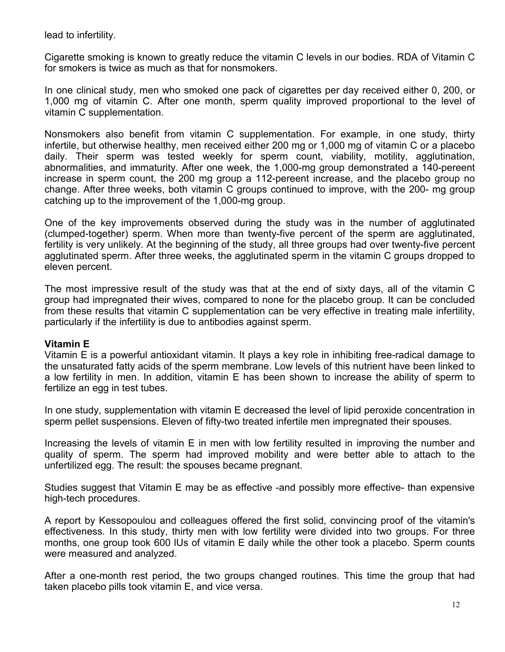lead to infertility.

Cigarette smoking is known to greatly reduce the vitamin C levels in our bodies. RDA of Vitamin C for smokers is twice as much as that for nonsmokers.

In one clinical study, men who smoked one pack of cigarettes per day received either 0, 200, or 1,000 mg of vitamin C. After one month, sperm quality improved proportional to the level of vitamin C supplementation.

Nonsmokers also benefit from vitamin C supplementation. For example, in one study, thirty infertile, but otherwise healthy, men received either 200 mg or 1,000 mg of vitamin C or a placebo daily. Their sperm was tested weekly for sperm count, viability, motility, agglutination, abnormalities, and immaturity. After one week, the 1,000-mg group demonstrated a 140-pereent increase in sperm count, the 200 mg group a 112-pereent increase, and the placebo group no change. After three weeks, both vitamin C groups continued to improve, with the 200- mg group catching up to the improvement of the 1,000-mg group.

One of the key improvements observed during the study was in the number of agglutinated (clumped-together) sperm. When more than twenty-five percent of the sperm are agglutinated, fertility is very unlikely. At the beginning of the study, all three groups had over twenty-five percent agglutinated sperm. After three weeks, the agglutinated sperm in the vitamin C groups dropped to eleven percent.

The most impressive result of the study was that at the end of sixty days, all of the vitamin C group had impregnated their wives, compared to none for the placebo group. It can be concluded from these results that vitamin C supplementation can be very effective in treating male infertility, particularly if the infertility is due to antibodies against sperm.

#### **Vitamin E**

Vitamin E is a powerful antioxidant vitamin. It plays a key role in inhibiting free-radical damage to the unsaturated fatty acids of the sperm membrane. Low levels of this nutrient have been linked to a low fertility in men. In addition, vitamin E has been shown to increase the ability of sperm to fertilize an egg in test tubes.

In one study, supplementation with vitamin E decreased the level of lipid peroxide concentration in sperm pellet suspensions. Eleven of fifty-two treated infertile men impregnated their spouses.

Increasing the levels of vitamin E in men with low fertility resulted in improving the number and quality of sperm. The sperm had improved mobility and were better able to attach to the unfertilized egg. The result: the spouses became pregnant.

Studies suggest that Vitamin E may be as effective -and possibly more effective- than expensive high-tech procedures.

A report by Kessopoulou and colleagues offered the first solid, convincing proof of the vitamin's effectiveness. In this study, thirty men with low fertility were divided into two groups. For three months, one group took 600 lUs of vitamin E daily while the other took a placebo. Sperm counts were measured and analyzed.

After a one-month rest period, the two groups changed routines. This time the group that had taken placebo pills took vitamin E, and vice versa.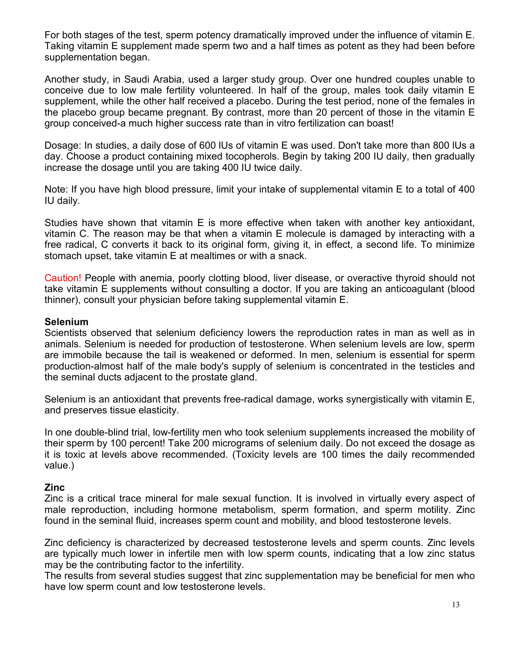For both stages of the test, sperm potency dramatically improved under the influence of vitamin E. Taking vitamin E supplement made sperm two and a half times as potent as they had been before supplementation began.

Another study, in Saudi Arabia, used a larger study group. Over one hundred couples unable to conceive due to low male fertility volunteered. In half of the group, males took daily vitamin E supplement, while the other half received a placebo. During the test period, none of the females in the placebo group became pregnant. By contrast, more than 20 percent of those in the vitamin E group conceived-a much higher success rate than in vitro fertilization can boast!

Dosage: In studies, a daily dose of 600 lUs of vitamin E was used. Don't take more than 800 lUs a day. Choose a product containing mixed tocopherols. Begin by taking 200 IU daily, then gradually increase the dosage until you are taking 400 IU twice daily.

Note: If you have high blood pressure, limit your intake of supplemental vitamin E to a total of 400 IU daily.

Studies have shown that vitamin E is more effective when taken with another key antioxidant, vitamin C. The reason may be that when a vitamin E molecule is damaged by interacting with a free radical, C converts it back to its original form, giving it, in effect, a second life. To minimize stomach upset, take vitamin E at mealtimes or with a snack.

Caution! People with anemia, poorly clotting blood, liver disease, or overactive thyroid should not take vitamin E supplements without consulting a doctor. If you are taking an anticoagulant (blood thinner), consult your physician before taking supplemental vitamin E.

#### **Selenium**

Scientists observed that selenium deficiency lowers the reproduction rates in man as well as in animals. Selenium is needed for production of testosterone. When selenium levels are low, sperm are immobile because the tail is weakened or deformed. In men, selenium is essential for sperm production-almost half of the male body's supply of selenium is concentrated in the testicles and the seminal ducts adjacent to the prostate gland.

Selenium is an antioxidant that prevents free-radical damage, works synergistically with vitamin E, and preserves tissue elasticity.

In one double-blind trial, low-fertility men who took selenium supplements increased the mobility of their sperm by 100 percent! Take 200 micrograms of selenium daily. Do not exceed the dosage as it is toxic at levels above recommended. (Toxicity levels are 100 times the daily recommended value.)

#### **Zinc**

Zinc is a critical trace mineral for male sexual function. It is involved in virtually every aspect of male reproduction, including hormone metabolism, sperm formation, and sperm motility. Zinc found in the seminal fluid, increases sperm count and mobility, and blood testosterone levels.

Zinc deficiency is characterized by decreased testosterone levels and sperm counts. Zinc levels are typically much lower in infertile men with low sperm counts, indicating that a low zinc status may be the contributing factor to the infertility.

The results from several studies suggest that zinc supplementation may be beneficial for men who have low sperm count and low testosterone levels.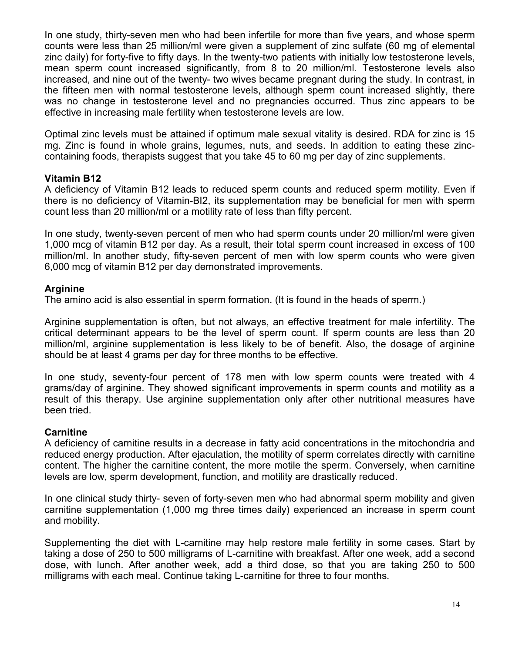In one study, thirty-seven men who had been infertile for more than five years, and whose sperm counts were less than 25 million/ml were given a supplement of zinc sulfate (60 mg of elemental zinc daily) for forty-five to fifty days. In the twenty-two patients with initially low testosterone levels, mean sperm count increased significantly, from 8 to 20 million/ml. Testosterone levels also increased, and nine out of the twenty- two wives became pregnant during the study. In contrast, in the fifteen men with normal testosterone levels, although sperm count increased slightly, there was no change in testosterone level and no pregnancies occurred. Thus zinc appears to be effective in increasing male fertility when testosterone levels are low.

Optimal zinc levels must be attained if optimum male sexual vitality is desired. RDA for zinc is 15 mg. Zinc is found in whole grains, legumes, nuts, and seeds. In addition to eating these zinccontaining foods, therapists suggest that you take 45 to 60 mg per day of zinc supplements.

#### **Vitamin B12**

A deficiency of Vitamin B12 leads to reduced sperm counts and reduced sperm motility. Even if there is no deficiency of Vitamin-BI2, its supplementation may be beneficial for men with sperm count less than 20 million/ml or a motility rate of less than fifty percent.

In one study, twenty-seven percent of men who had sperm counts under 20 million/ml were given 1,000 mcg of vitamin B12 per day. As a result, their total sperm count increased in excess of 100 million/ml. In another study, fifty-seven percent of men with low sperm counts who were given 6,000 mcg of vitamin B12 per day demonstrated improvements.

## **Arginine**

The amino acid is also essential in sperm formation. (It is found in the heads of sperm.)

Arginine supplementation is often, but not always, an effective treatment for male infertility. The critical determinant appears to be the level of sperm count. If sperm counts are less than 20 million/ml, arginine supplementation is less likely to be of benefit. Also, the dosage of arginine should be at least 4 grams per day for three months to be effective.

In one study, seventy-four percent of 178 men with low sperm counts were treated with 4 grams/day of arginine. They showed significant improvements in sperm counts and motility as a result of this therapy. Use arginine supplementation only after other nutritional measures have been tried.

## **Carnitine**

A deficiency of carnitine results in a decrease in fatty acid concentrations in the mitochondria and reduced energy production. After ejaculation, the motility of sperm correlates directly with carnitine content. The higher the carnitine content, the more motile the sperm. Conversely, when carnitine levels are low, sperm development, function, and motility are drastically reduced.

In one clinical study thirty- seven of forty-seven men who had abnormal sperm mobility and given carnitine supplementation (1,000 mg three times daily) experienced an increase in sperm count and mobility.

Supplementing the diet with L-carnitine may help restore male fertility in some cases. Start by taking a dose of 250 to 500 milligrams of L-carnitine with breakfast. After one week, add a second dose, with lunch. After another week, add a third dose, so that you are taking 250 to 500 milligrams with each meal. Continue taking L-carnitine for three to four months.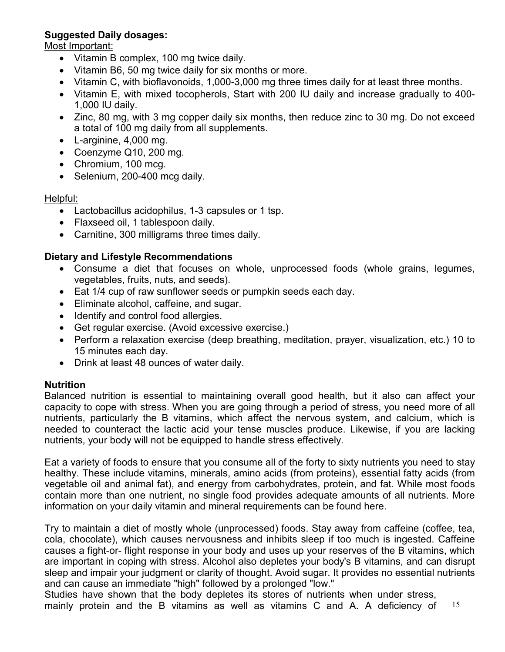## **Suggested Daily dosages:**

Most Important:

- Vitamin B complex, 100 mg twice daily.
- Vitamin B6, 50 mg twice daily for six months or more.
- Vitamin C, with bioflavonoids, 1,000-3,000 mg three times daily for at least three months.
- Vitamin E, with mixed tocopherols, Start with 200 IU daily and increase gradually to 400- 1,000 IU daily.
- Zinc, 80 mg, with 3 mg copper daily six months, then reduce zinc to 30 mg. Do not exceed a total of 100 mg daily from all supplements.
- L-arginine, 4,000 mg.
- Coenzyme Q10, 200 mg.
- Chromium, 100 mcg.
- Seleniurn, 200-400 mcg daily.

#### Helpful:

- Lactobacillus acidophilus, 1-3 capsules or 1 tsp.
- Flaxseed oil, 1 tablespoon daily.
- Carnitine, 300 milligrams three times daily.

## **Dietary and Lifestyle Recommendations**

- Consume a diet that focuses on whole, unprocessed foods (whole grains, legumes, vegetables, fruits, nuts, and seeds).
- Eat 1/4 cup of raw sunflower seeds or pumpkin seeds each day.
- Eliminate alcohol, caffeine, and sugar.
- Identify and control food allergies.
- Get regular exercise. (Avoid excessive exercise.)
- Perform a relaxation exercise (deep breathing, meditation, prayer, visualization, etc.) 10 to 15 minutes each day.
- Drink at least 48 ounces of water daily.

#### **Nutrition**

Balanced nutrition is essential to maintaining overall good health, but it also can affect your capacity to cope with stress. When you are going through a period of stress, you need more of all nutrients, particularly the B vitamins, which affect the nervous system, and calcium, which is needed to counteract the lactic acid your tense muscles produce. Likewise, if you are lacking nutrients, your body will not be equipped to handle stress effectively.

Eat a variety of foods to ensure that you consume all of the forty to sixty nutrients you need to stay healthy. These include vitamins, minerals, amino acids (from proteins), essential fatty acids (from vegetable oil and animal fat), and energy from carbohydrates, protein, and fat. While most foods contain more than one nutrient, no single food provides adequate amounts of all nutrients. More information on your daily vitamin and mineral requirements can be found here.

Try to maintain a diet of mostly whole (unprocessed) foods. Stay away from caffeine (coffee, tea, cola, chocolate), which causes nervousness and inhibits sleep if too much is ingested. Caffeine causes a fight-or- flight response in your body and uses up your reserves of the B vitamins, which are important in coping with stress. Alcohol also depletes your body's B vitamins, and can disrupt sleep and impair your judgment or clarity of thought. Avoid sugar. It provides no essential nutrients and can cause an immediate "high" followed by a prolonged "low."

Studies have shown that the body depletes its stores of nutrients when under stress,

15 mainly protein and the B vitamins as well as vitamins C and A. A deficiency of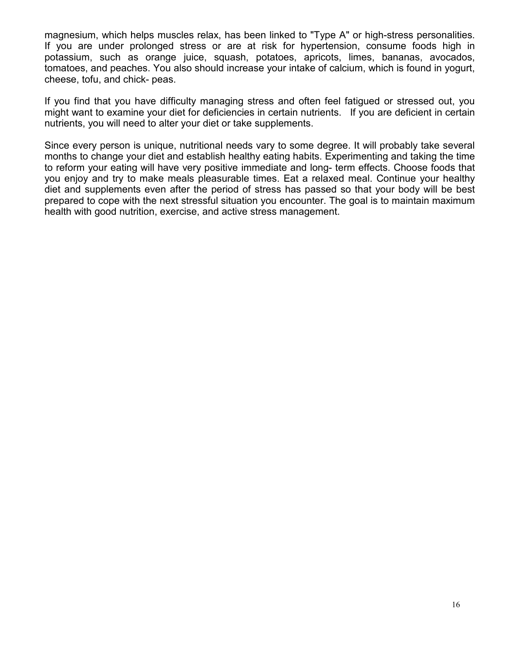magnesium, which helps muscles relax, has been linked to "Type A" or high-stress personalities. If you are under prolonged stress or are at risk for hypertension, consume foods high in potassium, such as orange juice, squash, potatoes, apricots, limes, bananas, avocados, tomatoes, and peaches. You also should increase your intake of calcium, which is found in yogurt, cheese, tofu, and chick- peas.

If you find that you have difficulty managing stress and often feel fatigued or stressed out, you might want to examine your diet for deficiencies in certain nutrients. If you are deficient in certain nutrients, you will need to alter your diet or take supplements.

Since every person is unique, nutritional needs vary to some degree. It will probably take several months to change your diet and establish healthy eating habits. Experimenting and taking the time to reform your eating will have very positive immediate and long- term effects. Choose foods that you enjoy and try to make meals pleasurable times. Eat a relaxed meal. Continue your healthy diet and supplements even after the period of stress has passed so that your body will be best prepared to cope with the next stressful situation you encounter. The goal is to maintain maximum health with good nutrition, exercise, and active stress management.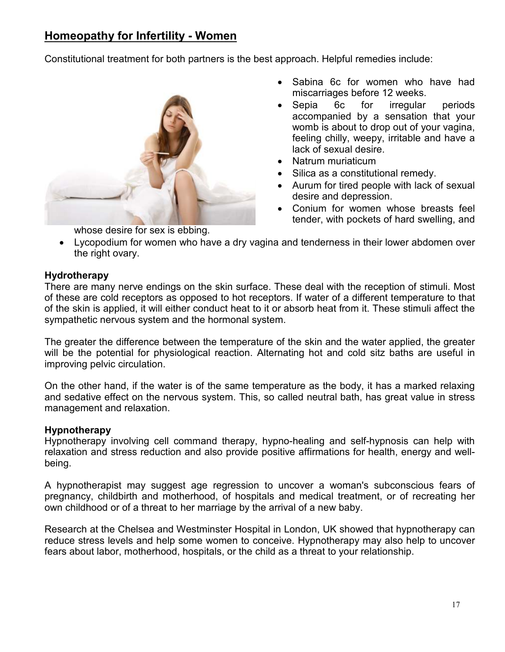# **Homeopathy for Infertility - Women**

Constitutional treatment for both partners is the best approach. Helpful remedies include:



whose desire for sex is ebbing.

- Sabina 6c for women who have had miscarriages before 12 weeks.
- Sepia 6c for irregular periods accompanied by a sensation that your womb is about to drop out of your vagina, feeling chilly, weepy, irritable and have a lack of sexual desire.
- Natrum muriaticum
- Silica as a constitutional remedy.
- Aurum for tired people with lack of sexual desire and depression.
- Conium for women whose breasts feel tender, with pockets of hard swelling, and
- Lycopodium for women who have a dry vagina and tenderness in their lower abdomen over the right ovary.

#### **Hydrotherapy**

There are many nerve endings on the skin surface. These deal with the reception of stimuli. Most of these are cold receptors as opposed to hot receptors. If water of a different temperature to that of the skin is applied, it will either conduct heat to it or absorb heat from it. These stimuli affect the sympathetic nervous system and the hormonal system.

The greater the difference between the temperature of the skin and the water applied, the greater will be the potential for physiological reaction. Alternating hot and cold sitz baths are useful in improving pelvic circulation.

On the other hand, if the water is of the same temperature as the body, it has a marked relaxing and sedative effect on the nervous system. This, so called neutral bath, has great value in stress management and relaxation.

#### **Hypnotherapy**

Hypnotherapy involving cell command therapy, hypno-healing and self-hypnosis can help with relaxation and stress reduction and also provide positive affirmations for health, energy and wellbeing.

A hypnotherapist may suggest age regression to uncover a woman's subconscious fears of pregnancy, childbirth and motherhood, of hospitals and medical treatment, or of recreating her own childhood or of a threat to her marriage by the arrival of a new baby.

Research at the Chelsea and Westminster Hospital in London, UK showed that hypnotherapy can reduce stress levels and help some women to conceive. Hypnotherapy may also help to uncover fears about labor, motherhood, hospitals, or the child as a threat to your relationship.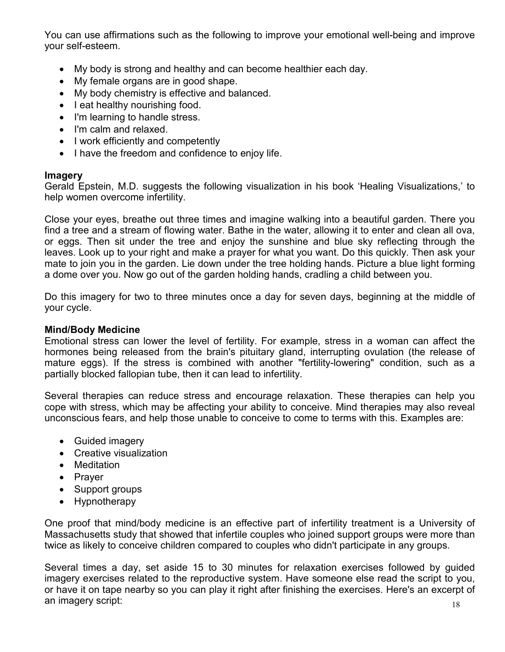You can use affirmations such as the following to improve your emotional well-being and improve your self-esteem.

- My body is strong and healthy and can become healthier each day.
- My female organs are in good shape.
- My body chemistry is effective and balanced.
- I eat healthy nourishing food.
- I'm learning to handle stress.
- I'm calm and relaxed.
- I work efficiently and competently
- I have the freedom and confidence to enjoy life.

#### **Imagery**

Gerald Epstein, M.D. suggests the following visualization in his book 'Healing Visualizations,' to help women overcome infertility.

Close your eyes, breathe out three times and imagine walking into a beautiful garden. There you find a tree and a stream of flowing water. Bathe in the water, allowing it to enter and clean all ova, or eggs. Then sit under the tree and enjoy the sunshine and blue sky reflecting through the leaves. Look up to your right and make a prayer for what you want. Do this quickly. Then ask your mate to join you in the garden. Lie down under the tree holding hands. Picture a blue light forming a dome over you. Now go out of the garden holding hands, cradling a child between you.

Do this imagery for two to three minutes once a day for seven days, beginning at the middle of your cycle.

#### **Mind/Body Medicine**

Emotional stress can lower the level of fertility. For example, stress in a woman can affect the hormones being released from the brain's pituitary gland, interrupting ovulation (the release of mature eggs). If the stress is combined with another "fertility-lowering" condition, such as a partially blocked fallopian tube, then it can lead to infertility.

Several therapies can reduce stress and encourage relaxation. These therapies can help you cope with stress, which may be affecting your ability to conceive. Mind therapies may also reveal unconscious fears, and help those unable to conceive to come to terms with this. Examples are:

- Guided imagery
- Creative visualization
- Meditation
- Prayer
- Support groups
- Hypnotherapy

One proof that mind/body medicine is an effective part of infertility treatment is a University of Massachusetts study that showed that infertile couples who joined support groups were more than twice as likely to conceive children compared to couples who didn't participate in any groups.

Several times a day, set aside 15 to 30 minutes for relaxation exercises followed by guided imagery exercises related to the reproductive system. Have someone else read the script to you, or have it on tape nearby so you can play it right after finishing the exercises. Here's an excerpt of an imagery script: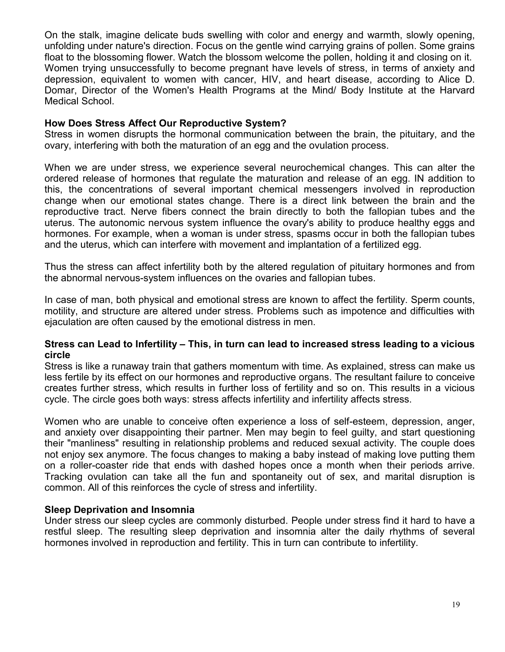On the stalk, imagine delicate buds swelling with color and energy and warmth, slowly opening, unfolding under nature's direction. Focus on the gentle wind carrying grains of pollen. Some grains float to the blossoming flower. Watch the blossom welcome the pollen, holding it and closing on it. Women trying unsuccessfully to become pregnant have levels of stress, in terms of anxiety and depression, equivalent to women with cancer, HIV, and heart disease, according to Alice D. Domar, Director of the Women's Health Programs at the Mind/ Body Institute at the Harvard Medical School.

#### **How Does Stress Affect Our Reproductive System?**

Stress in women disrupts the hormonal communication between the brain, the pituitary, and the ovary, interfering with both the maturation of an egg and the ovulation process.

When we are under stress, we experience several neurochemical changes. This can alter the ordered release of hormones that regulate the maturation and release of an egg. IN addition to this, the concentrations of several important chemical messengers involved in reproduction change when our emotional states change. There is a direct link between the brain and the reproductive tract. Nerve fibers connect the brain directly to both the fallopian tubes and the uterus. The autonomic nervous system influence the ovary's ability to produce healthy eggs and hormones. For example, when a woman is under stress, spasms occur in both the fallopian tubes and the uterus, which can interfere with movement and implantation of a fertilized egg.

Thus the stress can affect infertility both by the altered regulation of pituitary hormones and from the abnormal nervous-system influences on the ovaries and fallopian tubes.

In case of man, both physical and emotional stress are known to affect the fertility. Sperm counts, motility, and structure are altered under stress. Problems such as impotence and difficulties with ejaculation are often caused by the emotional distress in men.

#### **Stress can Lead to Infertility – This, in turn can lead to increased stress leading to a vicious circle**

Stress is like a runaway train that gathers momentum with time. As explained, stress can make us less fertile by its effect on our hormones and reproductive organs. The resultant failure to conceive creates further stress, which results in further loss of fertility and so on. This results in a vicious cycle. The circle goes both ways: stress affects infertility and infertility affects stress.

Women who are unable to conceive often experience a loss of self-esteem, depression, anger, and anxiety over disappointing their partner. Men may begin to feel guilty, and start questioning their "manliness" resulting in relationship problems and reduced sexual activity. The couple does not enjoy sex anymore. The focus changes to making a baby instead of making love putting them on a roller-coaster ride that ends with dashed hopes once a month when their periods arrive. Tracking ovulation can take all the fun and spontaneity out of sex, and marital disruption is common. All of this reinforces the cycle of stress and infertility.

#### **Sleep Deprivation and Insomnia**

Under stress our sleep cycles are commonly disturbed. People under stress find it hard to have a restful sleep. The resulting sleep deprivation and insomnia alter the daily rhythms of several hormones involved in reproduction and fertility. This in turn can contribute to infertility.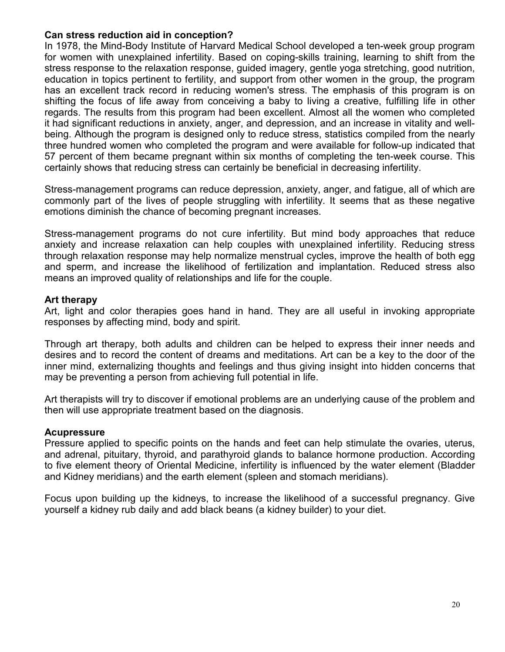#### **Can stress reduction aid in conception?**

In 1978, the Mind-Body Institute of Harvard Medical School developed a ten-week group program for women with unexplained infertility. Based on coping-skills training, learning to shift from the stress response to the relaxation response, guided imagery, gentle yoga stretching, good nutrition, education in topics pertinent to fertility, and support from other women in the group, the program has an excellent track record in reducing women's stress. The emphasis of this program is on shifting the focus of life away from conceiving a baby to living a creative, fulfilling life in other regards. The results from this program had been excellent. Almost all the women who completed it had significant reductions in anxiety, anger, and depression, and an increase in vitality and wellbeing. Although the program is designed only to reduce stress, statistics compiled from the nearly three hundred women who completed the program and were available for follow-up indicated that 57 percent of them became pregnant within six months of completing the ten-week course. This certainly shows that reducing stress can certainly be beneficial in decreasing infertility.

Stress-management programs can reduce depression, anxiety, anger, and fatigue, all of which are commonly part of the lives of people struggling with infertility. It seems that as these negative emotions diminish the chance of becoming pregnant increases.

Stress-management programs do not cure infertility. But mind body approaches that reduce anxiety and increase relaxation can help couples with unexplained infertility. Reducing stress through relaxation response may help normalize menstrual cycles, improve the health of both egg and sperm, and increase the likelihood of fertilization and implantation. Reduced stress also means an improved quality of relationships and life for the couple.

#### **Art therapy**

Art, light and color therapies goes hand in hand. They are all useful in invoking appropriate responses by affecting mind, body and spirit.

Through art therapy, both adults and children can be helped to express their inner needs and desires and to record the content of dreams and meditations. Art can be a key to the door of the inner mind, externalizing thoughts and feelings and thus giving insight into hidden concerns that may be preventing a person from achieving full potential in life.

Art therapists will try to discover if emotional problems are an underlying cause of the problem and then will use appropriate treatment based on the diagnosis.

#### **Acupressure**

Pressure applied to specific points on the hands and feet can help stimulate the ovaries, uterus, and adrenal, pituitary, thyroid, and parathyroid glands to balance hormone production. According to five element theory of Oriental Medicine, infertility is influenced by the water element (Bladder and Kidney meridians) and the earth element (spleen and stomach meridians).

Focus upon building up the kidneys, to increase the likelihood of a successful pregnancy. Give yourself a kidney rub daily and add black beans (a kidney builder) to your diet.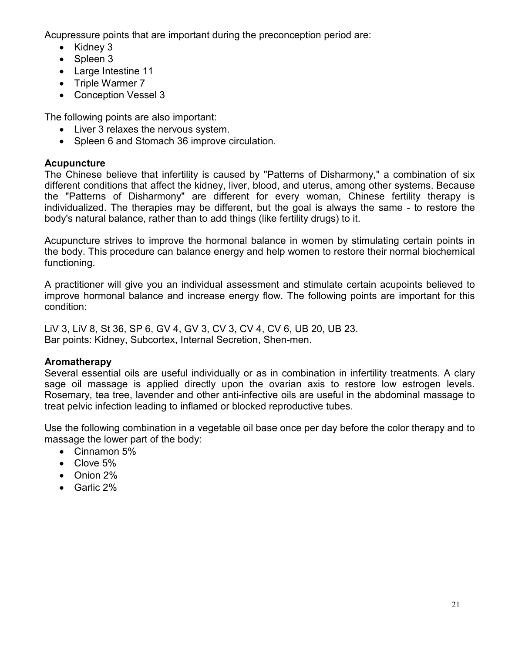Acupressure points that are important during the preconception period are:

- Kidney 3
- Spleen 3
- Large Intestine 11
- Triple Warmer 7
- Conception Vessel 3

The following points are also important:

- Liver 3 relaxes the nervous system.
- Spleen 6 and Stomach 36 improve circulation.

## **Acupuncture**

The Chinese believe that infertility is caused by "Patterns of Disharmony," a combination of six different conditions that affect the kidney, liver, blood, and uterus, among other systems. Because the "Patterns of Disharmony" are different for every woman, Chinese fertility therapy is individualized. The therapies may be different, but the goal is always the same - to restore the body's natural balance, rather than to add things (like fertility drugs) to it.

Acupuncture strives to improve the hormonal balance in women by stimulating certain points in the body. This procedure can balance energy and help women to restore their normal biochemical functioning.

A practitioner will give you an individual assessment and stimulate certain acupoints believed to improve hormonal balance and increase energy flow. The following points are important for this condition:

LiV 3, LiV 8, St 36, SP 6, GV 4, GV 3, CV 3, CV 4, CV 6, UB 20, UB 23. Bar points: Kidney, Subcortex, Internal Secretion, Shen-men.

## **Aromatherapy**

Several essential oils are useful individually or as in combination in infertility treatments. A clary sage oil massage is applied directly upon the ovarian axis to restore low estrogen levels. Rosemary, tea tree, lavender and other anti-infective oils are useful in the abdominal massage to treat pelvic infection leading to inflamed or blocked reproductive tubes.

Use the following combination in a vegetable oil base once per day before the color therapy and to massage the lower part of the body:

- Cinnamon 5%
- Clove 5%
- Onion 2%
- Garlic 2%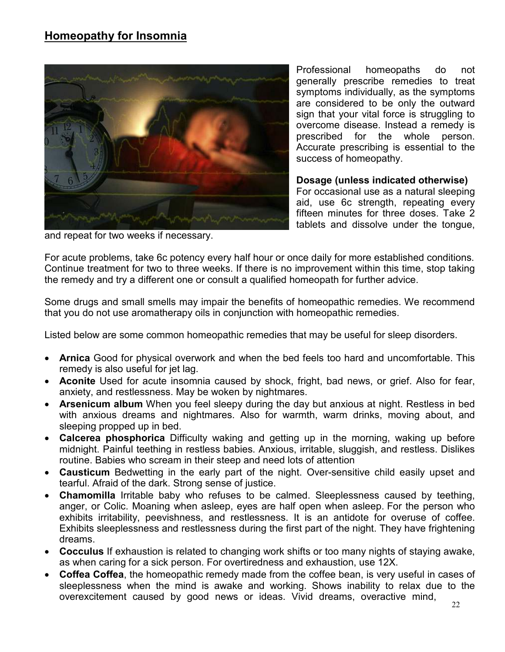

Professional homeopaths do not generally prescribe remedies to treat symptoms individually, as the symptoms are considered to be only the outward sign that your vital force is struggling to overcome disease. Instead a remedy is prescribed for the whole person. Accurate prescribing is essential to the success of homeopathy.

#### **Dosage (unless indicated otherwise)**

For occasional use as a natural sleeping aid, use 6c strength, repeating every fifteen minutes for three doses. Take 2 tablets and dissolve under the tongue,

and repeat for two weeks if necessary.

For acute problems, take 6c potency every half hour or once daily for more established conditions. Continue treatment for two to three weeks. If there is no improvement within this time, stop taking the remedy and try a different one or consult a qualified homeopath for further advice.

Some drugs and small smells may impair the benefits of homeopathic remedies. We recommend that you do not use aromatherapy oils in conjunction with homeopathic remedies.

Listed below are some common homeopathic remedies that may be useful for sleep disorders.

- **Arnica** Good for physical overwork and when the bed feels too hard and uncomfortable. This remedy is also useful for jet lag.
- **Aconite** Used for acute insomnia caused by shock, fright, bad news, or grief. Also for fear, anxiety, and restlessness. May be woken by nightmares.
- **Arsenicum album** When you feel sleepy during the day but anxious at night. Restless in bed with anxious dreams and nightmares. Also for warmth, warm drinks, moving about, and sleeping propped up in bed.
- **Calcerea phosphorica** Difficulty waking and getting up in the morning, waking up before midnight. Painful teething in restless babies. Anxious, irritable, sluggish, and restless. Dislikes routine. Babies who scream in their steep and need lots of attention
- **Causticum** Bedwetting in the early part of the night. Over-sensitive child easily upset and tearful. Afraid of the dark. Strong sense of justice.
- **Chamomilla** Irritable baby who refuses to be calmed. Sleeplessness caused by teething, anger, or Colic. Moaning when asleep, eyes are half open when asleep. For the person who exhibits irritability, peevishness, and restlessness. It is an antidote for overuse of coffee. Exhibits sleeplessness and restlessness during the first part of the night. They have frightening dreams.
- **Cocculus** If exhaustion is related to changing work shifts or too many nights of staying awake, as when caring for a sick person. For overtiredness and exhaustion, use 12X.
- **Coffea Coffea**, the homeopathic remedy made from the coffee bean, is very useful in cases of sleeplessness when the mind is awake and working. Shows inability to relax due to the overexcitement caused by good news or ideas. Vivid dreams, overactive mind,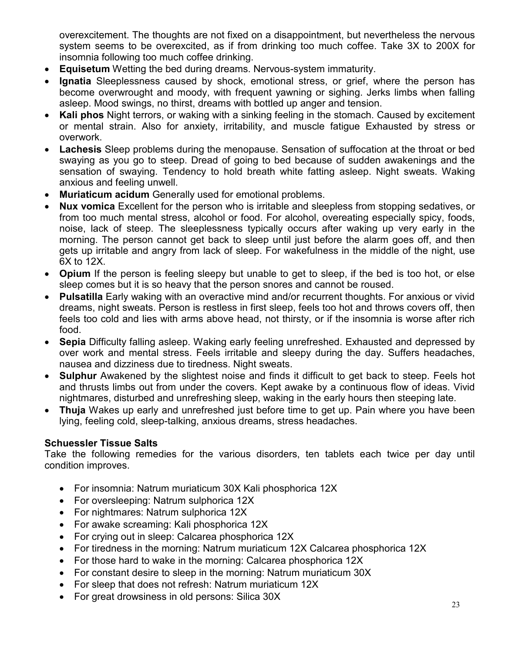overexcitement. The thoughts are not fixed on a disappointment, but nevertheless the nervous system seems to be overexcited, as if from drinking too much coffee. Take 3X to 200X for insomnia following too much coffee drinking.

- **Equisetum** Wetting the bed during dreams. Nervous-system immaturity.
- **Ignatia** Sleeplessness caused by shock, emotional stress, or grief, where the person has become overwrought and moody, with frequent yawning or sighing. Jerks limbs when falling asleep. Mood swings, no thirst, dreams with bottled up anger and tension.
- **Kali phos** Night terrors, or waking with a sinking feeling in the stomach. Caused by excitement or mental strain. Also for anxiety, irritability, and muscle fatigue Exhausted by stress or overwork.
- **Lachesis** Sleep problems during the menopause. Sensation of suffocation at the throat or bed swaying as you go to steep. Dread of going to bed because of sudden awakenings and the sensation of swaying. Tendency to hold breath white fatting asleep. Night sweats. Waking anxious and feeling unwell.
- **Muriaticum acidum** Generally used for emotional problems.
- **Nux vomica** Excellent for the person who is irritable and sleepless from stopping sedatives, or from too much mental stress, alcohol or food. For alcohol, overeating especially spicy, foods, noise, lack of steep. The sleeplessness typically occurs after waking up very early in the morning. The person cannot get back to sleep until just before the alarm goes off, and then gets up irritable and angry from lack of sleep. For wakefulness in the middle of the night, use 6X to 12X.
- **Opium** If the person is feeling sleepy but unable to get to sleep, if the bed is too hot, or else sleep comes but it is so heavy that the person snores and cannot be roused.
- **Pulsatilla** Early waking with an overactive mind and/or recurrent thoughts. For anxious or vivid dreams, night sweats. Person is restless in first sleep, feels too hot and throws covers off, then feels too cold and lies with arms above head, not thirsty, or if the insomnia is worse after rich food.
- **Sepia** Difficulty falling asleep. Waking early feeling unrefreshed. Exhausted and depressed by over work and mental stress. Feels irritable and sleepy during the day. Suffers headaches, nausea and dizziness due to tiredness. Night sweats.
- **Sulphur** Awakened by the slightest noise and finds it difficult to get back to steep. Feels hot and thrusts limbs out from under the covers. Kept awake by a continuous flow of ideas. Vivid nightmares, disturbed and unrefreshing sleep, waking in the early hours then steeping late.
- **Thuja** Wakes up early and unrefreshed just before time to get up. Pain where you have been lying, feeling cold, sleep-talking, anxious dreams, stress headaches.

## **Schuessler Tissue Salts**

Take the following remedies for the various disorders, ten tablets each twice per day until condition improves.

- For insomnia: Natrum muriaticum 30X Kali phosphorica 12X
- For oversleeping: Natrum sulphorica 12X
- For nightmares: Natrum sulphorica 12X
- For awake screaming: Kali phosphorica 12X
- For crying out in sleep: Calcarea phosphorica 12X
- For tiredness in the morning: Natrum muriaticum 12X Calcarea phosphorica 12X
- For those hard to wake in the morning: Calcarea phosphorica 12X
- For constant desire to sleep in the morning: Natrum muriaticum 30X
- For sleep that does not refresh: Natrum muriaticum 12X
- For great drowsiness in old persons: Silica 30X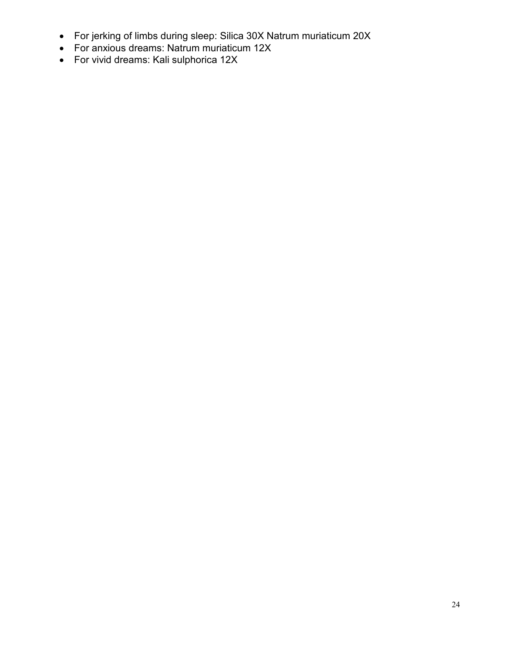- For jerking of limbs during sleep: Silica 30X Natrum muriaticum 20X
- For anxious dreams: Natrum muriaticum 12X
- For vivid dreams: Kali sulphorica 12X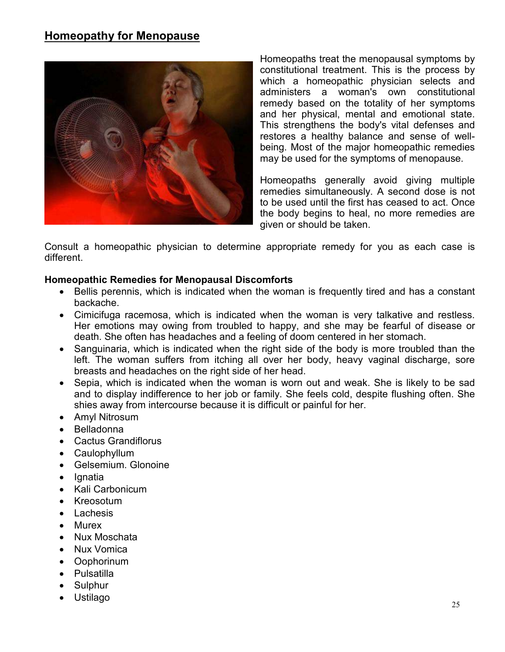## **Homeopathy for Menopause**



Homeopaths treat the menopausal symptoms by constitutional treatment. This is the process by which a homeopathic physician selects and administers a woman's own constitutional remedy based on the totality of her symptoms and her physical, mental and emotional state. This strengthens the body's vital defenses and restores a healthy balance and sense of wellbeing. Most of the major homeopathic remedies may be used for the symptoms of menopause.

Homeopaths generally avoid giving multiple remedies simultaneously. A second dose is not to be used until the first has ceased to act. Once the body begins to heal, no more remedies are given or should be taken.

Consult a homeopathic physician to determine appropriate remedy for you as each case is different.

#### **Homeopathic Remedies for Menopausal Discomforts**

- Bellis perennis, which is indicated when the woman is frequently tired and has a constant backache.
- Cimicifuga racemosa, which is indicated when the woman is very talkative and restless. Her emotions may owing from troubled to happy, and she may be fearful of disease or death. She often has headaches and a feeling of doom centered in her stomach.
- Sanguinaria, which is indicated when the right side of the body is more troubled than the left. The woman suffers from itching all over her body, heavy vaginal discharge, sore breasts and headaches on the right side of her head.
- Sepia, which is indicated when the woman is worn out and weak. She is likely to be sad and to display indifference to her job or family. She feels cold, despite flushing often. She shies away from intercourse because it is difficult or painful for her.
- Amyl Nitrosum
- Belladonna
- Cactus Grandiflorus
- Caulophyllum
- Gelsemium. Glonoine
- Ignatia
- Kali Carbonicum
- Kreosotum
- **Lachesis**
- Murex
- Nux Moschata
- Nux Vomica
- Oophorinum
- Pulsatilla
- Sulphur
- Ustilago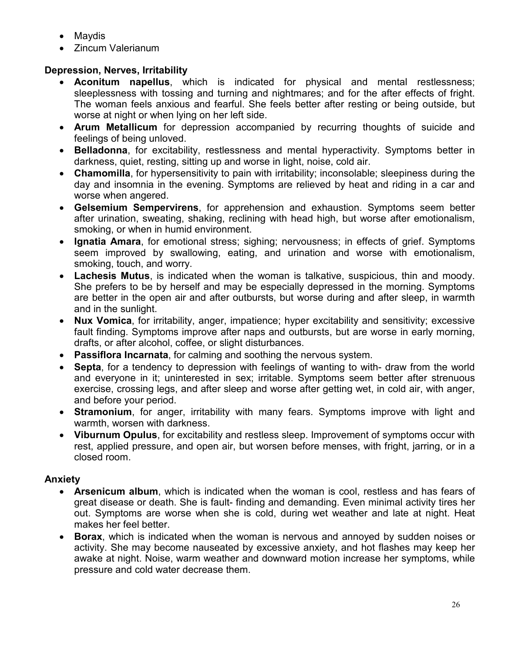- Maydis
- Zincum Valerianum

## **Depression, Nerves, Irritability**

- **Aconitum napellus**, which is indicated for physical and mental restlessness; sleeplessness with tossing and turning and nightmares; and for the after effects of fright. The woman feels anxious and fearful. She feels better after resting or being outside, but worse at night or when lying on her left side.
- **Arum Metallicum** for depression accompanied by recurring thoughts of suicide and feelings of being unloved.
- **Belladonna**, for excitability, restlessness and mental hyperactivity. Symptoms better in darkness, quiet, resting, sitting up and worse in light, noise, cold air.
- **Chamomilla**, for hypersensitivity to pain with irritability; inconsolable; sleepiness during the day and insomnia in the evening. Symptoms are relieved by heat and riding in a car and worse when angered.
- **Gelsemium Sempervirens**, for apprehension and exhaustion. Symptoms seem better after urination, sweating, shaking, reclining with head high, but worse after emotionalism, smoking, or when in humid environment.
- **Ignatia Amara**, for emotional stress; sighing; nervousness; in effects of grief. Symptoms seem improved by swallowing, eating, and urination and worse with emotionalism, smoking, touch, and worry.
- **Lachesis Mutus**, is indicated when the woman is talkative, suspicious, thin and moody. She prefers to be by herself and may be especially depressed in the morning. Symptoms are better in the open air and after outbursts, but worse during and after sleep, in warmth and in the sunlight.
- **Nux Vomica**, for irritability, anger, impatience; hyper excitability and sensitivity; excessive fault finding. Symptoms improve after naps and outbursts, but are worse in early morning, drafts, or after alcohol, coffee, or slight disturbances.
- **Passiflora Incarnata**, for calming and soothing the nervous system.
- **Septa**, for a tendency to depression with feelings of wanting to with- draw from the world and everyone in it; uninterested in sex; irritable. Symptoms seem better after strenuous exercise, crossing legs, and after sleep and worse after getting wet, in cold air, with anger, and before your period.
- **Stramonium**, for anger, irritability with many fears. Symptoms improve with light and warmth, worsen with darkness.
- **Viburnum Opulus**, for excitability and restless sleep. Improvement of symptoms occur with rest, applied pressure, and open air, but worsen before menses, with fright, jarring, or in a closed room.

## **Anxiety**

- **Arsenicum album**, which is indicated when the woman is cool, restless and has fears of great disease or death. She is fault- finding and demanding. Even minimal activity tires her out. Symptoms are worse when she is cold, during wet weather and late at night. Heat makes her feel better.
- **Borax**, which is indicated when the woman is nervous and annoyed by sudden noises or activity. She may become nauseated by excessive anxiety, and hot flashes may keep her awake at night. Noise, warm weather and downward motion increase her symptoms, while pressure and cold water decrease them.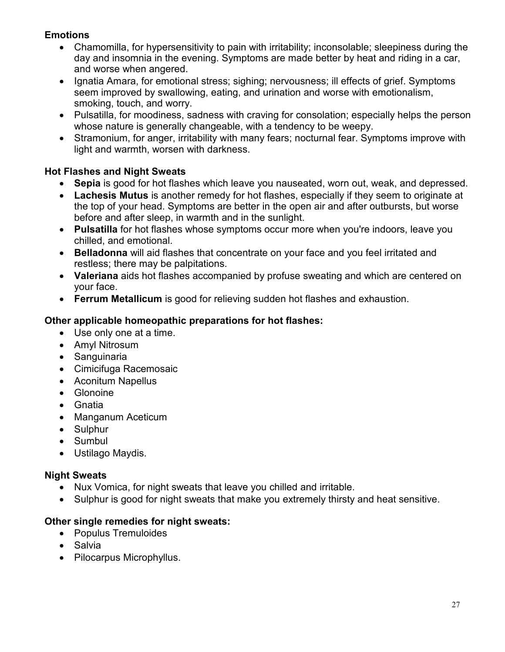## **Emotions**

- Chamomilla, for hypersensitivity to pain with irritability; inconsolable; sleepiness during the day and insomnia in the evening. Symptoms are made better by heat and riding in a car, and worse when angered.
- Ignatia Amara, for emotional stress; sighing; nervousness; ill effects of grief. Symptoms seem improved by swallowing, eating, and urination and worse with emotionalism, smoking, touch, and worry.
- Pulsatilla, for moodiness, sadness with craving for consolation; especially helps the person whose nature is generally changeable, with a tendency to be weepy.
- Stramonium, for anger, irritability with many fears; nocturnal fear. Symptoms improve with light and warmth, worsen with darkness.

## **Hot Flashes and Night Sweats**

- **Sepia** is good for hot flashes which leave you nauseated, worn out, weak, and depressed.
- **Lachesis Mutus** is another remedy for hot flashes, especially if they seem to originate at the top of your head. Symptoms are better in the open air and after outbursts, but worse before and after sleep, in warmth and in the sunlight.
- **Pulsatilla** for hot flashes whose symptoms occur more when you're indoors, leave you chilled, and emotional.
- **Belladonna** will aid flashes that concentrate on your face and you feel irritated and restless; there may be palpitations.
- **Valeriana** aids hot flashes accompanied by profuse sweating and which are centered on your face.
- **Ferrum Metallicum** is good for relieving sudden hot flashes and exhaustion.

## **Other applicable homeopathic preparations for hot flashes:**

- Use only one at a time.
- Amyl Nitrosum
- Sanguinaria
- Cimicifuga Racemosaic
- Aconitum Napellus
- Glonoine
- Gnatia
- Manganum Aceticum
- Sulphur
- Sumbul
- Ustilago Maydis.

#### **Night Sweats**

- Nux Vomica, for night sweats that leave you chilled and irritable.
- Sulphur is good for night sweats that make you extremely thirsty and heat sensitive.

## **Other single remedies for night sweats:**

- Populus Tremuloides
- Salvia
- Pilocarpus Microphyllus.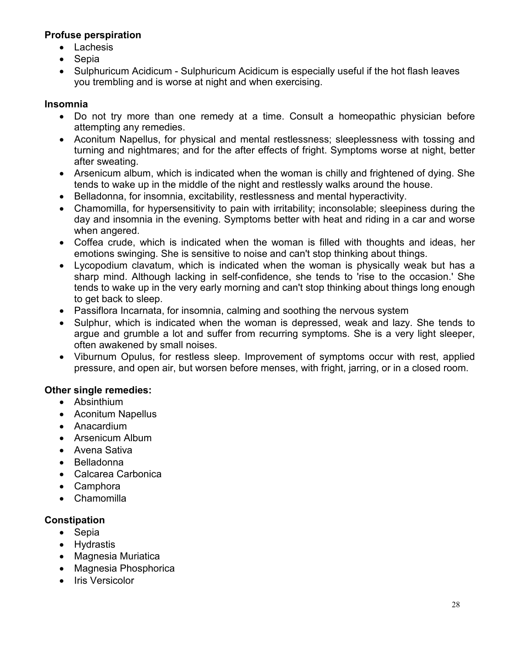## **Profuse perspiration**

- Lachesis
- **Sepia**
- Sulphuricum Acidicum Sulphuricum Acidicum is especially useful if the hot flash leaves you trembling and is worse at night and when exercising.

## **Insomnia**

- Do not try more than one remedy at a time. Consult a homeopathic physician before attempting any remedies.
- Aconitum Napellus, for physical and mental restlessness; sleeplessness with tossing and turning and nightmares; and for the after effects of fright. Symptoms worse at night, better after sweating.
- Arsenicum album, which is indicated when the woman is chilly and frightened of dying. She tends to wake up in the middle of the night and restlessly walks around the house.
- Belladonna, for insomnia, excitability, restlessness and mental hyperactivity.
- Chamomilla, for hypersensitivity to pain with irritability; inconsolable; sleepiness during the day and insomnia in the evening. Symptoms better with heat and riding in a car and worse when angered.
- Coffea crude, which is indicated when the woman is filled with thoughts and ideas, her emotions swinging. She is sensitive to noise and can't stop thinking about things.
- Lycopodium clavatum, which is indicated when the woman is physically weak but has a sharp mind. Although lacking in self-confidence, she tends to 'rise to the occasion.' She tends to wake up in the very early morning and can't stop thinking about things long enough to get back to sleep.
- Passiflora Incarnata, for insomnia, calming and soothing the nervous system
- Sulphur, which is indicated when the woman is depressed, weak and lazy. She tends to argue and grumble a lot and suffer from recurring symptoms. She is a very light sleeper, often awakened by small noises.
- Viburnum Opulus, for restless sleep. Improvement of symptoms occur with rest, applied pressure, and open air, but worsen before menses, with fright, jarring, or in a closed room.

## **Other single remedies:**

- Absinthium
- Aconitum Napellus
- Anacardium
- Arsenicum Album
- Avena Sativa
- Belladonna
- Calcarea Carbonica
- Camphora
- Chamomilla

## **Constipation**

- Sepia
- Hydrastis
- Magnesia Muriatica
- Magnesia Phosphorica
- Iris Versicolor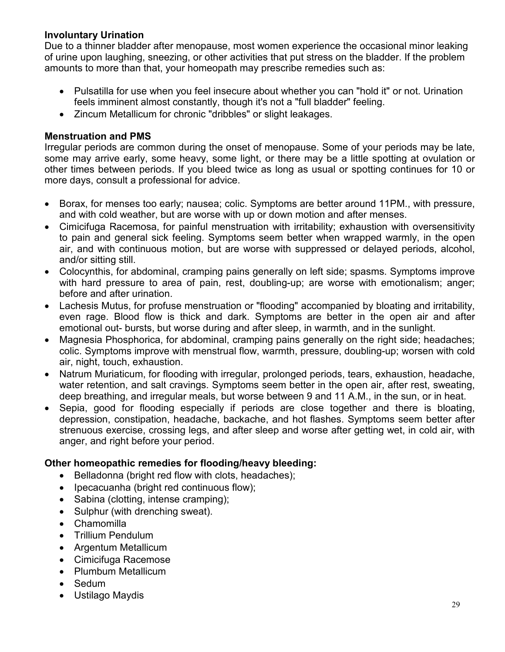## **Involuntary Urination**

Due to a thinner bladder after menopause, most women experience the occasional minor leaking of urine upon laughing, sneezing, or other activities that put stress on the bladder. If the problem amounts to more than that, your homeopath may prescribe remedies such as:

- Pulsatilla for use when you feel insecure about whether you can "hold it" or not. Urination feels imminent almost constantly, though it's not a "full bladder" feeling.
- Zincum Metallicum for chronic "dribbles" or slight leakages.

### **Menstruation and PMS**

Irregular periods are common during the onset of menopause. Some of your periods may be late, some may arrive early, some heavy, some light, or there may be a little spotting at ovulation or other times between periods. If you bleed twice as long as usual or spotting continues for 10 or more days, consult a professional for advice.

- Borax, for menses too early; nausea; colic. Symptoms are better around 11PM., with pressure, and with cold weather, but are worse with up or down motion and after menses.
- Cimicifuga Racemosa, for painful menstruation with irritability; exhaustion with oversensitivity to pain and general sick feeling. Symptoms seem better when wrapped warmly, in the open air, and with continuous motion, but are worse with suppressed or delayed periods, alcohol, and/or sitting still.
- Colocynthis, for abdominal, cramping pains generally on left side; spasms. Symptoms improve with hard pressure to area of pain, rest, doubling-up; are worse with emotionalism; anger; before and after urination.
- Lachesis Mutus, for profuse menstruation or "flooding" accompanied by bloating and irritability, even rage. Blood flow is thick and dark. Symptoms are better in the open air and after emotional out- bursts, but worse during and after sleep, in warmth, and in the sunlight.
- Magnesia Phosphorica, for abdominal, cramping pains generally on the right side; headaches; colic. Symptoms improve with menstrual flow, warmth, pressure, doubling-up; worsen with cold air, night, touch, exhaustion.
- Natrum Muriaticum, for flooding with irregular, prolonged periods, tears, exhaustion, headache, water retention, and salt cravings. Symptoms seem better in the open air, after rest, sweating, deep breathing, and irregular meals, but worse between 9 and 11 A.M., in the sun, or in heat.
- Sepia, good for flooding especially if periods are close together and there is bloating, depression, constipation, headache, backache, and hot flashes. Symptoms seem better after strenuous exercise, crossing legs, and after sleep and worse after getting wet, in cold air, with anger, and right before your period.

## **Other homeopathic remedies for flooding/heavy bleeding:**

- Belladonna (bright red flow with clots, headaches);
- Ipecacuanha (bright red continuous flow);
- Sabina (clotting, intense cramping);
- Sulphur (with drenching sweat).
- Chamomilla
- Trillium Pendulum
- Argentum Metallicum
- Cimicifuga Racemose
- Plumbum Metallicum
- Sedum
- Ustilago Maydis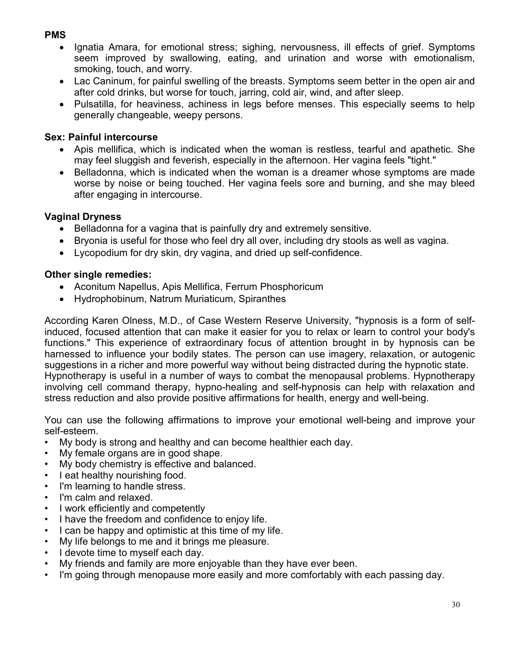## **PMS**

- Ignatia Amara, for emotional stress; sighing, nervousness, ill effects of grief. Symptoms seem improved by swallowing, eating, and urination and worse with emotionalism, smoking, touch, and worry.
- Lac Caninum, for painful swelling of the breasts. Symptoms seem better in the open air and after cold drinks, but worse for touch, jarring, cold air, wind, and after sleep.
- Pulsatilla, for heaviness, achiness in legs before menses. This especially seems to help generally changeable, weepy persons.

## **Sex: Painful intercourse**

- Apis mellifica, which is indicated when the woman is restless, tearful and apathetic. She may feel sluggish and feverish, especially in the afternoon. Her vagina feels "tight."
- Belladonna, which is indicated when the woman is a dreamer whose symptoms are made worse by noise or being touched. Her vagina feels sore and burning, and she may bleed after engaging in intercourse.

## **Vaginal Dryness**

- Belladonna for a vagina that is painfully dry and extremely sensitive.
- Bryonia is useful for those who feel dry all over, including dry stools as well as vagina.
- Lycopodium for dry skin, dry vagina, and dried up self-confidence.

## **Other single remedies:**

- Aconitum Napellus, Apis Mellifica, Ferrum Phosphoricum
- Hydrophobinum, Natrum Muriaticum, Spiranthes

According Karen Olness, M.D., of Case Western Reserve University, "hypnosis is a form of selfinduced, focused attention that can make it easier for you to relax or learn to control your body's functions." This experience of extraordinary focus of attention brought in by hypnosis can be harnessed to influence your bodily states. The person can use imagery, relaxation, or autogenic suggestions in a richer and more powerful way without being distracted during the hypnotic state. Hypnotherapy is useful in a number of ways to combat the menopausal problems. Hypnotherapy involving cell command therapy, hypno-healing and self-hypnosis can help with relaxation and stress reduction and also provide positive affirmations for health, energy and well-being.

You can use the following affirmations to improve your emotional well-being and improve your self-esteem.

- My body is strong and healthy and can become healthier each day.
- My female organs are in good shape.
- My body chemistry is effective and balanced.
- I eat healthy nourishing food.
- I'm learning to handle stress.
- I'm calm and relaxed.
- I work efficiently and competently
- I have the freedom and confidence to enjoy life.
- I can be happy and optimistic at this time of my life.
- My life belongs to me and it brings me pleasure.
- I devote time to myself each day.
- My friends and family are more enjoyable than they have ever been.
- I'm going through menopause more easily and more comfortably with each passing day.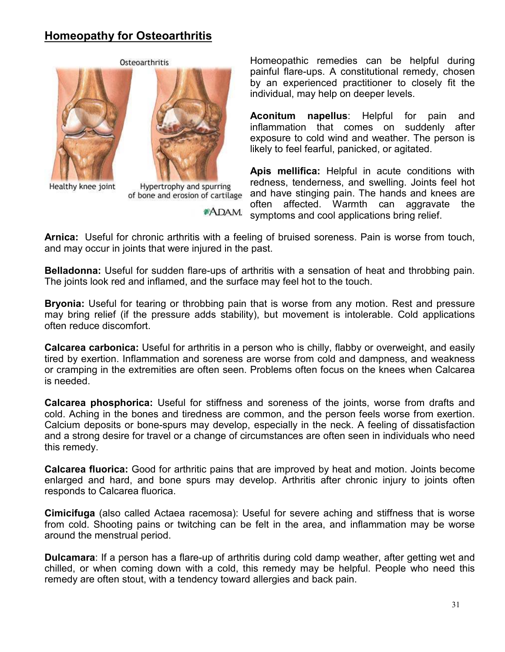# **Homeopathy for Osteoarthritis**



Healthy knee joint



Hypertrophy and spurring of bone and erosion of cartilage

**\*ADAM.** 

Homeopathic remedies can be helpful during painful flare-ups. A constitutional remedy, chosen by an experienced practitioner to closely fit the individual, may help on deeper levels.

**Aconitum napellus**: Helpful for pain and inflammation that comes on suddenly after exposure to cold wind and weather. The person is likely to feel fearful, panicked, or agitated.

**Apis mellifica:** Helpful in acute conditions with redness, tenderness, and swelling. Joints feel hot and have stinging pain. The hands and knees are often affected. Warmth can aggravate the symptoms and cool applications bring relief.

**Arnica:** Useful for chronic arthritis with a feeling of bruised soreness. Pain is worse from touch, and may occur in joints that were injured in the past.

**Belladonna:** Useful for sudden flare-ups of arthritis with a sensation of heat and throbbing pain. The joints look red and inflamed, and the surface may feel hot to the touch.

**Bryonia:** Useful for tearing or throbbing pain that is worse from any motion. Rest and pressure may bring relief (if the pressure adds stability), but movement is intolerable. Cold applications often reduce discomfort.

**Calcarea carbonica:** Useful for arthritis in a person who is chilly, flabby or overweight, and easily tired by exertion. Inflammation and soreness are worse from cold and dampness, and weakness or cramping in the extremities are often seen. Problems often focus on the knees when Calcarea is needed.

**Calcarea phosphorica:** Useful for stiffness and soreness of the joints, worse from drafts and cold. Aching in the bones and tiredness are common, and the person feels worse from exertion. Calcium deposits or bone-spurs may develop, especially in the neck. A feeling of dissatisfaction and a strong desire for travel or a change of circumstances are often seen in individuals who need this remedy.

**Calcarea fluorica:** Good for arthritic pains that are improved by heat and motion. Joints become enlarged and hard, and bone spurs may develop. Arthritis after chronic injury to joints often responds to Calcarea fluorica.

**Cimicifuga** (also called Actaea racemosa): Useful for severe aching and stiffness that is worse from cold. Shooting pains or twitching can be felt in the area, and inflammation may be worse around the menstrual period.

**Dulcamara**: If a person has a flare-up of arthritis during cold damp weather, after getting wet and chilled, or when coming down with a cold, this remedy may be helpful. People who need this remedy are often stout, with a tendency toward allergies and back pain.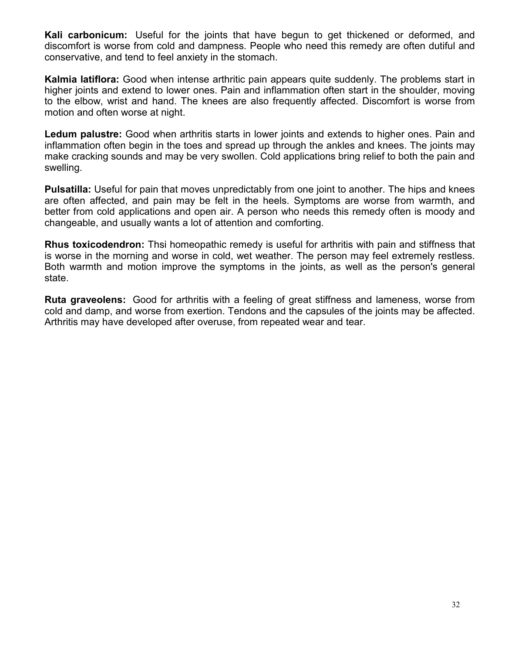**Kali carbonicum:** Useful for the joints that have begun to get thickened or deformed, and discomfort is worse from cold and dampness. People who need this remedy are often dutiful and conservative, and tend to feel anxiety in the stomach.

**Kalmia latiflora:** Good when intense arthritic pain appears quite suddenly. The problems start in higher joints and extend to lower ones. Pain and inflammation often start in the shoulder, moving to the elbow, wrist and hand. The knees are also frequently affected. Discomfort is worse from motion and often worse at night.

**Ledum palustre:** Good when arthritis starts in lower joints and extends to higher ones. Pain and inflammation often begin in the toes and spread up through the ankles and knees. The joints may make cracking sounds and may be very swollen. Cold applications bring relief to both the pain and swelling.

**Pulsatilla:** Useful for pain that moves unpredictably from one joint to another. The hips and knees are often affected, and pain may be felt in the heels. Symptoms are worse from warmth, and better from cold applications and open air. A person who needs this remedy often is moody and changeable, and usually wants a lot of attention and comforting.

**Rhus toxicodendron:** Thsi homeopathic remedy is useful for arthritis with pain and stiffness that is worse in the morning and worse in cold, wet weather. The person may feel extremely restless. Both warmth and motion improve the symptoms in the joints, as well as the person's general state.

**Ruta graveolens:** Good for arthritis with a feeling of great stiffness and lameness, worse from cold and damp, and worse from exertion. Tendons and the capsules of the joints may be affected. Arthritis may have developed after overuse, from repeated wear and tear.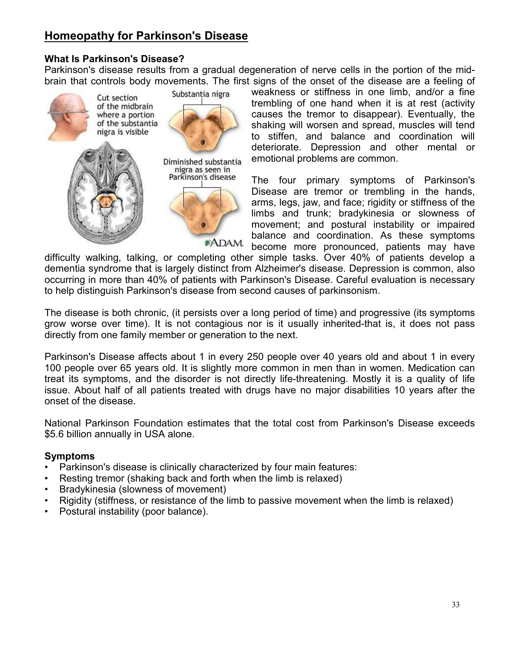# **Homeopathy for Parkinson's Disease**

## **What Is Parkinson's Disease?**

Parkinson's disease results from a gradual degeneration of nerve cells in the portion of the midbrain that controls body movements. The first signs of the onset of the disease are a feeling of



weakness or stiffness in one limb, and/or a fine trembling of one hand when it is at rest (activity causes the tremor to disappear). Eventually, the shaking will worsen and spread, muscles will tend to stiffen, and balance and coordination will deteriorate. Depression and other mental or emotional problems are common.

The four primary symptoms of Parkinson's Disease are tremor or trembling in the hands, arms, legs, jaw, and face; rigidity or stiffness of the limbs and trunk; bradykinesia or slowness of movement; and postural instability or impaired balance and coordination. As these symptoms become more pronounced, patients may have

difficulty walking, talking, or completing other simple tasks. Over 40% of patients develop a dementia syndrome that is largely distinct from Alzheimer's disease. Depression is common, also occurring in more than 40% of patients with Parkinson's Disease. Careful evaluation is necessary to help distinguish Parkinson's disease from second causes of parkinsonism.

The disease is both chronic, (it persists over a long period of time) and progressive (its symptoms grow worse over time). It is not contagious nor is it usually inherited-that is, it does not pass directly from one family member or generation to the next.

Parkinson's Disease affects about 1 in every 250 people over 40 years old and about 1 in every 100 people over 65 years old. It is slightly more common in men than in women. Medication can treat its symptoms, and the disorder is not directly life-threatening. Mostly it is a quality of life issue. About half of all patients treated with drugs have no major disabilities 10 years after the onset of the disease.

National Parkinson Foundation estimates that the total cost from Parkinson's Disease exceeds \$5.6 billion annually in USA alone.

#### **Symptoms**

- Parkinson's disease is clinically characterized by four main features:
- Resting tremor (shaking back and forth when the limb is relaxed)
- Bradykinesia (slowness of movement)
- Rigidity (stiffness, or resistance of the limb to passive movement when the limb is relaxed)
- Postural instability (poor balance).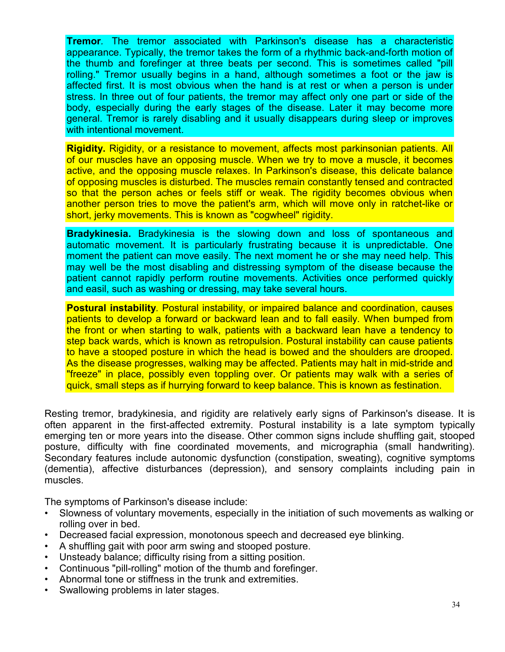**Tremor***.* The tremor associated with Parkinson's disease has a characteristic appearance. Typically, the tremor takes the form of a rhythmic back-and-forth motion of the thumb and forefinger at three beats per second. This is sometimes called "pill rolling." Tremor usually begins in a hand, although sometimes a foot or the jaw is affected first. It is most obvious when the hand is at rest or when a person is under stress. In three out of four patients, the tremor may affect only one part or side of the body, especially during the early stages of the disease. Later it may become more general. Tremor is rarely disabling and it usually disappears during sleep or improves with intentional movement.

**Rigidity.** Rigidity, or a resistance to movement, affects most parkinsonian patients. All of our muscles have an opposing muscle. When we try to move a muscle, it becomes active, and the opposing muscle relaxes. In Parkinson's disease, this delicate balance of opposing muscles is disturbed. The muscles remain constantly tensed and contracted so that the person aches or feels stiff or weak. The rigidity becomes obvious when another person tries to move the patient's arm, which will move only in ratchet-like or short, jerky movements. This is known as "cogwheel" rigidity.

**Bradykinesia.** Bradykinesia is the slowing down and loss of spontaneous and automatic movement. It is particularly frustrating because it is unpredictable. One moment the patient can move easily. The next moment he or she may need help. This may well be the most disabling and distressing symptom of the disease because the patient cannot rapidly perform routine movements. Activities once performed quickly and easil, such as washing or dressing, may take several hours.

**Postural instability***.* Postural instability, or impaired balance and coordination, causes patients to develop a forward or backward lean and to fall easily. When bumped from the front or when starting to walk, patients with a backward lean have a tendency to step back wards, which is known as retropulsion. Postural instability can cause patients to have a stooped posture in which the head is bowed and the shoulders are drooped. As the disease progresses, walking may be affected. Patients may halt in mid-stride and "freeze" in place, possibly even toppling over. Or patients may walk with a series of quick, small steps as if hurrying forward to keep balance. This is known as festination.

Resting tremor, bradykinesia, and rigidity are relatively early signs of Parkinson's disease. It is often apparent in the first-affected extremity. Postural instability is a late symptom typically emerging ten or more years into the disease. Other common signs include shuffling gait, stooped posture, difficulty with fine coordinated movements, and micrographia (small handwriting). Secondary features include autonomic dysfunction (constipation, sweating), cognitive symptoms (dementia), affective disturbances (depression), and sensory complaints including pain in muscles.

The symptoms of Parkinson's disease include:

- Slowness of voluntary movements, especially in the initiation of such movements as walking or rolling over in bed.
- Decreased facial expression, monotonous speech and decreased eye blinking.
- A shuffling gait with poor arm swing and stooped posture.
- Unsteady balance; difficulty rising from a sitting position.
- Continuous "pill-rolling" motion of the thumb and forefinger.
- Abnormal tone or stiffness in the trunk and extremities.
- Swallowing problems in later stages.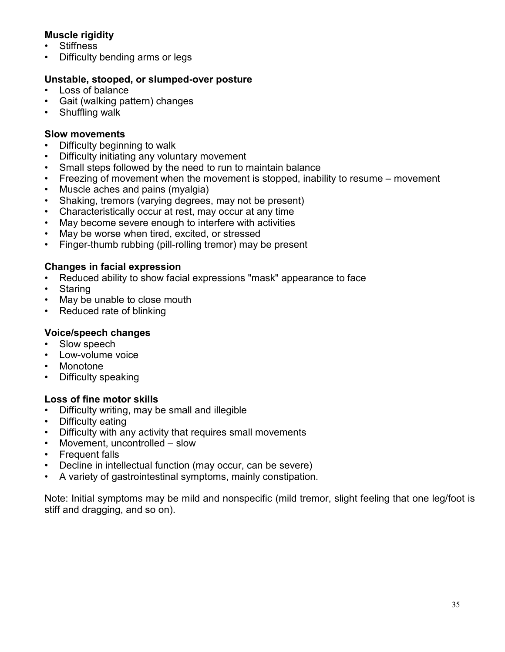## **Muscle rigidity**

- **Stiffness**
- Difficulty bending arms or legs

## **Unstable, stooped, or slumped-over posture**

- Loss of balance
- Gait (walking pattern) changes
- Shuffling walk

## **Slow movements**

- Difficulty beginning to walk
- Difficulty initiating any voluntary movement
- Small steps followed by the need to run to maintain balance
- Freezing of movement when the movement is stopped, inability to resume movement
- Muscle aches and pains (myalgia)
- Shaking, tremors (varying degrees, may not be present)
- Characteristically occur at rest, may occur at any time
- May become severe enough to interfere with activities
- May be worse when tired, excited, or stressed
- Finger-thumb rubbing (pill-rolling tremor) may be present

## **Changes in facial expression**

- Reduced ability to show facial expressions "mask" appearance to face
- **Staring**
- May be unable to close mouth
- Reduced rate of blinking

## **Voice/speech changes**

- Slow speech
- Low-volume voice
- **Monotone**
- Difficulty speaking

## **Loss of fine motor skills**

- Difficulty writing, may be small and illegible
- Difficulty eating
- Difficulty with any activity that requires small movements
- Movement, uncontrolled slow
- Frequent falls
- Decline in intellectual function (may occur, can be severe)
- A variety of gastrointestinal symptoms, mainly constipation.

Note: Initial symptoms may be mild and nonspecific (mild tremor, slight feeling that one leg/foot is stiff and dragging, and so on).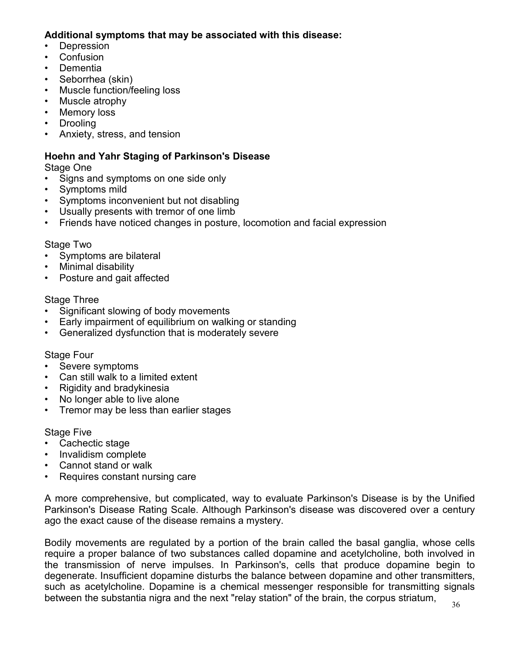## **Additional symptoms that may be associated with this disease:**

- **Depression**
- Confusion
- **Dementia**
- Seborrhea (skin)
- Muscle function/feeling loss
- Muscle atrophy
- **Memory loss**
- Drooling
- Anxiety, stress, and tension

## **Hoehn and Yahr Staging of Parkinson's Disease**

Stage One

- Signs and symptoms on one side only
- Symptoms mild
- Symptoms inconvenient but not disabling
- Usually presents with tremor of one limb
- Friends have noticed changes in posture, locomotion and facial expression

#### Stage Two

- Symptoms are bilateral
- Minimal disability
- Posture and gait affected

#### Stage Three

- Significant slowing of body movements
- Early impairment of equilibrium on walking or standing
- Generalized dysfunction that is moderately severe

#### Stage Four

- Severe symptoms
- Can still walk to a limited extent
- Rigidity and bradykinesia
- No longer able to live alone
- Tremor may be less than earlier stages

#### Stage Five

- Cachectic stage
- Invalidism complete
- Cannot stand or walk
- Requires constant nursing care

A more comprehensive, but complicated, way to evaluate Parkinson's Disease is by the Unified Parkinson's Disease Rating Scale. Although Parkinson's disease was discovered over a century ago the exact cause of the disease remains a mystery.

Bodily movements are regulated by a portion of the brain called the basal ganglia, whose cells require a proper balance of two substances called dopamine and acetylcholine, both involved in the transmission of nerve impulses. In Parkinson's, cells that produce dopamine begin to degenerate. Insufficient dopamine disturbs the balance between dopamine and other transmitters, such as acetylcholine. Dopamine is a chemical messenger responsible for transmitting signals between the substantia nigra and the next "relay station" of the brain, the corpus striatum,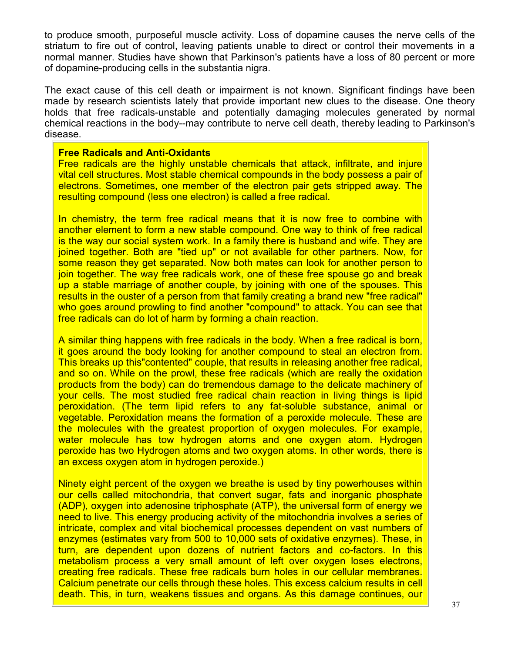to produce smooth, purposeful muscle activity. Loss of dopamine causes the nerve cells of the striatum to fire out of control, leaving patients unable to direct or control their movements in a normal manner. Studies have shown that Parkinson's patients have a loss of 80 percent or more of dopamine-producing cells in the substantia nigra.

The exact cause of this cell death or impairment is not known. Significant findings have been made by research scientists lately that provide important new clues to the disease. One theory holds that free radicals-unstable and potentially damaging molecules generated by normal chemical reactions in the body--may contribute to nerve cell death, thereby leading to Parkinson's disease.

#### **Free Radicals and Anti-Oxidants**

Free radicals are the highly unstable chemicals that attack, infiltrate, and injure vital cell structures. Most stable chemical compounds in the body possess a pair of electrons. Sometimes, one member of the electron pair gets stripped away. The resulting compound (less one electron) is called a free radical.

In chemistry, the term free radical means that it is now free to combine with another element to form a new stable compound. One way to think of free radical is the way our social system work. In a family there is husband and wife. They are joined together. Both are "tied up" or not available for other partners. Now, for some reason they get separated. Now both mates can look for another person to join together. The way free radicals work, one of these free spouse go and break up a stable marriage of another couple, by joining with one of the spouses. This results in the ouster of a person from that family creating a brand new "free radical" who goes around prowling to find another "compound" to attack. You can see that free radicals can do lot of harm by forming a chain reaction.

A similar thing happens with free radicals in the body. When a free radical is born, it goes around the body looking for another compound to steal an electron from. This breaks up this"contented" couple, that results in releasing another free radical, and so on. While on the prowl, these free radicals (which are really the oxidation products from the body) can do tremendous damage to the delicate machinery of your cells. The most studied free radical chain reaction in living things is lipid peroxidation. (The term lipid refers to any fat-soluble substance, animal or vegetable. Peroxidation means the formation of a peroxide molecule. These are the molecules with the greatest proportion of oxygen molecules. For example, water molecule has tow hydrogen atoms and one oxygen atom. Hydrogen peroxide has two Hydrogen atoms and two oxygen atoms. In other words, there is an excess oxygen atom in hydrogen peroxide.)

Ninety eight percent of the oxygen we breathe is used by tiny powerhouses within our cells called mitochondria, that convert sugar, fats and inorganic phosphate (ADP), oxygen into adenosine triphosphate (ATP), the universal form of energy we need to live. This energy producing activity of the mitochondria involves a series of intricate, complex and vital biochemical processes dependent on vast numbers of enzymes (estimates vary from 500 to 10,000 sets of oxidative enzymes). These, in turn, are dependent upon dozens of nutrient factors and co-factors. In this metabolism process a very small amount of left over oxygen loses electrons, creating free radicals. These free radicals burn holes in our cellular membranes. Calcium penetrate our cells through these holes. This excess calcium results in cell death. This, in turn, weakens tissues and organs. As this damage continues, our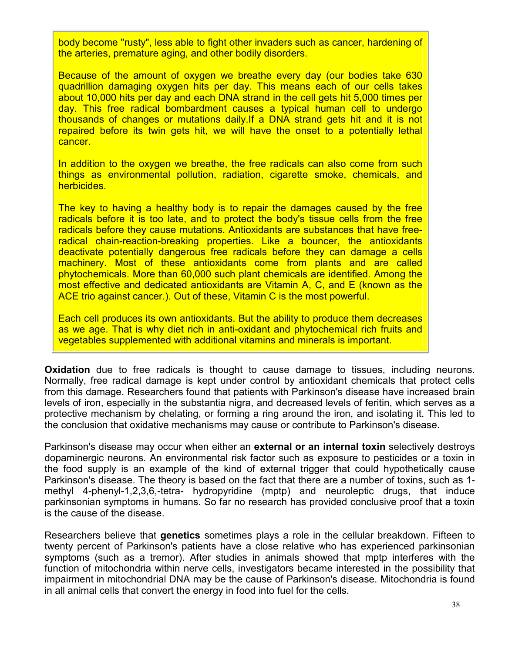body become "rusty", less able to fight other invaders such as cancer, hardening of the arteries, premature aging, and other bodily disorders.

Because of the amount of oxygen we breathe every day (our bodies take 630 quadrillion damaging oxygen hits per day. This means each of our cells takes about 10,000 hits per day and each DNA strand in the cell gets hit 5,000 times per day. This free radical bombardment causes a typical human cell to undergo thousands of changes or mutations daily.If a DNA strand gets hit and it is not repaired before its twin gets hit, we will have the onset to a potentially lethal cancer.

In addition to the oxygen we breathe, the free radicals can also come from such things as environmental pollution, radiation, cigarette smoke, chemicals, and herbicides.

The key to having a healthy body is to repair the damages caused by the free radicals before it is too late, and to protect the body's tissue cells from the free radicals before they cause mutations. Antioxidants are substances that have freeradical chain-reaction-breaking properties. Like a bouncer, the antioxidants deactivate potentially dangerous free radicals before they can damage a cells machinery. Most of these antioxidants come from plants and are called phytochemicals. More than 60,000 such plant chemicals are identified. Among the most effective and dedicated antioxidants are Vitamin A, C, and E (known as the ACE trio against cancer.). Out of these, Vitamin C is the most powerful.

Each cell produces its own antioxidants. But the ability to produce them decreases as we age. That is why diet rich in anti-oxidant and phytochemical rich fruits and vegetables supplemented with additional vitamins and minerals is important.

**Oxidation** due to free radicals is thought to cause damage to tissues, including neurons. Normally, free radical damage is kept under control by antioxidant chemicals that protect cells from this damage. Researchers found that patients with Parkinson's disease have increased brain levels of iron, especially in the substantia nigra, and decreased levels of feritin, which serves as a protective mechanism by chelating, or forming a ring around the iron, and isolating it. This led to the conclusion that oxidative mechanisms may cause or contribute to Parkinson's disease.

Parkinson's disease may occur when either an **external or an internal toxin** selectively destroys dopaminergic neurons. An environmental risk factor such as exposure to pesticides or a toxin in the food supply is an example of the kind of external trigger that could hypothetically cause Parkinson's disease. The theory is based on the fact that there are a number of toxins, such as 1 methyl 4-phenyl-1,2,3,6,-tetra- hydropyridine (mptp) and neuroleptic drugs, that induce parkinsonian symptoms in humans. So far no research has provided conclusive proof that a toxin is the cause of the disease.

Researchers believe that **genetics** sometimes plays a role in the cellular breakdown. Fifteen to twenty percent of Parkinson's patients have a close relative who has experienced parkinsonian symptoms (such as a tremor). After studies in animals showed that mptp interferes with the function of mitochondria within nerve cells, investigators became interested in the possibility that impairment in mitochondrial DNA may be the cause of Parkinson's disease. Mitochondria is found in all animal cells that convert the energy in food into fuel for the cells.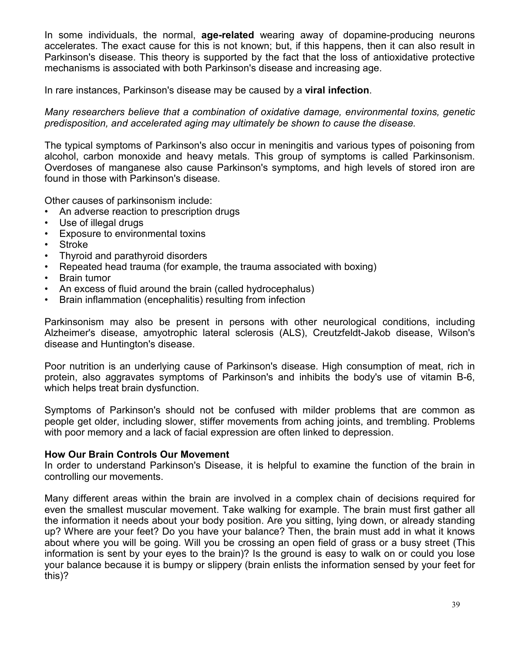In some individuals, the normal, **age-related** wearing away of dopamine-producing neurons accelerates. The exact cause for this is not known; but, if this happens, then it can also result in Parkinson's disease. This theory is supported by the fact that the loss of antioxidative protective mechanisms is associated with both Parkinson's disease and increasing age.

In rare instances, Parkinson's disease may be caused by a **viral infection**.

*Many researchers believe that a combination of oxidative damage, environmental toxins, genetic predisposition, and accelerated aging may ultimately be shown to cause the disease.* 

The typical symptoms of Parkinson's also occur in meningitis and various types of poisoning from alcohol, carbon monoxide and heavy metals. This group of symptoms is called Parkinsonism. Overdoses of manganese also cause Parkinson's symptoms, and high levels of stored iron are found in those with Parkinson's disease.

Other causes of parkinsonism include:

- An adverse reaction to prescription drugs
- Use of illegal drugs
- Exposure to environmental toxins
- **Stroke**
- Thyroid and parathyroid disorders
- Repeated head trauma (for example, the trauma associated with boxing)
- Brain tumor
- An excess of fluid around the brain (called hydrocephalus)
- Brain inflammation (encephalitis) resulting from infection

Parkinsonism may also be present in persons with other neurological conditions, including Alzheimer's disease, amyotrophic lateral sclerosis (ALS), Creutzfeldt-Jakob disease, Wilson's disease and Huntington's disease.

Poor nutrition is an underlying cause of Parkinson's disease. High consumption of meat, rich in protein, also aggravates symptoms of Parkinson's and inhibits the body's use of vitamin B-6, which helps treat brain dysfunction.

Symptoms of Parkinson's should not be confused with milder problems that are common as people get older, including slower, stiffer movements from aching joints, and trembling. Problems with poor memory and a lack of facial expression are often linked to depression.

#### **How Our Brain Controls Our Movement**

In order to understand Parkinson's Disease, it is helpful to examine the function of the brain in controlling our movements.

Many different areas within the brain are involved in a complex chain of decisions required for even the smallest muscular movement. Take walking for example. The brain must first gather all the information it needs about your body position. Are you sitting, lying down, or already standing up? Where are your feet? Do you have your balance? Then, the brain must add in what it knows about where you will be going. Will you be crossing an open field of grass or a busy street (This information is sent by your eyes to the brain)? Is the ground is easy to walk on or could you lose your balance because it is bumpy or slippery (brain enlists the information sensed by your feet for this)?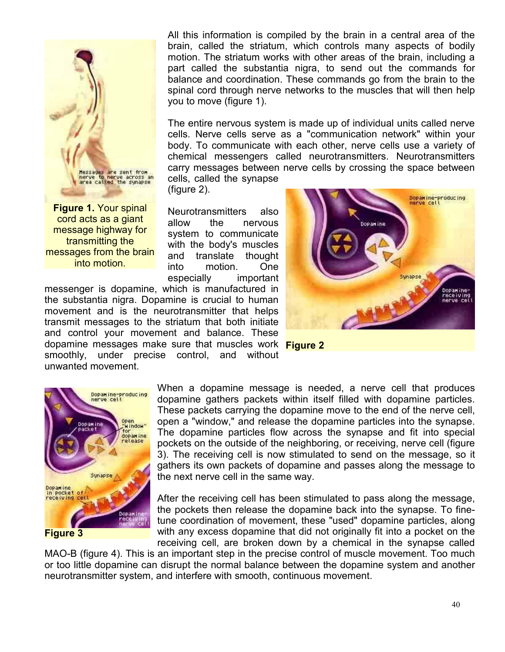

**Figure 1.** Your spinal cord acts as a giant message highway for transmitting the messages from the brain into motion.

All this information is compiled by the brain in a central area of the brain, called the striatum, which controls many aspects of bodily motion. The striatum works with other areas of the brain, including a part called the substantia nigra, to send out the commands for balance and coordination. These commands go from the brain to the spinal cord through nerve networks to the muscles that will then help you to move (figure 1).

The entire nervous system is made up of individual units called nerve cells. Nerve cells serve as a "communication network" within your body. To communicate with each other, nerve cells use a variety of chemical messengers called neurotransmitters. Neurotransmitters carry messages between nerve cells by crossing the space between cells, called the synapse

(figure 2).

Neurotransmitters also allow the nervous system to communicate with the body's muscles and translate thought into motion. One especially important

messenger is dopamine, which is manufactured in the substantia nigra. Dopamine is crucial to human movement and is the neurotransmitter that helps transmit messages to the striatum that both initiate and control your movement and balance. These dopamine messages make sure that muscles work **Figure 2** smoothly, under precise control, and without unwanted movement.







**Figure 3**

When a dopamine message is needed, a nerve cell that produces dopamine gathers packets within itself filled with dopamine particles. These packets carrying the dopamine move to the end of the nerve cell, open a "window," and release the dopamine particles into the synapse. The dopamine particles flow across the synapse and fit into special pockets on the outside of the neighboring, or receiving, nerve cell (figure 3). The receiving cell is now stimulated to send on the message, so it gathers its own packets of dopamine and passes along the message to the next nerve cell in the same way.

After the receiving cell has been stimulated to pass along the message, the pockets then release the dopamine back into the synapse. To finetune coordination of movement, these "used" dopamine particles, along with any excess dopamine that did not originally fit into a pocket on the receiving cell, are broken down by a chemical in the synapse called

MAO-B (figure 4). This is an important step in the precise control of muscle movement. Too much or too little dopamine can disrupt the normal balance between the dopamine system and another neurotransmitter system, and interfere with smooth, continuous movement.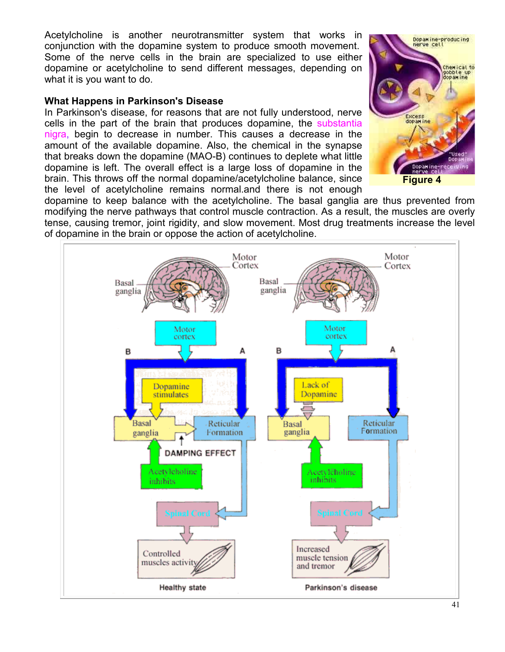Acetylcholine is another neurotransmitter system that works in conjunction with the dopamine system to produce smooth movement. Some of the nerve cells in the brain are specialized to use either dopamine or acetylcholine to send different messages, depending on what it is you want to do.

#### **What Happens in Parkinson's Disease**

In Parkinson's disease, for reasons that are not fully understood, nerve cells in the part of the brain that produces dopamine, the substantia nigra, begin to decrease in number. This causes a decrease in the amount of the available dopamine. Also, the chemical in the synapse that breaks down the dopamine (MAO-B) continues to deplete what little dopamine is left. The overall effect is a large loss of dopamine in the brain. This throws off the normal dopamine/acetylcholine balance, since the level of acetylcholine remains normal.and there is not enough



**Figure 4**

dopamine to keep balance with the acetylcholine. The basal ganglia are thus prevented from modifying the nerve pathways that control muscle contraction. As a result, the muscles are overly tense, causing tremor, joint rigidity, and slow movement. Most drug treatments increase the level of dopamine in the brain or oppose the action of acetylcholine.

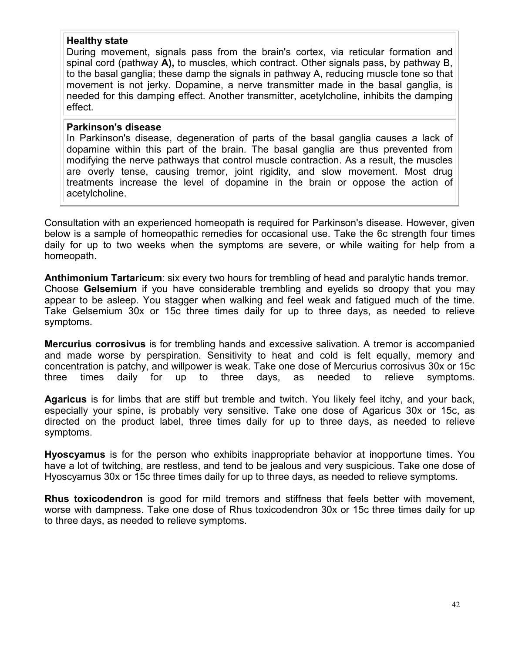#### **Healthy state**

During movement, signals pass from the brain's cortex, via reticular formation and spinal cord (pathway **A),** to muscles, which contract. Other signals pass, by pathway B, to the basal ganglia; these damp the signals in pathway A, reducing muscle tone so that movement is not jerky. Dopamine, a nerve transmitter made in the basal ganglia, is needed for this damping effect. Another transmitter, acetylcholine, inhibits the damping effect.

#### **Parkinson's disease**

In Parkinson's disease, degeneration of parts of the basal ganglia causes a lack of dopamine within this part of the brain. The basal ganglia are thus prevented from modifying the nerve pathways that control muscle contraction. As a result, the muscles are overly tense, causing tremor, joint rigidity, and slow movement. Most drug treatments increase the level of dopamine in the brain or oppose the action of acetylcholine.

Consultation with an experienced homeopath is required for Parkinson's disease. However, given below is a sample of homeopathic remedies for occasional use. Take the 6c strength four times daily for up to two weeks when the symptoms are severe, or while waiting for help from a homeopath.

**Anthimonium Tartaricum**: six every two hours for trembling of head and paralytic hands tremor. Choose **Gelsemium** if you have considerable trembling and eyelids so droopy that you may appear to be asleep. You stagger when walking and feel weak and fatigued much of the time. Take Gelsemium 30x or 15c three times daily for up to three days, as needed to relieve symptoms.

**Mercurius corrosivus** is for trembling hands and excessive salivation. A tremor is accompanied and made worse by perspiration. Sensitivity to heat and cold is felt equally, memory and concentration is patchy, and willpower is weak. Take one dose of Mercurius corrosivus 30x or 15c three times daily for up to three days, as needed to relieve symptoms.

**Agaricus** is for limbs that are stiff but tremble and twitch. You likely feel itchy, and your back, especially your spine, is probably very sensitive. Take one dose of Agaricus 30x or 15c, as directed on the product label, three times daily for up to three days, as needed to relieve symptoms.

**Hyoscyamus** is for the person who exhibits inappropriate behavior at inopportune times. You have a lot of twitching, are restless, and tend to be jealous and very suspicious. Take one dose of Hyoscyamus 30x or 15c three times daily for up to three days, as needed to relieve symptoms.

**Rhus toxicodendron** is good for mild tremors and stiffness that feels better with movement, worse with dampness. Take one dose of Rhus toxicodendron 30x or 15c three times daily for up to three days, as needed to relieve symptoms.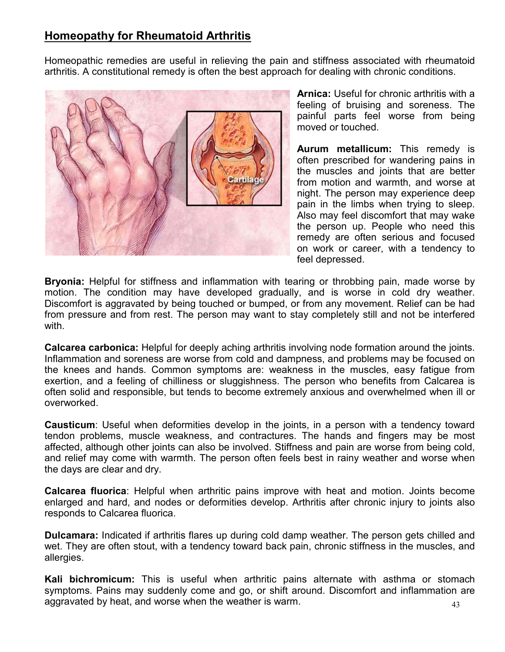# **Homeopathy for Rheumatoid Arthritis**

Homeopathic remedies are useful in relieving the pain and stiffness associated with rheumatoid arthritis. A constitutional remedy is often the best approach for dealing with chronic conditions.



**Arnica:** Useful for chronic arthritis with a feeling of bruising and soreness. The painful parts feel worse from being moved or touched.

**Aurum metallicum:** This remedy is often prescribed for wandering pains in the muscles and joints that are better from motion and warmth, and worse at night. The person may experience deep pain in the limbs when trying to sleep. Also may feel discomfort that may wake the person up. People who need this remedy are often serious and focused on work or career, with a tendency to feel depressed.

**Bryonia:** Helpful for stiffness and inflammation with tearing or throbbing pain, made worse by motion. The condition may have developed gradually, and is worse in cold dry weather. Discomfort is aggravated by being touched or bumped, or from any movement. Relief can be had from pressure and from rest. The person may want to stay completely still and not be interfered with.

**Calcarea carbonica:** Helpful for deeply aching arthritis involving node formation around the joints. Inflammation and soreness are worse from cold and dampness, and problems may be focused on the knees and hands. Common symptoms are: weakness in the muscles, easy fatigue from exertion, and a feeling of chilliness or sluggishness. The person who benefits from Calcarea is often solid and responsible, but tends to become extremely anxious and overwhelmed when ill or overworked.

**Causticum**: Useful when deformities develop in the joints, in a person with a tendency toward tendon problems, muscle weakness, and contractures. The hands and fingers may be most affected, although other joints can also be involved. Stiffness and pain are worse from being cold, and relief may come with warmth. The person often feels best in rainy weather and worse when the days are clear and dry.

**Calcarea fluorica**: Helpful when arthritic pains improve with heat and motion. Joints become enlarged and hard, and nodes or deformities develop. Arthritis after chronic injury to joints also responds to Calcarea fluorica.

**Dulcamara:** Indicated if arthritis flares up during cold damp weather. The person gets chilled and wet. They are often stout, with a tendency toward back pain, chronic stiffness in the muscles, and allergies.

43 **Kali bichromicum:** This is useful when arthritic pains alternate with asthma or stomach symptoms. Pains may suddenly come and go, or shift around. Discomfort and inflammation are aggravated by heat, and worse when the weather is warm.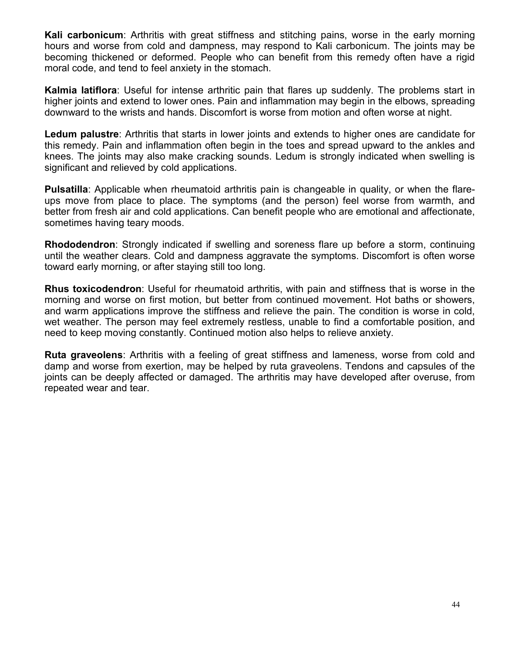**Kali carbonicum**: Arthritis with great stiffness and stitching pains, worse in the early morning hours and worse from cold and dampness, may respond to Kali carbonicum. The joints may be becoming thickened or deformed. People who can benefit from this remedy often have a rigid moral code, and tend to feel anxiety in the stomach.

**Kalmia latiflora**: Useful for intense arthritic pain that flares up suddenly. The problems start in higher joints and extend to lower ones. Pain and inflammation may begin in the elbows, spreading downward to the wrists and hands. Discomfort is worse from motion and often worse at night.

**Ledum palustre**: Arthritis that starts in lower joints and extends to higher ones are candidate for this remedy. Pain and inflammation often begin in the toes and spread upward to the ankles and knees. The joints may also make cracking sounds. Ledum is strongly indicated when swelling is significant and relieved by cold applications.

**Pulsatilla**: Applicable when rheumatoid arthritis pain is changeable in quality, or when the flareups move from place to place. The symptoms (and the person) feel worse from warmth, and better from fresh air and cold applications. Can benefit people who are emotional and affectionate, sometimes having teary moods.

**Rhododendron**: Strongly indicated if swelling and soreness flare up before a storm, continuing until the weather clears. Cold and dampness aggravate the symptoms. Discomfort is often worse toward early morning, or after staying still too long.

**Rhus toxicodendron**: Useful for rheumatoid arthritis, with pain and stiffness that is worse in the morning and worse on first motion, but better from continued movement. Hot baths or showers, and warm applications improve the stiffness and relieve the pain. The condition is worse in cold, wet weather. The person may feel extremely restless, unable to find a comfortable position, and need to keep moving constantly. Continued motion also helps to relieve anxiety.

**Ruta graveolens**: Arthritis with a feeling of great stiffness and lameness, worse from cold and damp and worse from exertion, may be helped by ruta graveolens. Tendons and capsules of the joints can be deeply affected or damaged. The arthritis may have developed after overuse, from repeated wear and tear.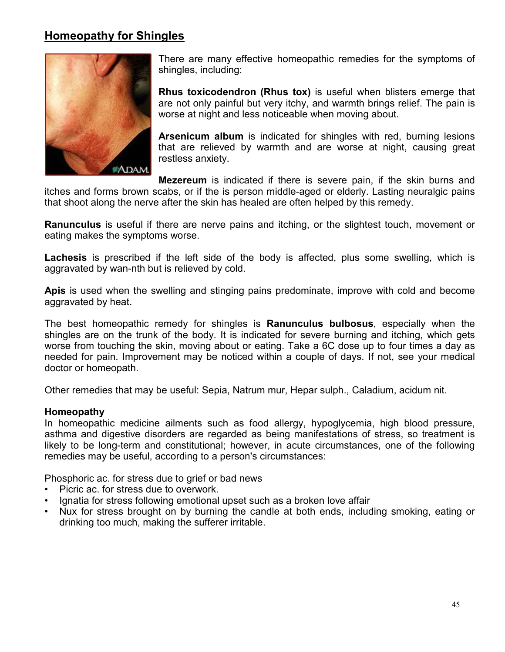# **Homeopathy for Shingles**



There are many effective homeopathic remedies for the symptoms of shingles, including:

**Rhus toxicodendron (Rhus tox)** is useful when blisters emerge that are not only painful but very itchy, and warmth brings relief. The pain is worse at night and less noticeable when moving about.

**Arsenicum album** is indicated for shingles with red, burning lesions that are relieved by warmth and are worse at night, causing great restless anxiety.

**Mezereum** is indicated if there is severe pain, if the skin burns and

itches and forms brown scabs, or if the is person middle-aged or elderly. Lasting neuralgic pains that shoot along the nerve after the skin has healed are often helped by this remedy.

**Ranunculus** is useful if there are nerve pains and itching, or the slightest touch, movement or eating makes the symptoms worse.

**Lachesis** is prescribed if the left side of the body is affected, plus some swelling, which is aggravated by wan-nth but is relieved by cold.

**Apis** is used when the swelling and stinging pains predominate, improve with cold and become aggravated by heat.

The best homeopathic remedy for shingles is **Ranunculus bulbosus**, especially when the shingles are on the trunk of the body. It is indicated for severe burning and itching, which gets worse from touching the skin, moving about or eating. Take a 6C dose up to four times a day as needed for pain. Improvement may be noticed within a couple of days. If not, see your medical doctor or homeopath.

Other remedies that may be useful: Sepia, Natrum mur, Hepar sulph., Caladium, acidum nit.

#### **Homeopathy**

In homeopathic medicine ailments such as food allergy, hypoglycemia, high blood pressure, asthma and digestive disorders are regarded as being manifestations of stress, so treatment is likely to be long-term and constitutional; however, in acute circumstances, one of the following remedies may be useful, according to a person's circumstances:

Phosphoric ac. for stress due to grief or bad news

- Picric ac. for stress due to overwork.
- Ignatia for stress following emotional upset such as a broken love affair
- Nux for stress brought on by burning the candle at both ends, including smoking, eating or drinking too much, making the sufferer irritable.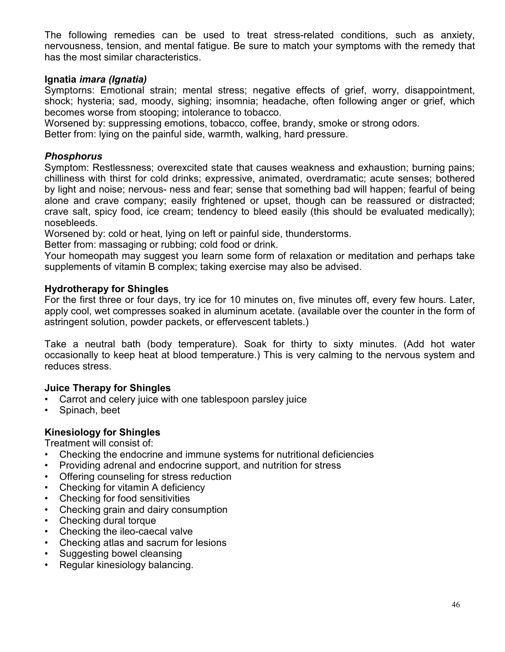The following remedies can be used to treat stress-related conditions, such as anxiety, nervousness, tension, and mental fatigue. Be sure to match your symptoms with the remedy that has the most similar characteristics.

#### **Ignatia** *imara (Ignatia)*

Symptorns: Emotional strain; mental stress; negative effects of grief, worry, disappointment, shock; hysteria; sad, moody, sighing; insomnia; headache, often following anger or grief, which becomes worse from stooping; intolerance to tobacco.

Worsened by: suppressing emotions, tobacco, coffee, brandy, smoke or strong odors.

Better from: lying on the painful side, warmth, walking, hard pressure.

#### *Phosphorus*

Symptom: Restlessness; overexcited state that causes weakness and exhaustion; burning pains; chilliness with thirst for cold drinks; expressive, animated, overdramatic; acute senses; bothered by light and noise; nervous- ness and fear; sense that something bad will happen; fearful of being alone and crave company; easily frightened or upset, though can be reassured or distracted; crave salt, spicy food, ice cream; tendency to bleed easily (this should be evaluated medically); nosebleeds.

Worsened by: cold or heat, lying on left or painful side, thunderstorms.

Better from: massaging or rubbing; cold food or drink.

Your homeopath may suggest you learn some form of relaxation or meditation and perhaps take supplements of vitamin B complex; taking exercise may also be advised.

#### **Hydrotherapy for Shingles**

For the first three or four days, try ice for 10 minutes on, five minutes off, every few hours. Later, apply cool, wet compresses soaked in aluminum acetate. (available over the counter in the form of astringent solution, powder packets, or effervescent tablets.)

Take a neutral bath (body temperature). Soak for thirty to sixty minutes. (Add hot water occasionally to keep heat at blood temperature.) This is very calming to the nervous system and reduces stress.

#### **Juice Therapy for Shingles**

- Carrot and celery juice with one tablespoon parsley juice
- Spinach, beet

#### **Kinesiology for Shingles**

Treatment will consist of:

- Checking the endocrine and immune systems for nutritional deficiencies
- Providing adrenal and endocrine support, and nutrition for stress
- Offering counseling for stress reduction
- Checking for vitamin A deficiency
- Checking for food sensitivities
- Checking grain and dairy consumption
- Checking dural torque
- Checking the ileo-caecal valve
- Checking atlas and sacrum for lesions
- Suggesting bowel cleansing
- Regular kinesiology balancing.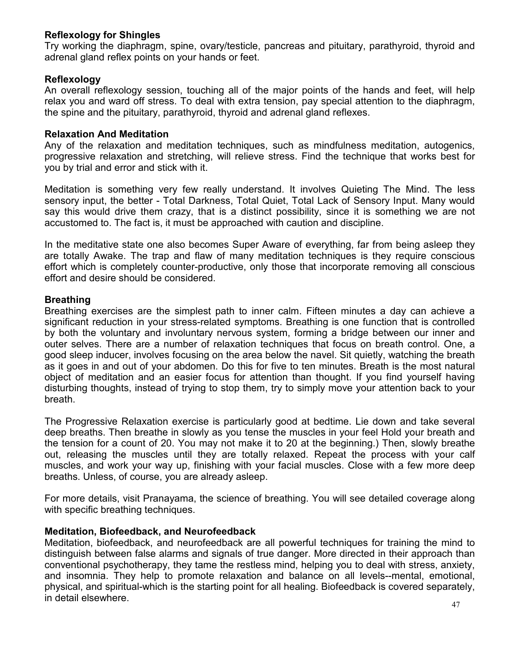### **Reflexology for Shingles**

Try working the diaphragm, spine, ovary/testicle, pancreas and pituitary, parathyroid, thyroid and adrenal gland reflex points on your hands or feet.

#### **Reflexology**

An overall reflexology session, touching all of the major points of the hands and feet, will help relax you and ward off stress. To deal with extra tension, pay special attention to the diaphragm, the spine and the pituitary, parathyroid, thyroid and adrenal gland reflexes.

### **Relaxation And Meditation**

Any of the relaxation and meditation techniques, such as mindfulness meditation, autogenics, progressive relaxation and stretching, will relieve stress. Find the technique that works best for you by trial and error and stick with it.

Meditation is something very few really understand. It involves Quieting The Mind. The less sensory input, the better - Total Darkness, Total Quiet, Total Lack of Sensory Input. Many would say this would drive them crazy, that is a distinct possibility, since it is something we are not accustomed to. The fact is, it must be approached with caution and discipline.

In the meditative state one also becomes Super Aware of everything, far from being asleep they are totally Awake. The trap and flaw of many meditation techniques is they require conscious effort which is completely counter-productive, only those that incorporate removing all conscious effort and desire should be considered.

## **Breathing**

Breathing exercises are the simplest path to inner calm. Fifteen minutes a day can achieve a significant reduction in your stress-related symptoms. Breathing is one function that is controlled by both the voluntary and involuntary nervous system, forming a bridge between our inner and outer selves. There are a number of relaxation techniques that focus on breath control. One, a good sleep inducer, involves focusing on the area below the navel. Sit quietly, watching the breath as it goes in and out of your abdomen. Do this for five to ten minutes. Breath is the most natural object of meditation and an easier focus for attention than thought. If you find yourself having disturbing thoughts, instead of trying to stop them, try to simply move your attention back to your breath.

The Progressive Relaxation exercise is particularly good at bedtime. Lie down and take several deep breaths. Then breathe in slowly as you tense the muscles in your feel Hold your breath and the tension for a count of 20. You may not make it to 20 at the beginning.) Then, slowly breathe out, releasing the muscles until they are totally relaxed. Repeat the process with your calf muscles, and work your way up, finishing with your facial muscles. Close with a few more deep breaths. Unless, of course, you are already asleep.

For more details, visit Pranayama, the science of breathing. You will see detailed coverage along with specific breathing techniques.

#### **Meditation, Biofeedback, and Neurofeedback**

Meditation, biofeedback, and neurofeedback are all powerful techniques for training the mind to distinguish between false alarms and signals of true danger. More directed in their approach than conventional psychotherapy, they tame the restless mind, helping you to deal with stress, anxiety, and insomnia. They help to promote relaxation and balance on all levels--mental, emotional, physical, and spiritual-which is the starting point for all healing. Biofeedback is covered separately, in detail elsewhere.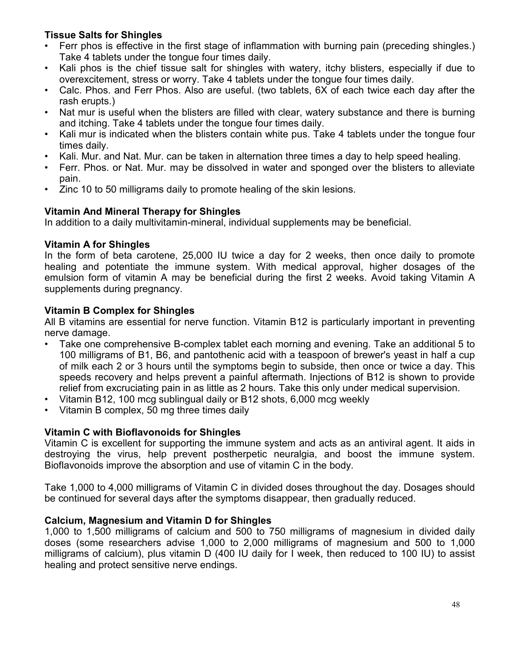## **Tissue Salts for Shingles**

- Ferr phos is effective in the first stage of inflammation with burning pain (preceding shingles.) Take 4 tablets under the tongue four times daily.
- Kali phos is the chief tissue salt for shingles with watery, itchy blisters, especially if due to overexcitement, stress or worry. Take 4 tablets under the tongue four times daily.
- Calc. Phos. and Ferr Phos. Also are useful. (two tablets, 6X of each twice each day after the rash erupts.)
- Nat mur is useful when the blisters are filled with clear, watery substance and there is burning and itching. Take 4 tablets under the tongue four times daily.
- Kali mur is indicated when the blisters contain white pus. Take 4 tablets under the tongue four times daily.
- Kali. Mur. and Nat. Mur. can be taken in alternation three times a day to help speed healing.
- Ferr. Phos. or Nat. Mur. may be dissolved in water and sponged over the blisters to alleviate pain.
- Zinc 10 to 50 milligrams daily to promote healing of the skin lesions.

## **Vitamin And Mineral Therapy for Shingles**

In addition to a daily multivitamin-mineral, individual supplements may be beneficial.

#### **Vitamin A for Shingles**

In the form of beta carotene, 25,000 IU twice a day for 2 weeks, then once daily to promote healing and potentiate the immune system. With medical approval, higher dosages of the emulsion form of vitamin A may be beneficial during the first 2 weeks. Avoid taking Vitamin A supplements during pregnancy.

## **Vitamin B Complex for Shingles**

All B vitamins are essential for nerve function. Vitamin B12 is particularly important in preventing nerve damage.

- Take one comprehensive B-complex tablet each morning and evening. Take an additional 5 to 100 milligrams of B1, B6, and pantothenic acid with a teaspoon of brewer's yeast in half a cup of milk each 2 or 3 hours until the symptoms begin to subside, then once or twice a day. This speeds recovery and helps prevent a painful aftermath. Injections of B12 is shown to provide relief from excruciating pain in as little as 2 hours. Take this only under medical supervision.
- Vitamin B12, 100 mcg sublingual daily or B12 shots, 6,000 mcg weekly
- Vitamin B complex, 50 mg three times daily

## **Vitamin C with Bioflavonoids for Shingles**

Vitamin C is excellent for supporting the immune system and acts as an antiviral agent. It aids in destroying the virus, help prevent postherpetic neuralgia, and boost the immune system. Bioflavonoids improve the absorption and use of vitamin C in the body.

Take 1,000 to 4,000 milligrams of Vitamin C in divided doses throughout the day. Dosages should be continued for several days after the symptoms disappear, then gradually reduced.

## **Calcium, Magnesium and Vitamin D for Shingles**

1,000 to 1,500 milligrams of calcium and 500 to 750 milligrams of magnesium in divided daily doses (some researchers advise 1,000 to 2,000 milligrams of magnesium and 500 to 1,000 milligrams of calcium), plus vitamin D (400 IU daily for I week, then reduced to 100 IU) to assist healing and protect sensitive nerve endings.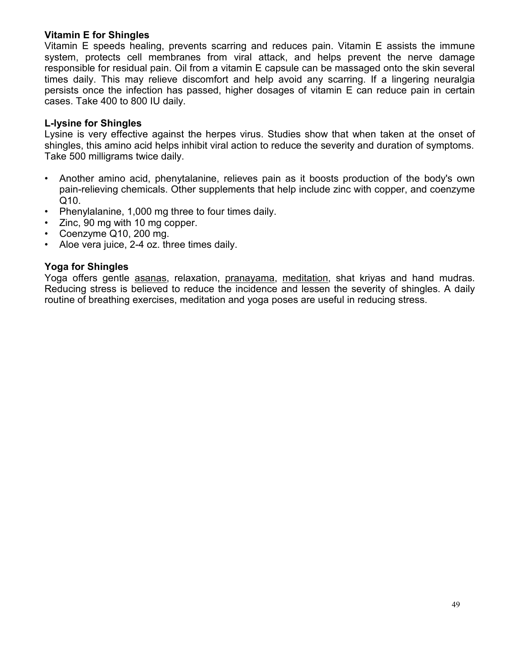#### **Vitamin E for Shingles**

Vitamin E speeds healing, prevents scarring and reduces pain. Vitamin E assists the immune system, protects cell membranes from viral attack, and helps prevent the nerve damage responsible for residual pain. Oil from a vitamin E capsule can be massaged onto the skin several times daily. This may relieve discomfort and help avoid any scarring. If a lingering neuralgia persists once the infection has passed, higher dosages of vitamin E can reduce pain in certain cases. Take 400 to 800 IU daily.

#### **L-lysine for Shingles**

Lysine is very effective against the herpes virus. Studies show that when taken at the onset of shingles, this amino acid helps inhibit viral action to reduce the severity and duration of symptoms. Take 500 milligrams twice daily.

- Another amino acid, phenytalanine, relieves pain as it boosts production of the body's own pain-relieving chemicals. Other supplements that help include zinc with copper, and coenzyme Q10.
- Phenylalanine, 1,000 mg three to four times daily.
- Zinc, 90 mg with 10 mg copper.
- Coenzyme Q10, 200 mg.
- Aloe vera juice, 2-4 oz. three times daily.

#### **Yoga for Shingles**

Yoga offers gentle asanas, relaxation, pranayama, meditation, shat kriyas and hand mudras. Reducing stress is believed to reduce the incidence and lessen the severity of shingles. A daily routine of breathing exercises, meditation and yoga poses are useful in reducing stress.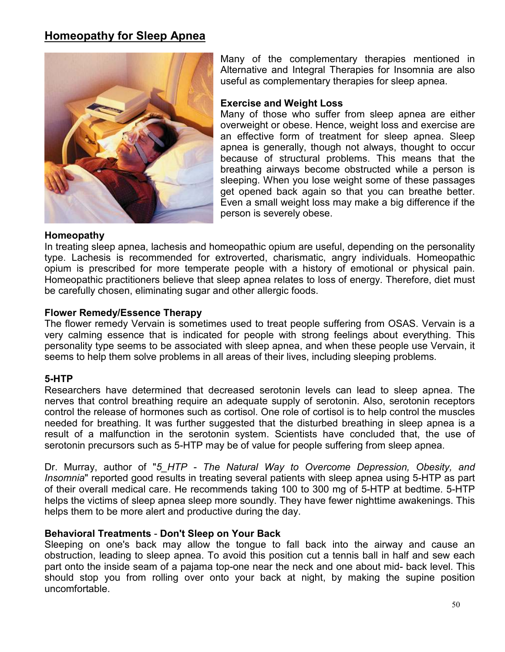# **Homeopathy for Sleep Apnea**



Many of the complementary therapies mentioned in Alternative and Integral Therapies for Insomnia are also useful as complementary therapies for sleep apnea.

#### **Exercise and Weight Loss**

Many of those who suffer from sleep apnea are either overweight or obese. Hence, weight loss and exercise are an effective form of treatment for sleep apnea. Sleep apnea is generally, though not always, thought to occur because of structural problems. This means that the breathing airways become obstructed while a person is sleeping. When you lose weight some of these passages get opened back again so that you can breathe better. Even a small weight loss may make a big difference if the person is severely obese.

#### **Homeopathy**

In treating sleep apnea, lachesis and homeopathic opium are useful, depending on the personality type. Lachesis is recommended for extroverted, charismatic, angry individuals. Homeopathic opium is prescribed for more temperate people with a history of emotional or physical pain. Homeopathic practitioners believe that sleep apnea relates to loss of energy. Therefore, diet must be carefully chosen, eliminating sugar and other allergic foods.

#### **Flower Remedy/Essence Therapy**

The flower remedy Vervain is sometimes used to treat people suffering from OSAS. Vervain is a very calming essence that is indicated for people with strong feelings about everything. This personality type seems to be associated with sleep apnea, and when these people use Vervain, it seems to help them solve problems in all areas of their lives, including sleeping problems.

#### **5-HTP**

Researchers have determined that decreased serotonin levels can lead to sleep apnea. The nerves that control breathing require an adequate supply of serotonin. Also, serotonin receptors control the release of hormones such as cortisol. One role of cortisol is to help control the muscles needed for breathing. It was further suggested that the disturbed breathing in sleep apnea is a result of a malfunction in the serotonin system. Scientists have concluded that, the use of serotonin precursors such as 5-HTP may be of value for people suffering from sleep apnea.

Dr. Murray, author of "*5\_HTP - The Natural Way to Overcome Depression, Obesity, and Insomnia*" reported good results in treating several patients with sleep apnea using 5-HTP as part of their overall medical care. He recommends taking 100 to 300 mg of 5-HTP at bedtime. 5-HTP helps the victims of sleep apnea sleep more soundly. They have fewer nighttime awakenings. This helps them to be more alert and productive during the day.

#### **Behavioral Treatments** - **Don't Sleep on Your Back**

Sleeping on one's back may allow the tongue to fall back into the airway and cause an obstruction, leading to sleep apnea. To avoid this position cut a tennis ball in half and sew each part onto the inside seam of a pajama top-one near the neck and one about mid- back level. This should stop you from rolling over onto your back at night, by making the supine position uncomfortable.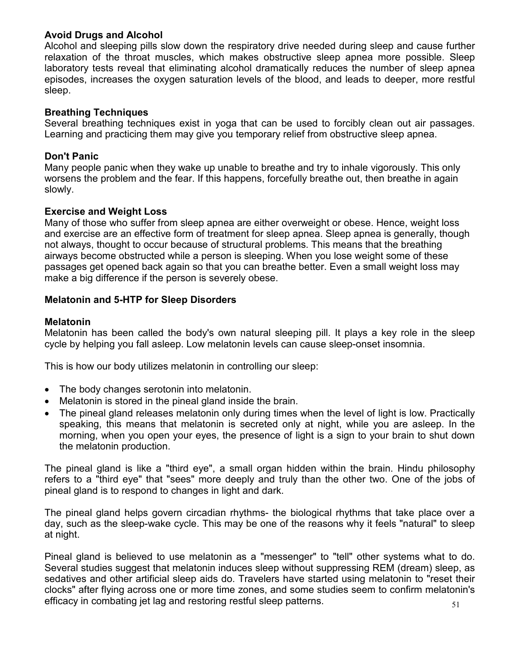### **Avoid Drugs and Alcohol**

Alcohol and sleeping pills slow down the respiratory drive needed during sleep and cause further relaxation of the throat muscles, which makes obstructive sleep apnea more possible. Sleep laboratory tests reveal that eliminating alcohol dramatically reduces the number of sleep apnea episodes, increases the oxygen saturation levels of the blood, and leads to deeper, more restful sleep.

## **Breathing Techniques**

Several breathing techniques exist in yoga that can be used to forcibly clean out air passages. Learning and practicing them may give you temporary relief from obstructive sleep apnea.

### **Don't Panic**

Many people panic when they wake up unable to breathe and try to inhale vigorously. This only worsens the problem and the fear. If this happens, forcefully breathe out, then breathe in again slowly.

#### **Exercise and Weight Loss**

Many of those who suffer from sleep apnea are either overweight or obese. Hence, weight loss and exercise are an effective form of treatment for sleep apnea. Sleep apnea is generally, though not always, thought to occur because of structural problems. This means that the breathing airways become obstructed while a person is sleeping. When you lose weight some of these passages get opened back again so that you can breathe better. Even a small weight loss may make a big difference if the person is severely obese.

## **Melatonin and 5-HTP for Sleep Disorders**

## **Melatonin**

Melatonin has been called the body's own natural sleeping pill. It plays a key role in the sleep cycle by helping you fall asleep. Low melatonin levels can cause sleep-onset insomnia.

This is how our body utilizes melatonin in controlling our sleep:

- The body changes serotonin into melatonin.
- Melatonin is stored in the pineal gland inside the brain.
- The pineal gland releases melatonin only during times when the level of light is low. Practically speaking, this means that melatonin is secreted only at night, while you are asleep. In the morning, when you open your eyes, the presence of light is a sign to your brain to shut down the melatonin production.

The pineal gland is like a "third eye", a small organ hidden within the brain. Hindu philosophy refers to a "third eye" that "sees" more deeply and truly than the other two. One of the jobs of pineal gland is to respond to changes in light and dark.

The pineal gland helps govern circadian rhythms- the biological rhythms that take place over a day, such as the sleep-wake cycle. This may be one of the reasons why it feels "natural" to sleep at night.

51 Pineal gland is believed to use melatonin as a "messenger" to "tell" other systems what to do. Several studies suggest that melatonin induces sleep without suppressing REM (dream) sleep, as sedatives and other artificial sleep aids do. Travelers have started using melatonin to "reset their clocks" after flying across one or more time zones, and some studies seem to confirm melatonin's efficacy in combating jet lag and restoring restful sleep patterns.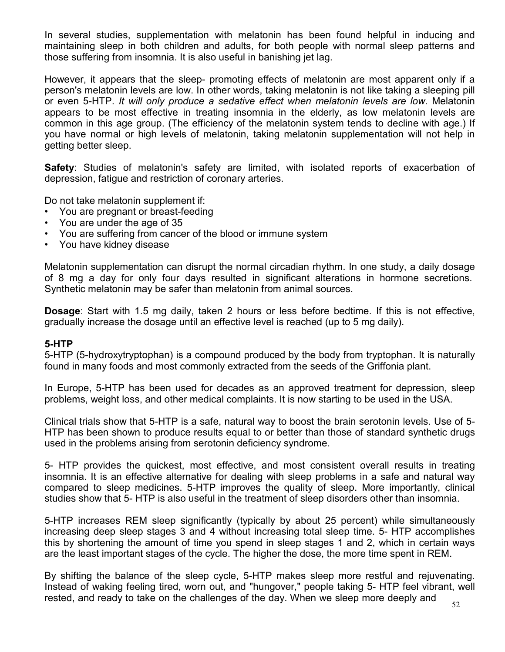In several studies, supplementation with melatonin has been found helpful in inducing and maintaining sleep in both children and adults, for both people with normal sleep patterns and those suffering from insomnia. It is also useful in banishing jet lag.

However, it appears that the sleep- promoting effects of melatonin are most apparent only if a person's melatonin levels are low. In other words, taking melatonin is not like taking a sleeping pill or even 5-HTP. *It will only produce a sedative effect when melatonin levels are low*. Melatonin appears to be most effective in treating insomnia in the elderly, as low melatonin levels are common in this age group. (The efficiency of the melatonin system tends to decline with age.) If you have normal or high levels of melatonin, taking melatonin supplementation will not help in getting better sleep.

**Safety**: Studies of melatonin's safety are limited, with isolated reports of exacerbation of depression, fatigue and restriction of coronary arteries.

Do not take melatonin supplement if:

- You are pregnant or breast-feeding
- You are under the age of 35
- You are suffering from cancer of the blood or immune system
- You have kidney disease

Melatonin supplementation can disrupt the normal circadian rhythm. In one study, a daily dosage of 8 mg a day for only four days resulted in significant alterations in hormone secretions. Synthetic melatonin may be safer than melatonin from animal sources.

**Dosage**: Start with 1.5 mg daily, taken 2 hours or less before bedtime. If this is not effective, gradually increase the dosage until an effective level is reached (up to 5 mg daily).

#### **5-HTP**

5-HTP (5-hydroxytryptophan) is a compound produced by the body from tryptophan. It is naturally found in many foods and most commonly extracted from the seeds of the Griffonia plant.

In Europe, 5-HTP has been used for decades as an approved treatment for depression, sleep problems, weight loss, and other medical complaints. It is now starting to be used in the USA.

Clinical trials show that 5-HTP is a safe, natural way to boost the brain serotonin levels. Use of 5- HTP has been shown to produce results equal to or better than those of standard synthetic drugs used in the problems arising from serotonin deficiency syndrome.

5- HTP provides the quickest, most effective, and most consistent overall results in treating insomnia. It is an effective alternative for dealing with sleep problems in a safe and natural way compared to sleep medicines. 5-HTP improves the quality of sleep. More importantly, clinical studies show that 5- HTP is also useful in the treatment of sleep disorders other than insomnia.

5-HTP increases REM sleep significantly (typically by about 25 percent) while simultaneously increasing deep sleep stages 3 and 4 without increasing total sleep time. 5- HTP accomplishes this by shortening the amount of time you spend in sleep stages 1 and 2, which in certain ways are the least important stages of the cycle. The higher the dose, the more time spent in REM.

By shifting the balance of the sleep cycle, 5-HTP makes sleep more restful and rejuvenating. Instead of waking feeling tired, worn out, and "hungover," people taking 5- HTP feel vibrant, well rested, and ready to take on the challenges of the day. When we sleep more deeply and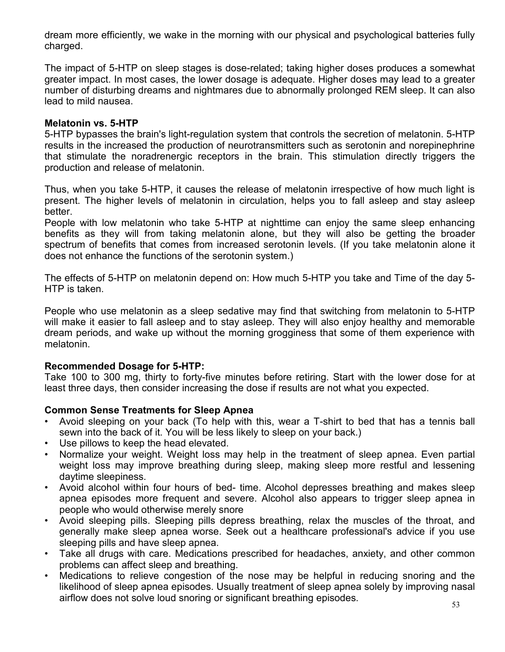dream more efficiently, we wake in the morning with our physical and psychological batteries fully charged.

The impact of 5-HTP on sleep stages is dose-related; taking higher doses produces a somewhat greater impact. In most cases, the lower dosage is adequate. Higher doses may lead to a greater number of disturbing dreams and nightmares due to abnormally prolonged REM sleep. It can also lead to mild nausea.

#### **Melatonin vs. 5-HTP**

5-HTP bypasses the brain's light-regulation system that controls the secretion of melatonin. 5-HTP results in the increased the production of neurotransmitters such as serotonin and norepinephrine that stimulate the noradrenergic receptors in the brain. This stimulation directly triggers the production and release of melatonin.

Thus, when you take 5-HTP, it causes the release of melatonin irrespective of how much light is present. The higher levels of melatonin in circulation, helps you to fall asleep and stay asleep better.

People with low melatonin who take 5-HTP at nighttime can enjoy the same sleep enhancing benefits as they will from taking melatonin alone, but they will also be getting the broader spectrum of benefits that comes from increased serotonin levels. (If you take melatonin alone it does not enhance the functions of the serotonin system.)

The effects of 5-HTP on melatonin depend on: How much 5-HTP you take and Time of the day 5- HTP is taken.

People who use melatonin as a sleep sedative may find that switching from melatonin to 5-HTP will make it easier to fall asleep and to stay asleep. They will also enjoy healthy and memorable dream periods, and wake up without the morning grogginess that some of them experience with melatonin.

#### **Recommended Dosage for 5-HTP:**

Take 100 to 300 mg, thirty to forty-five minutes before retiring. Start with the lower dose for at least three days, then consider increasing the dose if results are not what you expected.

#### **Common Sense Treatments for Sleep Apnea**

- Avoid sleeping on your back (To help with this, wear a T-shirt to bed that has a tennis ball sewn into the back of it. You will be less likely to sleep on your back.)
- Use pillows to keep the head elevated.
- Normalize your weight. Weight loss may help in the treatment of sleep apnea. Even partial weight loss may improve breathing during sleep, making sleep more restful and lessening daytime sleepiness.
- Avoid alcohol within four hours of bed- time. Alcohol depresses breathing and makes sleep apnea episodes more frequent and severe. Alcohol also appears to trigger sleep apnea in people who would otherwise merely snore
- Avoid sleeping pills. Sleeping pills depress breathing, relax the muscles of the throat, and generally make sleep apnea worse. Seek out a healthcare professional's advice if you use sleeping pills and have sleep apnea.
- Take all drugs with care. Medications prescribed for headaches, anxiety, and other common problems can affect sleep and breathing.
- Medications to relieve congestion of the nose may be helpful in reducing snoring and the likelihood of sleep apnea episodes. Usually treatment of sleep apnea solely by improving nasal airflow does not solve loud snoring or significant breathing episodes.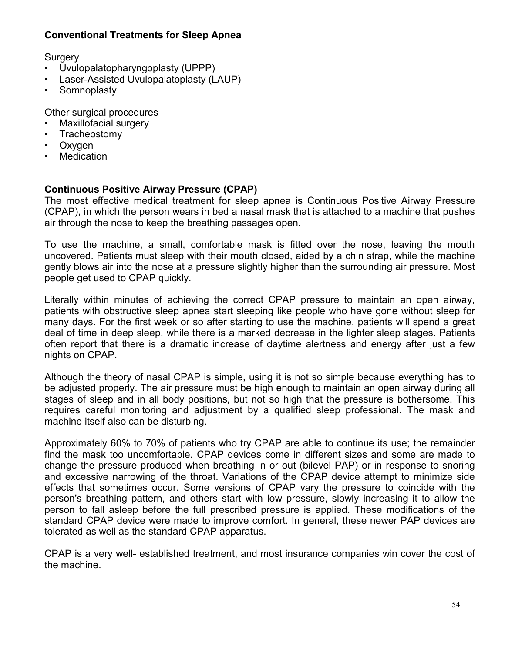## **Conventional Treatments for Sleep Apnea**

**Surgery** 

- Uvulopalatopharyngoplasty (UPPP)
- Laser-Assisted Uvulopalatoplasty (LAUP)
- **Somnoplasty**

Other surgical procedures

- Maxillofacial surgery
- Tracheostomy
- Oxygen
- **Medication**

## **Continuous Positive Airway Pressure (CPAP)**

The most effective medical treatment for sleep apnea is Continuous Positive Airway Pressure (CPAP), in which the person wears in bed a nasal mask that is attached to a machine that pushes air through the nose to keep the breathing passages open.

To use the machine, a small, comfortable mask is fitted over the nose, leaving the mouth uncovered. Patients must sleep with their mouth closed, aided by a chin strap, while the machine gently blows air into the nose at a pressure slightly higher than the surrounding air pressure. Most people get used to CPAP quickly.

Literally within minutes of achieving the correct CPAP pressure to maintain an open airway, patients with obstructive sleep apnea start sleeping like people who have gone without sleep for many days. For the first week or so after starting to use the machine, patients will spend a great deal of time in deep sleep, while there is a marked decrease in the lighter sleep stages. Patients often report that there is a dramatic increase of daytime alertness and energy after just a few nights on CPAP.

Although the theory of nasal CPAP is simple, using it is not so simple because everything has to be adjusted properly. The air pressure must be high enough to maintain an open airway during all stages of sleep and in all body positions, but not so high that the pressure is bothersome. This requires careful monitoring and adjustment by a qualified sleep professional. The mask and machine itself also can be disturbing.

Approximately 60% to 70% of patients who try CPAP are able to continue its use; the remainder find the mask too uncomfortable. CPAP devices come in different sizes and some are made to change the pressure produced when breathing in or out (bilevel PAP) or in response to snoring and excessive narrowing of the throat. Variations of the CPAP device attempt to minimize side effects that sometimes occur. Some versions of CPAP vary the pressure to coincide with the person's breathing pattern, and others start with low pressure, slowly increasing it to allow the person to fall asleep before the full prescribed pressure is applied. These modifications of the standard CPAP device were made to improve comfort. In general, these newer PAP devices are tolerated as well as the standard CPAP apparatus.

CPAP is a very well- established treatment, and most insurance companies win cover the cost of the machine.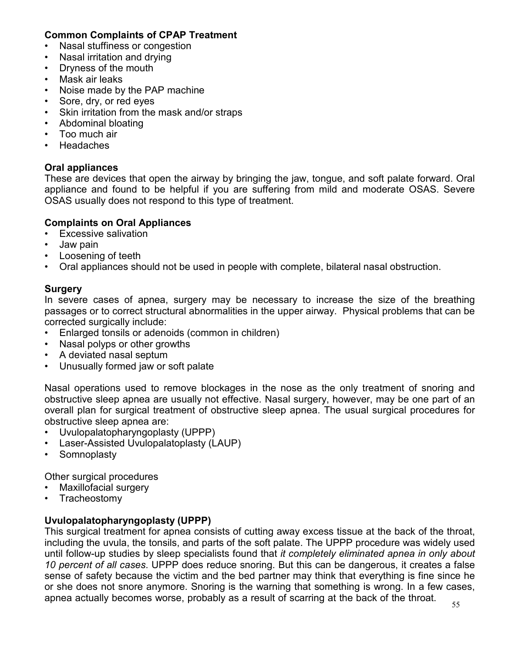### **Common Complaints of CPAP Treatment**

- Nasal stuffiness or congestion
- Nasal irritation and drying
- Dryness of the mouth
- Mask air leaks
- Noise made by the PAP machine
- Sore, dry, or red eyes
- Skin irritation from the mask and/or straps
- Abdominal bloating
- Too much air
- Headaches

### **Oral appliances**

These are devices that open the airway by bringing the jaw, tongue, and soft palate forward. Oral appliance and found to be helpful if you are suffering from mild and moderate OSAS. Severe OSAS usually does not respond to this type of treatment.

## **Complaints on Oral Appliances**

- Excessive salivation
- Jaw pain
- Loosening of teeth
- Oral appliances should not be used in people with complete, bilateral nasal obstruction.

#### **Surgery**

In severe cases of apnea, surgery may be necessary to increase the size of the breathing passages or to correct structural abnormalities in the upper airway. Physical problems that can be corrected surgically include:

- Enlarged tonsils or adenoids (common in children)
- Nasal polyps or other growths
- A deviated nasal septum
- Unusually formed jaw or soft palate

Nasal operations used to remove blockages in the nose as the only treatment of snoring and obstructive sleep apnea are usually not effective. Nasal surgery, however, may be one part of an overall plan for surgical treatment of obstructive sleep apnea. The usual surgical procedures for obstructive sleep apnea are:

- Uvulopalatopharyngoplasty (UPPP)
- Laser-Assisted Uvulopalatoplasty (LAUP)
- **Somnoplasty**

Other surgical procedures

- Maxillofacial surgery
- Tracheostomy

#### **Uvulopalatopharyngoplasty (UPPP)**

This surgical treatment for apnea consists of cutting away excess tissue at the back of the throat, including the uvula, the tonsils, and parts of the soft palate. The UPPP procedure was widely used until follow-up studies by sleep specialists found that *it completely eliminated apnea in only about 10 percent of all cases*. UPPP does reduce snoring. But this can be dangerous, it creates a false sense of safety because the victim and the bed partner may think that everything is fine since he or she does not snore anymore. Snoring is the warning that something is wrong. In a few cases, apnea actually becomes worse, probably as a result of scarring at the back of the throat.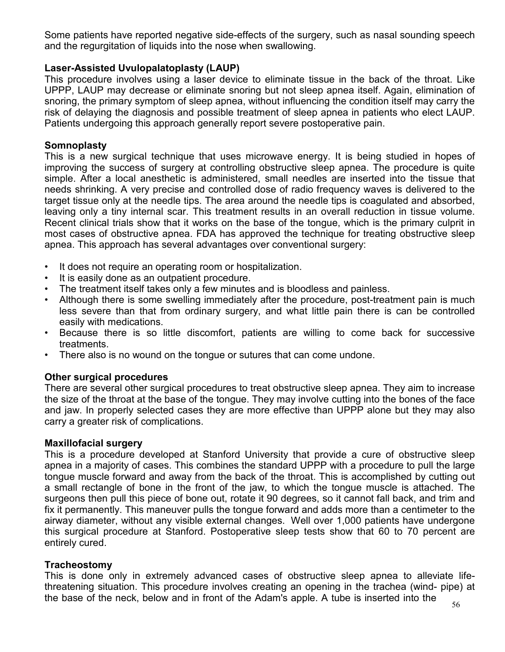Some patients have reported negative side-effects of the surgery, such as nasal sounding speech and the regurgitation of liquids into the nose when swallowing.

### **Laser-Assisted Uvulopalatoplasty (LAUP)**

This procedure involves using a laser device to eliminate tissue in the back of the throat. Like UPPP, LAUP may decrease or eliminate snoring but not sleep apnea itself. Again, elimination of snoring, the primary symptom of sleep apnea, without influencing the condition itself may carry the risk of delaying the diagnosis and possible treatment of sleep apnea in patients who elect LAUP. Patients undergoing this approach generally report severe postoperative pain.

### **Somnoplasty**

This is a new surgical technique that uses microwave energy. It is being studied in hopes of improving the success of surgery at controlling obstructive sleep apnea. The procedure is quite simple. After a local anesthetic is administered, small needles are inserted into the tissue that needs shrinking. A very precise and controlled dose of radio frequency waves is delivered to the target tissue only at the needle tips. The area around the needle tips is coagulated and absorbed, leaving only a tiny internal scar. This treatment results in an overall reduction in tissue volume. Recent clinical trials show that it works on the base of the tongue, which is the primary culprit in most cases of obstructive apnea. FDA has approved the technique for treating obstructive sleep apnea. This approach has several advantages over conventional surgery:

- It does not require an operating room or hospitalization.
- It is easily done as an outpatient procedure.
- The treatment itself takes only a few minutes and is bloodless and painless.
- Although there is some swelling immediately after the procedure, post-treatment pain is much less severe than that from ordinary surgery, and what little pain there is can be controlled easily with medications.
- Because there is so little discomfort, patients are willing to come back for successive treatments.
- There also is no wound on the tongue or sutures that can come undone.

## **Other surgical procedures**

There are several other surgical procedures to treat obstructive sleep apnea. They aim to increase the size of the throat at the base of the tongue. They may involve cutting into the bones of the face and jaw. In properly selected cases they are more effective than UPPP alone but they may also carry a greater risk of complications.

#### **Maxillofacial surgery**

This is a procedure developed at Stanford University that provide a cure of obstructive sleep apnea in a majority of cases. This combines the standard UPPP with a procedure to pull the large tongue muscle forward and away from the back of the throat. This is accomplished by cutting out a small rectangle of bone in the front of the jaw, to which the tongue muscle is attached. The surgeons then pull this piece of bone out, rotate it 90 degrees, so it cannot fall back, and trim and fix it permanently. This maneuver pulls the tongue forward and adds more than a centimeter to the airway diameter, without any visible external changes. Well over 1,000 patients have undergone this surgical procedure at Stanford. Postoperative sleep tests show that 60 to 70 percent are entirely cured.

#### **Tracheostomy**

This is done only in extremely advanced cases of obstructive sleep apnea to alleviate lifethreatening situation. This procedure involves creating an opening in the trachea (wind- pipe) at the base of the neck, below and in front of the Adam's apple. A tube is inserted into the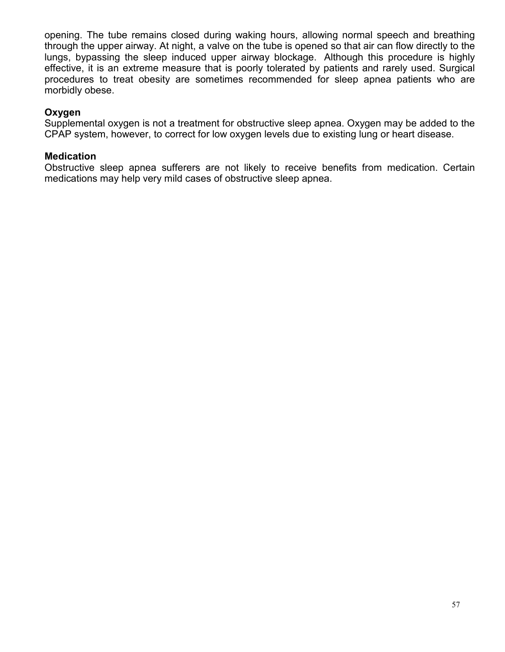opening. The tube remains closed during waking hours, allowing normal speech and breathing through the upper airway. At night, a valve on the tube is opened so that air can flow directly to the lungs, bypassing the sleep induced upper airway blockage. Although this procedure is highly effective, it is an extreme measure that is poorly tolerated by patients and rarely used. Surgical procedures to treat obesity are sometimes recommended for sleep apnea patients who are morbidly obese.

### **Oxygen**

Supplemental oxygen is not a treatment for obstructive sleep apnea. Oxygen may be added to the CPAP system, however, to correct for low oxygen levels due to existing lung or heart disease.

### **Medication**

Obstructive sleep apnea sufferers are not likely to receive benefits from medication. Certain medications may help very mild cases of obstructive sleep apnea.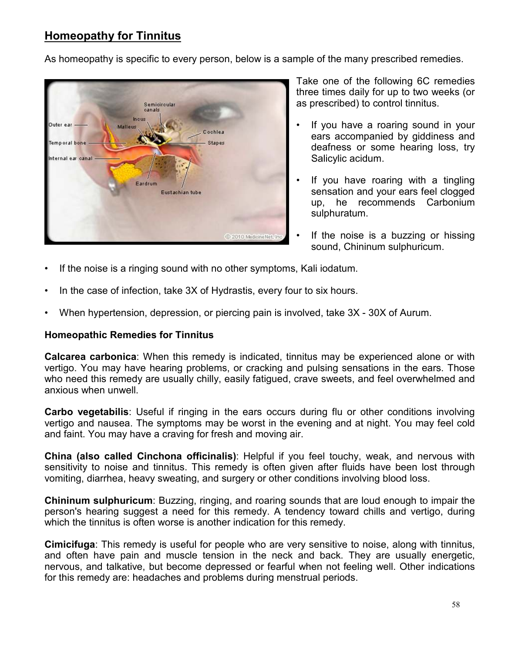# **Homeopathy for Tinnitus**

As homeopathy is specific to every person, below is a sample of the many prescribed remedies.



Take one of the following 6C remedies three times daily for up to two weeks (or as prescribed) to control tinnitus.

- If you have a roaring sound in your ears accompanied by giddiness and deafness or some hearing loss, try Salicylic acidum.
- If you have roaring with a tingling sensation and your ears feel clogged up, he recommends Carbonium sulphuratum.
- If the noise is a buzzing or hissing sound, Chininum sulphuricum.
- If the noise is a ringing sound with no other symptoms, Kali iodatum.
- In the case of infection, take 3X of Hydrastis, every four to six hours.
- When hypertension, depression, or piercing pain is involved, take 3X 30X of Aurum.

#### **Homeopathic Remedies for Tinnitus**

**Calcarea carbonica**: When this remedy is indicated, tinnitus may be experienced alone or with vertigo. You may have hearing problems, or cracking and pulsing sensations in the ears. Those who need this remedy are usually chilly, easily fatigued, crave sweets, and feel overwhelmed and anxious when unwell.

**Carbo vegetabilis**: Useful if ringing in the ears occurs during flu or other conditions involving vertigo and nausea. The symptoms may be worst in the evening and at night. You may feel cold and faint. You may have a craving for fresh and moving air.

**China (also called Cinchona officinalis)**: Helpful if you feel touchy, weak, and nervous with sensitivity to noise and tinnitus. This remedy is often given after fluids have been lost through vomiting, diarrhea, heavy sweating, and surgery or other conditions involving blood loss.

**Chininum sulphuricum**: Buzzing, ringing, and roaring sounds that are loud enough to impair the person's hearing suggest a need for this remedy. A tendency toward chills and vertigo, during which the tinnitus is often worse is another indication for this remedy.

**Cimicifuga**: This remedy is useful for people who are very sensitive to noise, along with tinnitus, and often have pain and muscle tension in the neck and back. They are usually energetic, nervous, and talkative, but become depressed or fearful when not feeling well. Other indications for this remedy are: headaches and problems during menstrual periods.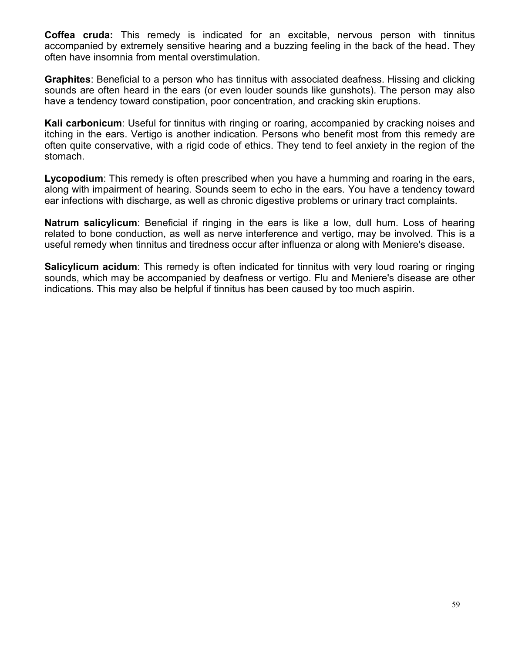**Coffea cruda:** This remedy is indicated for an excitable, nervous person with tinnitus accompanied by extremely sensitive hearing and a buzzing feeling in the back of the head. They often have insomnia from mental overstimulation.

**Graphites**: Beneficial to a person who has tinnitus with associated deafness. Hissing and clicking sounds are often heard in the ears (or even louder sounds like gunshots). The person may also have a tendency toward constipation, poor concentration, and cracking skin eruptions.

**Kali carbonicum**: Useful for tinnitus with ringing or roaring, accompanied by cracking noises and itching in the ears. Vertigo is another indication. Persons who benefit most from this remedy are often quite conservative, with a rigid code of ethics. They tend to feel anxiety in the region of the stomach.

**Lycopodium**: This remedy is often prescribed when you have a humming and roaring in the ears, along with impairment of hearing. Sounds seem to echo in the ears. You have a tendency toward ear infections with discharge, as well as chronic digestive problems or urinary tract complaints.

**Natrum salicylicum**: Beneficial if ringing in the ears is like a low, dull hum. Loss of hearing related to bone conduction, as well as nerve interference and vertigo, may be involved. This is a useful remedy when tinnitus and tiredness occur after influenza or along with Meniere's disease.

**Salicylicum acidum**: This remedy is often indicated for tinnitus with very loud roaring or ringing sounds, which may be accompanied by deafness or vertigo. Flu and Meniere's disease are other indications. This may also be helpful if tinnitus has been caused by too much aspirin.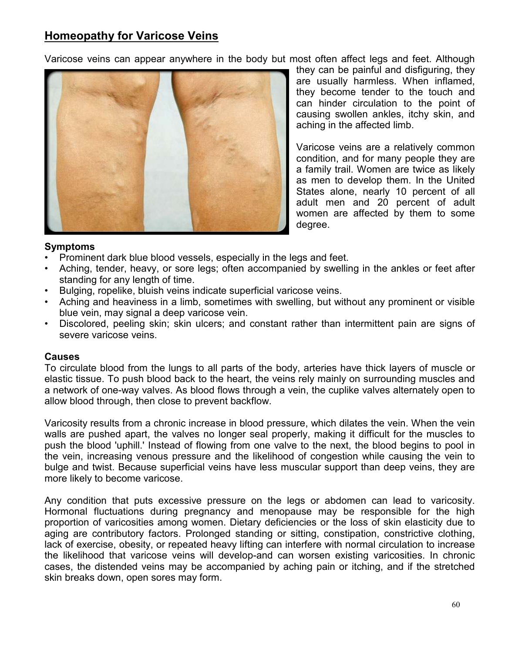# **Homeopathy for Varicose Veins**

Varicose veins can appear anywhere in the body but most often affect legs and feet. Although



they can be painful and disfiguring, they are usually harmless. When inflamed, they become tender to the touch and can hinder circulation to the point of causing swollen ankles, itchy skin, and aching in the affected limb.

Varicose veins are a relatively common condition, and for many people they are a family trail. Women are twice as likely as men to develop them. In the United States alone, nearly 10 percent of all adult men and 20 percent of adult women are affected by them to some degree.

#### **Symptoms**

- Prominent dark blue blood vessels, especially in the legs and feet.
- Aching, tender, heavy, or sore legs; often accompanied by swelling in the ankles or feet after standing for any length of time.
- Bulging, ropelike, bluish veins indicate superficial varicose veins.
- Aching and heaviness in a limb, sometimes with swelling, but without any prominent or visible blue vein, may signal a deep varicose vein.
- Discolored, peeling skin; skin ulcers; and constant rather than intermittent pain are signs of severe varicose veins.

#### **Causes**

To circulate blood from the lungs to all parts of the body, arteries have thick layers of muscle or elastic tissue. To push blood back to the heart, the veins rely mainly on surrounding muscles and a network of one-way valves. As blood flows through a vein, the cuplike valves alternately open to allow blood through, then close to prevent backflow.

Varicosity results from a chronic increase in blood pressure, which dilates the vein. When the vein walls are pushed apart, the valves no longer seal properly, making it difficult for the muscles to push the blood 'uphill.' Instead of flowing from one valve to the next, the blood begins to pool in the vein, increasing venous pressure and the likelihood of congestion while causing the vein to bulge and twist. Because superficial veins have less muscular support than deep veins, they are more likely to become varicose.

Any condition that puts excessive pressure on the legs or abdomen can lead to varicosity. Hormonal fluctuations during pregnancy and menopause may be responsible for the high proportion of varicosities among women. Dietary deficiencies or the loss of skin elasticity due to aging are contributory factors. Prolonged standing or sitting, constipation, constrictive clothing, lack of exercise, obesity, or repeated heavy lifting can interfere with normal circulation to increase the likelihood that varicose veins will develop-and can worsen existing varicosities. In chronic cases, the distended veins may be accompanied by aching pain or itching, and if the stretched skin breaks down, open sores may form.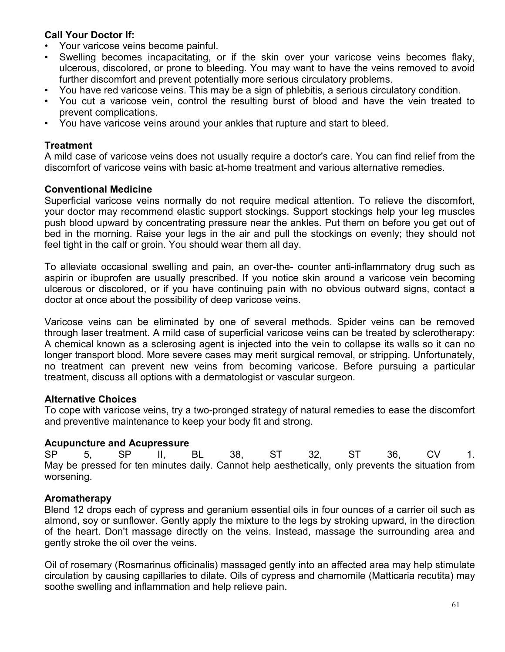## **Call Your Doctor If:**

- Your varicose veins become painful.
- Swelling becomes incapacitating, or if the skin over your varicose veins becomes flaky, ulcerous, discolored, or prone to bleeding. You may want to have the veins removed to avoid further discomfort and prevent potentially more serious circulatory problems.
- You have red varicose veins. This may be a sign of phlebitis, a serious circulatory condition.
- You cut a varicose vein, control the resulting burst of blood and have the vein treated to prevent complications.
- You have varicose veins around your ankles that rupture and start to bleed.

### **Treatment**

A mild case of varicose veins does not usually require a doctor's care. You can find relief from the discomfort of varicose veins with basic at-home treatment and various alternative remedies.

## **Conventional Medicine**

Superficial varicose veins normally do not require medical attention. To relieve the discomfort, your doctor may recommend elastic support stockings. Support stockings help your leg muscles push blood upward by concentrating pressure near the ankles. Put them on before you get out of bed in the morning. Raise your legs in the air and pull the stockings on evenly; they should not feel tight in the calf or groin. You should wear them all day.

To alleviate occasional swelling and pain, an over-the- counter anti-inflammatory drug such as aspirin or ibuprofen are usually prescribed. If you notice skin around a varicose vein becoming ulcerous or discolored, or if you have continuing pain with no obvious outward signs, contact a doctor at once about the possibility of deep varicose veins.

Varicose veins can be eliminated by one of several methods. Spider veins can be removed through laser treatment. A mild case of superficial varicose veins can be treated by sclerotherapy: A chemical known as a sclerosing agent is injected into the vein to collapse its walls so it can no longer transport blood. More severe cases may merit surgical removal, or stripping. Unfortunately, no treatment can prevent new veins from becoming varicose. Before pursuing a particular treatment, discuss all options with a dermatologist or vascular surgeon.

#### **Alternative Choices**

To cope with varicose veins, try a two-pronged strategy of natural remedies to ease the discomfort and preventive maintenance to keep your body fit and strong.

#### **Acupuncture and Acupressure**

SP 5, SP II, BL 38, ST 32, ST 36, CV 1. May be pressed for ten minutes daily. Cannot help aesthetically, only prevents the situation from worsening.

## **Aromatherapy**

Blend 12 drops each of cypress and geranium essential oils in four ounces of a carrier oil such as almond, soy or sunflower. Gently apply the mixture to the legs by stroking upward, in the direction of the heart. Don't massage directly on the veins. Instead, massage the surrounding area and gently stroke the oil over the veins.

Oil of rosemary (Rosmarinus officinalis) massaged gently into an affected area may help stimulate circulation by causing capillaries to dilate. Oils of cypress and chamomile (Matticaria recutita) may soothe swelling and inflammation and help relieve pain.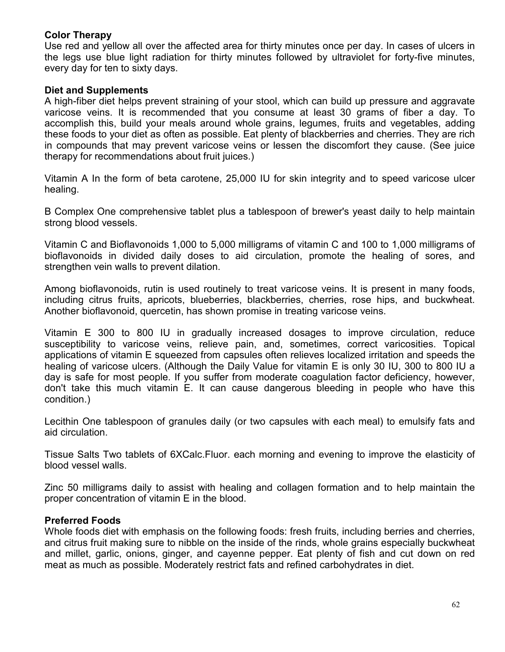#### **Color Therapy**

Use red and yellow all over the affected area for thirty minutes once per day. In cases of ulcers in the legs use blue light radiation for thirty minutes followed by ultraviolet for forty-five minutes, every day for ten to sixty days.

### **Diet and Supplements**

A high-fiber diet helps prevent straining of your stool, which can build up pressure and aggravate varicose veins. It is recommended that you consume at least 30 grams of fiber a day. To accomplish this, build your meals around whole grains, legumes, fruits and vegetables, adding these foods to your diet as often as possible. Eat plenty of blackberries and cherries. They are rich in compounds that may prevent varicose veins or lessen the discomfort they cause. (See juice therapy for recommendations about fruit juices.)

Vitamin A In the form of beta carotene, 25,000 IU for skin integrity and to speed varicose ulcer healing.

B Complex One comprehensive tablet plus a tablespoon of brewer's yeast daily to help maintain strong blood vessels.

Vitamin C and Bioflavonoids 1,000 to 5,000 milligrams of vitamin C and 100 to 1,000 milligrams of bioflavonoids in divided daily doses to aid circulation, promote the healing of sores, and strengthen vein walls to prevent dilation.

Among bioflavonoids, rutin is used routinely to treat varicose veins. It is present in many foods, including citrus fruits, apricots, blueberries, blackberries, cherries, rose hips, and buckwheat. Another bioflavonoid, quercetin, has shown promise in treating varicose veins.

Vitamin E 300 to 800 IU in gradually increased dosages to improve circulation, reduce susceptibility to varicose veins, relieve pain, and, sometimes, correct varicosities. Topical applications of vitamin E squeezed from capsules often relieves localized irritation and speeds the healing of varicose ulcers. (Although the Daily Value for vitamin E is only 30 IU, 300 to 800 IU a day is safe for most people. If you suffer from moderate coagulation factor deficiency, however, don't take this much vitamin E. It can cause dangerous bleeding in people who have this condition.)

Lecithin One tablespoon of granules daily (or two capsules with each meal) to emulsify fats and aid circulation.

Tissue Salts Two tablets of 6XCalc.Fluor. each morning and evening to improve the elasticity of blood vessel walls.

Zinc 50 milligrams daily to assist with healing and collagen formation and to help maintain the proper concentration of vitamin E in the blood.

#### **Preferred Foods**

Whole foods diet with emphasis on the following foods: fresh fruits, including berries and cherries, and citrus fruit making sure to nibble on the inside of the rinds, whole grains especially buckwheat and millet, garlic, onions, ginger, and cayenne pepper. Eat plenty of fish and cut down on red meat as much as possible. Moderately restrict fats and refined carbohydrates in diet.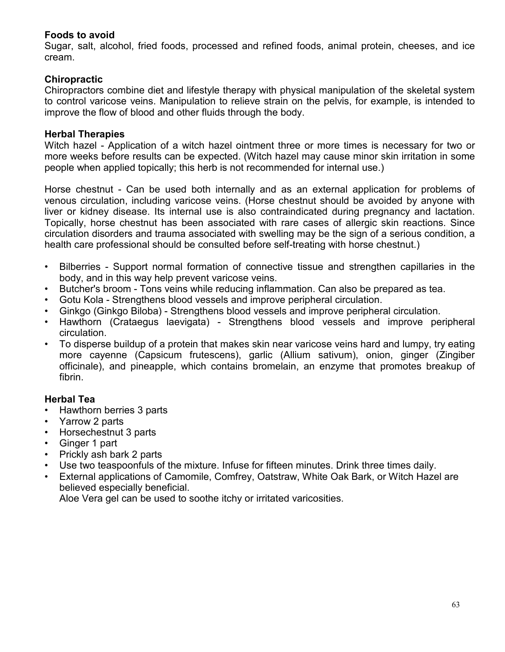#### **Foods to avoid**

Sugar, salt, alcohol, fried foods, processed and refined foods, animal protein, cheeses, and ice cream.

## **Chiropractic**

Chiropractors combine diet and lifestyle therapy with physical manipulation of the skeletal system to control varicose veins. Manipulation to relieve strain on the pelvis, for example, is intended to improve the flow of blood and other fluids through the body.

#### **Herbal Therapies**

Witch hazel - Application of a witch hazel ointment three or more times is necessary for two or more weeks before results can be expected. (Witch hazel may cause minor skin irritation in some people when applied topically; this herb is not recommended for internal use.)

Horse chestnut - Can be used both internally and as an external application for problems of venous circulation, including varicose veins. (Horse chestnut should be avoided by anyone with liver or kidney disease. Its internal use is also contraindicated during pregnancy and lactation. Topically, horse chestnut has been associated with rare cases of allergic skin reactions. Since circulation disorders and trauma associated with swelling may be the sign of a serious condition, a health care professional should be consulted before self-treating with horse chestnut.)

- Bilberries Support normal formation of connective tissue and strengthen capillaries in the body, and in this way help prevent varicose veins.
- Butcher's broom Tons veins while reducing inflammation. Can also be prepared as tea.
- Gotu Kola Strengthens blood vessels and improve peripheral circulation.
- Ginkgo (Ginkgo Biloba) Strengthens blood vessels and improve peripheral circulation.
- Hawthorn (Crataegus laevigata) Strengthens blood vessels and improve peripheral circulation.
- To disperse buildup of a protein that makes skin near varicose veins hard and lumpy, try eating more cayenne (Capsicum frutescens), garlic (Allium sativum), onion, ginger (Zingiber officinale), and pineapple, which contains bromelain, an enzyme that promotes breakup of fibrin.

#### **Herbal Tea**

- Hawthorn berries 3 parts
- Yarrow 2 parts
- Horsechestnut 3 parts
- Ginger 1 part
- Prickly ash bark 2 parts
- Use two teaspoonfuls of the mixture. Infuse for fifteen minutes. Drink three times daily.
- External applications of Camomile, Comfrey, Oatstraw, White Oak Bark, or Witch Hazel are believed especially beneficial.

Aloe Vera gel can be used to soothe itchy or irritated varicosities.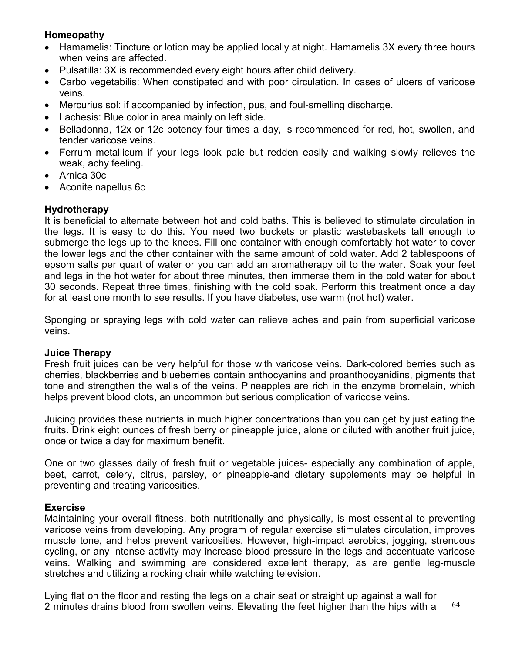## **Homeopathy**

- Hamamelis: Tincture or lotion may be applied locally at night. Hamamelis 3X every three hours when veins are affected.
- Pulsatilla: 3X is recommended every eight hours after child delivery.
- Carbo vegetabilis: When constipated and with poor circulation. In cases of ulcers of varicose veins.
- Mercurius sol: if accompanied by infection, pus, and foul-smelling discharge.
- Lachesis: Blue color in area mainly on left side.
- Belladonna, 12x or 12c potency four times a day, is recommended for red, hot, swollen, and tender varicose veins.
- Ferrum metallicum if your legs look pale but redden easily and walking slowly relieves the weak, achy feeling.
- Arnica 30c
- Aconite napellus 6c

## **Hydrotherapy**

It is beneficial to alternate between hot and cold baths. This is believed to stimulate circulation in the legs. It is easy to do this. You need two buckets or plastic wastebaskets tall enough to submerge the legs up to the knees. Fill one container with enough comfortably hot water to cover the lower legs and the other container with the same amount of cold water. Add 2 tablespoons of epsom salts per quart of water or you can add an aromatherapy oil to the water. Soak your feet and legs in the hot water for about three minutes, then immerse them in the cold water for about 30 seconds. Repeat three times, finishing with the cold soak. Perform this treatment once a day for at least one month to see results. If you have diabetes, use warm (not hot) water.

Sponging or spraying legs with cold water can relieve aches and pain from superficial varicose veins.

#### **Juice Therapy**

Fresh fruit juices can be very helpful for those with varicose veins. Dark-colored berries such as cherries, blackberries and blueberries contain anthocyanins and proanthocyanidins, pigments that tone and strengthen the walls of the veins. Pineapples are rich in the enzyme bromelain, which helps prevent blood clots, an uncommon but serious complication of varicose veins.

Juicing provides these nutrients in much higher concentrations than you can get by just eating the fruits. Drink eight ounces of fresh berry or pineapple juice, alone or diluted with another fruit juice, once or twice a day for maximum benefit.

One or two glasses daily of fresh fruit or vegetable juices- especially any combination of apple, beet, carrot, celery, citrus, parsley, or pineapple-and dietary supplements may be helpful in preventing and treating varicosities.

#### **Exercise**

Maintaining your overall fitness, both nutritionally and physically, is most essential to preventing varicose veins from developing. Any program of regular exercise stimulates circulation, improves muscle tone, and helps prevent varicosities. However, high-impact aerobics, jogging, strenuous cycling, or any intense activity may increase blood pressure in the legs and accentuate varicose veins. Walking and swimming are considered excellent therapy, as are gentle leg-muscle stretches and utilizing a rocking chair while watching television.

64 Lying flat on the floor and resting the legs on a chair seat or straight up against a wall for 2 minutes drains blood from swollen veins. Elevating the feet higher than the hips with a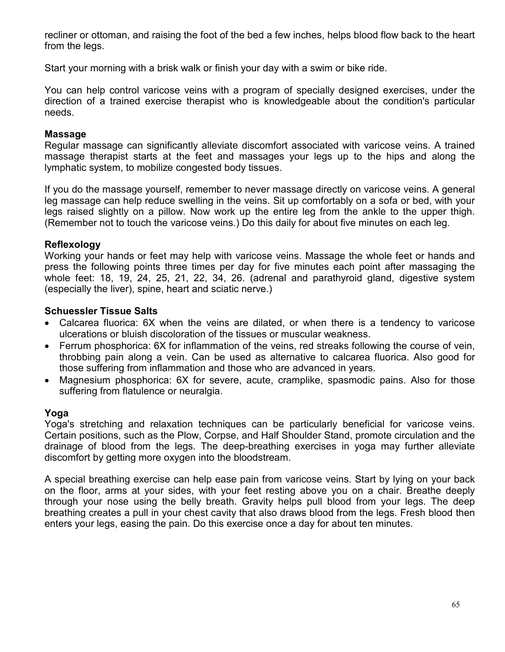recliner or ottoman, and raising the foot of the bed a few inches, helps blood flow back to the heart from the leas.

Start your morning with a brisk walk or finish your day with a swim or bike ride.

You can help control varicose veins with a program of specially designed exercises, under the direction of a trained exercise therapist who is knowledgeable about the condition's particular needs.

#### **Massage**

Regular massage can significantly alleviate discomfort associated with varicose veins. A trained massage therapist starts at the feet and massages your legs up to the hips and along the lymphatic system, to mobilize congested body tissues.

If you do the massage yourself, remember to never massage directly on varicose veins. A general leg massage can help reduce swelling in the veins. Sit up comfortably on a sofa or bed, with your legs raised slightly on a pillow. Now work up the entire leg from the ankle to the upper thigh. (Remember not to touch the varicose veins.) Do this daily for about five minutes on each leg.

#### **Reflexology**

Working your hands or feet may help with varicose veins. Massage the whole feet or hands and press the following points three times per day for five minutes each point after massaging the whole feet: 18, 19, 24, 25, 21, 22, 34, 26. (adrenal and parathyroid gland, digestive system (especially the liver), spine, heart and sciatic nerve.)

#### **Schuessler Tissue Salts**

- Calcarea fluorica: 6X when the veins are dilated, or when there is a tendency to varicose ulcerations or bluish discoloration of the tissues or muscular weakness.
- Ferrum phosphorica: 6X for inflammation of the veins, red streaks following the course of vein, throbbing pain along a vein. Can be used as alternative to calcarea fluorica. Also good for those suffering from inflammation and those who are advanced in years.
- Magnesium phosphorica: 6X for severe, acute, cramplike, spasmodic pains. Also for those suffering from flatulence or neuralgia.

#### **Yoga**

Yoga's stretching and relaxation techniques can be particularly beneficial for varicose veins. Certain positions, such as the Plow, Corpse, and Half Shoulder Stand, promote circulation and the drainage of blood from the legs. The deep-breathing exercises in yoga may further alleviate discomfort by getting more oxygen into the bloodstream.

A special breathing exercise can help ease pain from varicose veins. Start by lying on your back on the floor, arms at your sides, with your feet resting above you on a chair. Breathe deeply through your nose using the belly breath. Gravity helps pull blood from your legs. The deep breathing creates a pull in your chest cavity that also draws blood from the legs. Fresh blood then enters your legs, easing the pain. Do this exercise once a day for about ten minutes.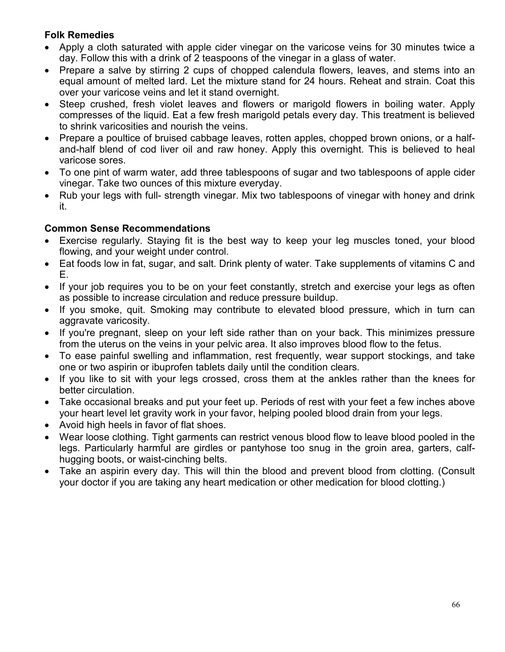## **Folk Remedies**

- Apply a cloth saturated with apple cider vinegar on the varicose veins for 30 minutes twice a day. Follow this with a drink of 2 teaspoons of the vinegar in a glass of water.
- Prepare a salve by stirring 2 cups of chopped calendula flowers, leaves, and stems into an equal amount of melted lard. Let the mixture stand for 24 hours. Reheat and strain. Coat this over your varicose veins and let it stand overnight.
- Steep crushed, fresh violet leaves and flowers or marigold flowers in boiling water. Apply compresses of the liquid. Eat a few fresh marigold petals every day. This treatment is believed to shrink varicosities and nourish the veins.
- Prepare a poultice of bruised cabbage leaves, rotten apples, chopped brown onions, or a halfand-half blend of cod liver oil and raw honey. Apply this overnight. This is believed to heal varicose sores.
- To one pint of warm water, add three tablespoons of sugar and two tablespoons of apple cider vinegar. Take two ounces of this mixture everyday.
- Rub your legs with full- strength vinegar. Mix two tablespoons of vinegar with honey and drink it.

## **Common Sense Recommendations**

- Exercise regularly. Staying fit is the best way to keep your leg muscles toned, your blood flowing, and your weight under control.
- Eat foods low in fat, sugar, and salt. Drink plenty of water. Take supplements of vitamins C and E.
- If your job requires you to be on your feet constantly, stretch and exercise your legs as often as possible to increase circulation and reduce pressure buildup.
- If you smoke, quit. Smoking may contribute to elevated blood pressure, which in turn can aggravate varicosity.
- If you're pregnant, sleep on your left side rather than on your back. This minimizes pressure from the uterus on the veins in your pelvic area. It also improves blood flow to the fetus.
- To ease painful swelling and inflammation, rest frequently, wear support stockings, and take one or two aspirin or ibuprofen tablets daily until the condition clears.
- If you like to sit with your legs crossed, cross them at the ankles rather than the knees for better circulation.
- Take occasional breaks and put your feet up. Periods of rest with your feet a few inches above your heart level let gravity work in your favor, helping pooled blood drain from your legs.
- Avoid high heels in favor of flat shoes.
- Wear loose clothing. Tight garments can restrict venous blood flow to leave blood pooled in the legs. Particularly harmful are girdles or pantyhose too snug in the groin area, garters, calfhugging boots, or waist-cinching belts.
- Take an aspirin every day. This will thin the blood and prevent blood from clotting. (Consult your doctor if you are taking any heart medication or other medication for blood clotting.)